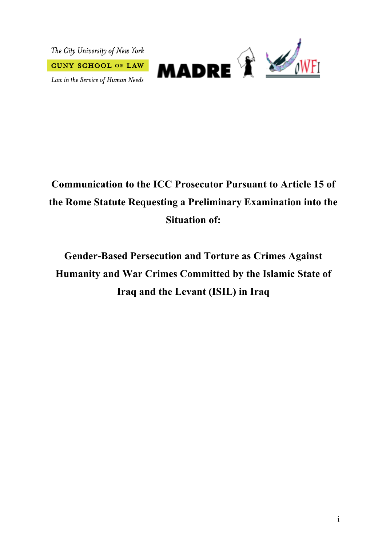The City University of New York **CUNY SCHOOL OF LAW** 

Law in the Service of Human Needs



# **Communication to the ICC Prosecutor Pursuant to Article 15 of the Rome Statute Requesting a Preliminary Examination into the Situation of:**

**Gender-Based Persecution and Torture as Crimes Against Humanity and War Crimes Committed by the Islamic State of Iraq and the Levant (ISIL) in Iraq**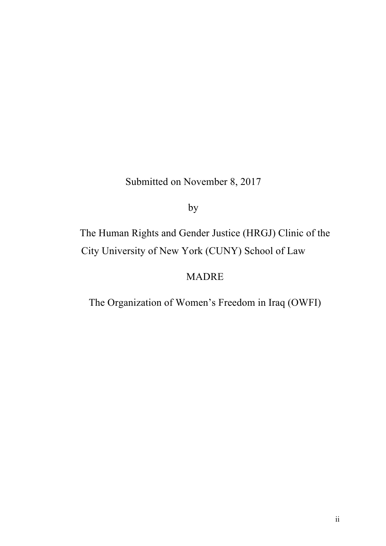# Submitted on November 8, 2017

by

The Human Rights and Gender Justice (HRGJ) Clinic of the City University of New York (CUNY) School of Law

# MADRE

The Organization of Women's Freedom in Iraq (OWFI)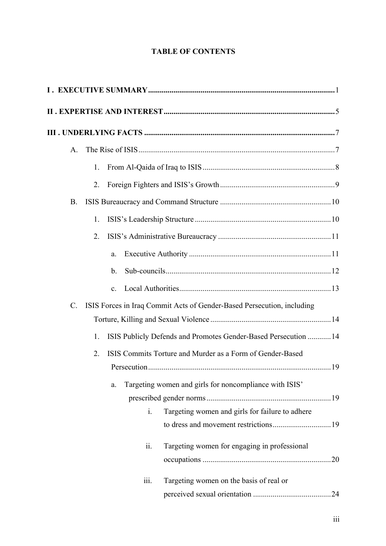#### **TABLE OF CONTENTS**

| A.              |    |                |      |                                                                        |  |
|-----------------|----|----------------|------|------------------------------------------------------------------------|--|
|                 | 1. |                |      |                                                                        |  |
|                 | 2. |                |      |                                                                        |  |
| <b>B.</b>       |    |                |      |                                                                        |  |
|                 | 1. |                |      |                                                                        |  |
|                 | 2. |                |      |                                                                        |  |
|                 |    | a.             |      |                                                                        |  |
|                 |    | b.             |      |                                                                        |  |
|                 |    | C <sub>1</sub> |      |                                                                        |  |
| $\mathcal{C}$ . |    |                |      | ISIS Forces in Iraq Commit Acts of Gender-Based Persecution, including |  |
|                 |    |                |      |                                                                        |  |
|                 | 1. |                |      | ISIS Publicly Defends and Promotes Gender-Based Persecution  14        |  |
|                 | 2. |                |      | ISIS Commits Torture and Murder as a Form of Gender-Based              |  |
|                 |    |                |      |                                                                        |  |
|                 |    | a.             |      | Targeting women and girls for noncompliance with ISIS'                 |  |
|                 |    |                |      |                                                                        |  |
|                 |    |                | i.   | Targeting women and girls for failure to adhere                        |  |
|                 |    |                |      |                                                                        |  |
|                 |    |                | ii.  | Targeting women for engaging in professional                           |  |
|                 |    |                |      |                                                                        |  |
|                 |    |                | iii. | Targeting women on the basis of real or                                |  |
|                 |    |                |      |                                                                        |  |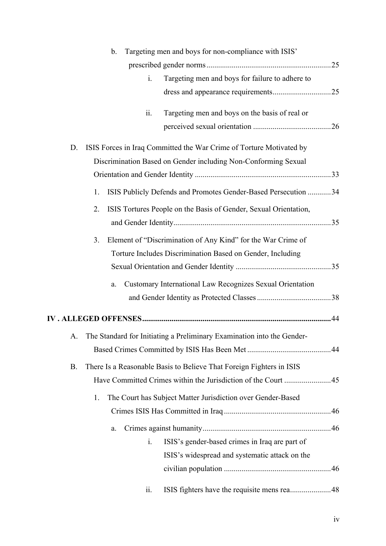|           | Targeting men and boys for non-compliance with ISIS'<br>b.                |  |
|-----------|---------------------------------------------------------------------------|--|
|           |                                                                           |  |
|           | Targeting men and boys for failure to adhere to<br>$i_{\cdot}$            |  |
|           |                                                                           |  |
|           | Targeting men and boys on the basis of real or<br>ii.                     |  |
|           |                                                                           |  |
| D.        | ISIS Forces in Iraq Committed the War Crime of Torture Motivated by       |  |
|           | Discrimination Based on Gender including Non-Conforming Sexual            |  |
|           |                                                                           |  |
|           | ISIS Publicly Defends and Promotes Gender-Based Persecution 34<br>1.      |  |
|           | ISIS Tortures People on the Basis of Gender, Sexual Orientation,<br>2.    |  |
|           |                                                                           |  |
|           | Element of "Discrimination of Any Kind" for the War Crime of<br>3.        |  |
|           | Torture Includes Discrimination Based on Gender, Including                |  |
|           |                                                                           |  |
|           | Customary International Law Recognizes Sexual Orientation<br>a.           |  |
|           |                                                                           |  |
|           |                                                                           |  |
|           | A. The Standard for Initiating a Preliminary Examination into the Gender- |  |
|           |                                                                           |  |
|           |                                                                           |  |
| <b>B.</b> | There Is a Reasonable Basis to Believe That Foreign Fighters in ISIS      |  |
|           |                                                                           |  |
|           | The Court has Subject Matter Jurisdiction over Gender-Based<br>1.         |  |
|           |                                                                           |  |
|           | a.                                                                        |  |
|           | ISIS's gender-based crimes in Iraq are part of<br>i.                      |  |
|           | ISIS's widespread and systematic attack on the                            |  |
|           |                                                                           |  |
|           | ISIS fighters have the requisite mens rea48<br>11.                        |  |
|           |                                                                           |  |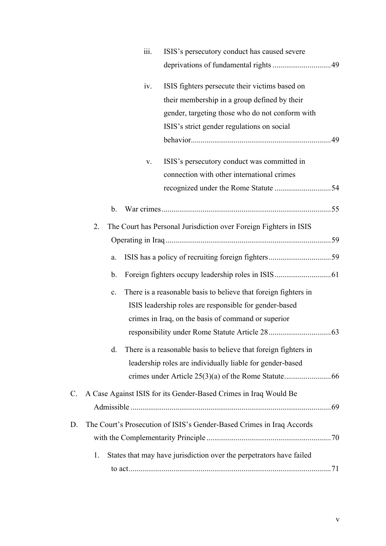|    | 111.           | ISIS's persecutory conduct has caused severe                          |  |
|----|----------------|-----------------------------------------------------------------------|--|
|    |                |                                                                       |  |
|    | iv.            | ISIS fighters persecute their victims based on                        |  |
|    |                | their membership in a group defined by their                          |  |
|    |                | gender, targeting those who do not conform with                       |  |
|    |                | ISIS's strict gender regulations on social                            |  |
|    |                |                                                                       |  |
|    | V.             | ISIS's persecutory conduct was committed in                           |  |
|    |                | connection with other international crimes                            |  |
|    |                |                                                                       |  |
|    | b.             |                                                                       |  |
|    |                |                                                                       |  |
|    | 2.             | The Court has Personal Jurisdiction over Foreign Fighters in ISIS     |  |
|    |                |                                                                       |  |
|    | a.             |                                                                       |  |
|    | b.             |                                                                       |  |
|    | $\mathbf{c}$ . | There is a reasonable basis to believe that foreign fighters in       |  |
|    |                | ISIS leadership roles are responsible for gender-based                |  |
|    |                | crimes in Iraq, on the basis of command or superior                   |  |
|    |                |                                                                       |  |
|    | d.             | There is a reasonable basis to believe that foreign fighters in       |  |
|    |                | leadership roles are individually liable for gender-based             |  |
|    |                |                                                                       |  |
| C. |                | A Case Against ISIS for its Gender-Based Crimes in Iraq Would Be      |  |
|    |                |                                                                       |  |
| D. |                | The Court's Prosecution of ISIS's Gender-Based Crimes in Iraq Accords |  |
|    |                |                                                                       |  |
|    | 1.             | States that may have jurisdiction over the perpetrators have failed   |  |
|    |                |                                                                       |  |
|    |                |                                                                       |  |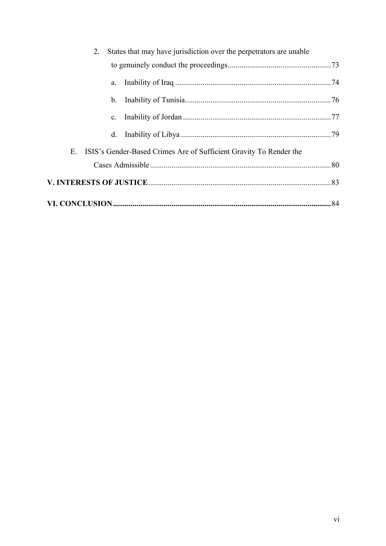|                                                                          | 2.             | States that may have jurisdiction over the perpetrators are unable |  |  |  |
|--------------------------------------------------------------------------|----------------|--------------------------------------------------------------------|--|--|--|
|                                                                          |                |                                                                    |  |  |  |
|                                                                          | a.             |                                                                    |  |  |  |
|                                                                          | $b_{-}$        |                                                                    |  |  |  |
|                                                                          | $\mathbf{c}$ . |                                                                    |  |  |  |
|                                                                          | $d_{\cdot}$    |                                                                    |  |  |  |
| Е.<br>ISIS's Gender-Based Crimes Are of Sufficient Gravity To Render the |                |                                                                    |  |  |  |
|                                                                          |                |                                                                    |  |  |  |
|                                                                          |                |                                                                    |  |  |  |
|                                                                          |                |                                                                    |  |  |  |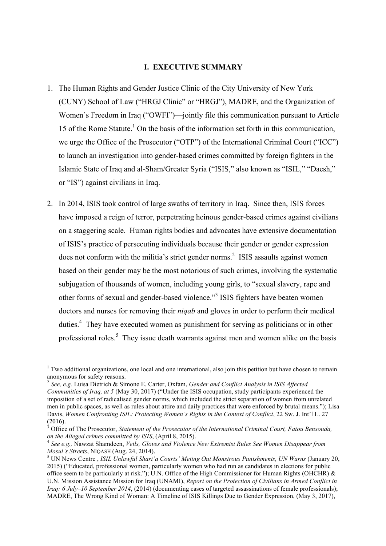#### **I. EXECUTIVE SUMMARY**

- 1. The Human Rights and Gender Justice Clinic of the City University of New York (CUNY) School of Law ("HRGJ Clinic" or "HRGJ"), MADRE, and the Organization of Women's Freedom in Iraq ("OWFI")—jointly file this communication pursuant to Article 15 of the Rome Statute.<sup>1</sup> On the basis of the information set forth in this communication, we urge the Office of the Prosecutor ("OTP") of the International Criminal Court ("ICC") to launch an investigation into gender-based crimes committed by foreign fighters in the Islamic State of Iraq and al-Sham/Greater Syria ("ISIS," also known as "ISIL," "Daesh," or "IS") against civilians in Iraq.
- 2. In 2014, ISIS took control of large swaths of territory in Iraq. Since then, ISIS forces have imposed a reign of terror, perpetrating heinous gender-based crimes against civilians on a staggering scale. Human rights bodies and advocates have extensive documentation of ISIS's practice of persecuting individuals because their gender or gender expression does not conform with the militia's strict gender norms.<sup>2</sup> ISIS assaults against women based on their gender may be the most notorious of such crimes, involving the systematic subjugation of thousands of women, including young girls, to "sexual slavery, rape and other forms of sexual and gender-based violence."<sup>3</sup> ISIS fighters have beaten women doctors and nurses for removing their *niqab* and gloves in order to perform their medical duties.<sup>4</sup> They have executed women as punishment for serving as politicians or in other professional roles.<sup>5</sup> They issue death warrants against men and women alike on the basis

 $<sup>1</sup>$  Two additional organizations, one local and one international, also join this petition but have chosen to remain</sup> anonymous for safety reasons.

<sup>2</sup> *See, e.g.* Luisa Dietrich & Simone E. Carter, Oxfam, *Gender and Conflict Analysis in ISIS Affected Communities of Iraq, at 5* (May 30, 2017) ("Under the ISIS occupation, study participants experienced the imposition of a set of radicalised gender norms, which included the strict separation of women from unrelated men in public spaces, as well as rules about attire and daily practices that were enforced by brutal means."); Lisa Davis, *Women Confronting ISIL: Protecting Women's Rights in the Context of Conflict*, 22 Sw. J. Int'l L. 27 (2016).

<sup>&</sup>lt;sup>3</sup> Office of The Prosecutor, *Statement of the Prosecutor of the International Criminal Court, Fatou Bensouda, on the Alleged crimes committed by ISIS, (April 8, 2015).* 

<sup>&</sup>lt;sup>4</sup> See e.g., Nawzat Shamdeen, *Veils, Gloves and Violence New Extremist Rules See Women Disappear from Mosul's Streets*, NIQASH (Aug. 24, 2014).<br><sup>5</sup> UN News Centre , *ISIL Unlawful Shari'a Courts' Meting Out Monstrous Punishments, UN Warns* (January 20,

<sup>2015) (&</sup>quot;Educated, professional women, particularly women who had run as candidates in elections for public office seem to be particularly at risk."); U.N. Office of the High Commissioner for Human Rights (OHCHR) & U.N. Mission Assistance Mission for Iraq (UNAMI), *Report on the Protection of Civilians in Armed Conflict in Iraq: 6 July–10 September 2014*, (2014) (documenting cases of targeted assassinations of female professionals); MADRE, The Wrong Kind of Woman: A Timeline of ISIS Killings Due to Gender Expression, (May 3, 2017),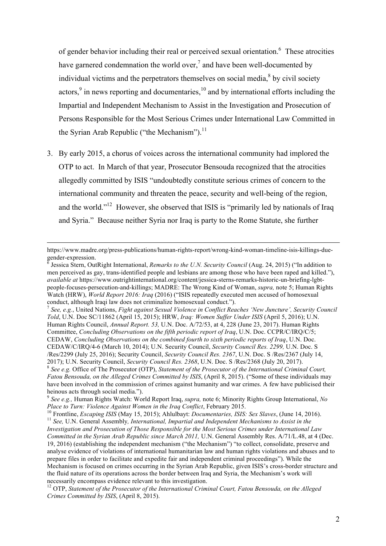of gender behavior including their real or perceived sexual orientation.<sup>6</sup> These atrocities have garnered condemnation the world over,<sup>7</sup> and have been well-documented by individual victims and the perpetrators themselves on social media, $\delta$  by civil society actors, $9$  in news reporting and documentaries, $10$  and by international efforts including the Impartial and Independent Mechanism to Assist in the Investigation and Prosecution of Persons Responsible for the Most Serious Crimes under International Law Committed in the Syrian Arab Republic ("the Mechanism").<sup>11</sup>

3. By early 2015, a chorus of voices across the international community had implored the OTP to act. In March of that year, Prosecutor Bensouda recognized that the atrocities allegedly committed by ISIS "undoubtedly constitute serious crimes of concern to the international community and threaten the peace, security and well-being of the region, and the world."<sup>12</sup> However, she observed that ISIS is "primarily led by nationals of Iraq and Syria." Because neither Syria nor Iraq is party to the Rome Statute, she further

https://www.madre.org/press-publications/human-rights-report/wrong-kind-woman-timeline-isis-killings-duegender-expression.<br><sup>6</sup> Jessica Stern, OutRight International, *Remarks to the U.N. Security Council* (Aug. 24, 2015) ("In addition to

men perceived as gay, trans-identified people and lesbians are among those who have been raped and killed."), *available at* https://www.outrightinternational.org/content/jessica-sterns-remarks-historic-un-briefing-lgbtpeople-focuses-persecution-and-killings; MADRE: The Wrong Kind of Woman, *supra,* note 5; Human Rights Watch (HRW), *World Report 2016: Iraq* (2016) ("ISIS repeatedly executed men accused of homosexual conduct, although Iraqi law does not criminalize homosexual conduct.").

<sup>7</sup> *See, e.g.*, United Nations, *Fight against Sexual Violence in Conflict Reaches 'New Juncture', Security Council Told*, U.N. Doc SC/11862 (April 15, 2015); HRW, *Iraq: Women Suffer Under ISIS* (April 5, 2016); U.N. Human Rights Council, *Annual Report. 53,* U.N. Doc. A/72/53, at 4, 228 (June 23, 2017). Human Rights Committee, *Concluding Observations on the fifth periodic report of Iraq*, U.N. Doc. CCPR/C/IRQ/C/5; CEDAW, *Concluding Observations on the combined fourth to sixth periodic reports of Iraq*, U.N. Doc. CEDAW/C/IRQ/4-6 (March 10, 2014); U.N. Security Council, *Security Council Res. 2299,* U.N. Doc. S /Res/2299 (July 25, 2016); Security Council, *Security Council Res. 2367*, U.N. Doc. S /Res/2367 (July 14, 2017); U.N. Security Council, Security Council Res. 2368, U.N. Doc. S /Res/2368 (July 20, 2017).<br><sup>8</sup> See e.g. Office of The Prosecutor (OTP), Statement of the Prosecutor of the International Criminal Court, *Fatou Bensouda, on the Alleged Crimes Committed by ISIS*, (April 8, 2015). ("Some of these individuals may have been involved in the commission of crimes against humanity and war crimes. A few have publicised their heinous acts through social media.").

<sup>9</sup> *See e.g.,* Human Rights Watch: World Report Iraq, *supra,* note 6; Minority Rights Group International, *No*  Place to Turn: Violence Against Women in the Iraq Conflict, February 2015.<br><sup>10</sup> Frontline, *Escaping ISIS* (May 15, 2015); Ahlulbayt: *Documentaries, ISIS: Sex Slaves*, (June 14, 2016).<br><sup>11</sup> See, U.N. General Assembly, *In* 

*Investigation and Prosecution of Those Responsible for the Most Serious Crimes under International Law Committed in the Syrian Arab Republic since March 2011,* U.N. General Assembly Res. A/71/L.48, at 4 (Dec. 19, 2016) (establishing the independent mechanism ("the Mechanism") "to collect, consolidate, preserve and analyse evidence of violations of international humanitarian law and human rights violations and abuses and to prepare files in order to facilitate and expedite fair and independent criminal proceedings"). While the Mechanism is focused on crimes occurring in the Syrian Arab Republic, given ISIS's cross-border structure and the fluid nature of its operations across the border between Iraq and Syria, the Mechanism's work will necessarily encompass evidence relevant to this investigation.

<sup>12</sup> OTP, *Statement of the Prosecutor of the International Criminal Court, Fatou Bensouda, on the Alleged Crimes Committed by ISIS*, (April 8, 2015).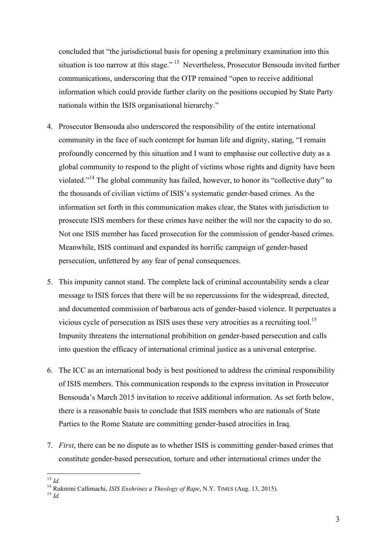concluded that "the jurisdictional basis for opening a preliminary examination into this situation is too narrow at this stage."<sup>13</sup> Nevertheless, Prosecutor Bensouda invited further communications, underscoring that the OTP remained "open to receive additional information which could provide further clarity on the positions occupied by State Party nationals within the ISIS organisational hierarchy."

- 4. Prosecutor Bensouda also underscored the responsibility of the entire international community in the face of such contempt for human life and dignity, stating, "I remain profoundly concerned by this situation and I want to emphasise our collective duty as a global community to respond to the plight of victims whose rights and dignity have been violated."<sup>14</sup> The global community has failed, however, to honor its "collective duty" to the thousands of civilian victims of ISIS's systematic gender-based crimes. As the information set forth in this communication makes clear, the States with jurisdiction to prosecute ISIS members for these crimes have neither the will nor the capacity to do so. Not one ISIS member has faced prosecution for the commission of gender-based crimes. Meanwhile, ISIS continued and expanded its horrific campaign of gender-based persecution, unfettered by any fear of penal consequences.
- 5. This impunity cannot stand. The complete lack of criminal accountability sends a clear message to ISIS forces that there will be no repercussions for the widespread, directed, and documented commission of barbarous acts of gender-based violence. It perpetuates a vicious cycle of persecution as ISIS uses these very atrocities as a recruiting tool.<sup>15</sup> Impunity threatens the international prohibition on gender-based persecution and calls into question the efficacy of international criminal justice as a universal enterprise.
- 6. The ICC as an international body is best positioned to address the criminal responsibility of ISIS members. This communication responds to the express invitation in Prosecutor Bensouda's March 2015 invitation to receive additional information. As set forth below, there is a reasonable basis to conclude that ISIS members who are nationals of State Parties to the Rome Statute are committing gender-based atrocities in Iraq.
- 7. *First*, there can be no dispute as to whether ISIS is committing gender-based crimes that constitute gender-based persecution, torture and other international crimes under the

<sup>13</sup> *Id.* <sup>14</sup> Rukmini Callimachi, *ISIS Enshrines a Theology of Rape*, N.Y. TIMES (Aug. 13, 2015). <sup>15</sup> *Id.*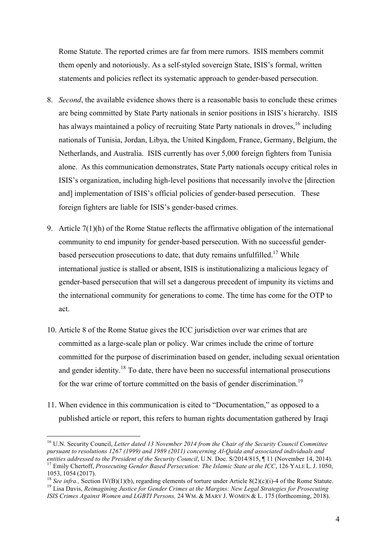Rome Statute. The reported crimes are far from mere rumors. ISIS members commit them openly and notoriously. As a self-styled sovereign State, ISIS's formal, written statements and policies reflect its systematic approach to gender-based persecution.

- 8. *Second*, the available evidence shows there is a reasonable basis to conclude these crimes are being committed by State Party nationals in senior positions in ISIS's hierarchy. ISIS has always maintained a policy of recruiting State Party nationals in droves, <sup>16</sup> including nationals of Tunisia, Jordan, Libya, the United Kingdom, France, Germany, Belgium, the Netherlands, and Australia. ISIS currently has over 5,000 foreign fighters from Tunisia alone. As this communication demonstrates, State Party nationals occupy critical roles in ISIS's organization, including high-level positions that necessarily involve the [direction and] implementation of ISIS's official policies of gender-based persecution. These foreign fighters are liable for ISIS's gender-based crimes.
- 9. Article 7(1)(h) of the Rome Statue reflects the affirmative obligation of the international community to end impunity for gender-based persecution. With no successful genderbased persecution prosecutions to date, that duty remains unfulfilled.<sup>17</sup> While international justice is stalled or absent, ISIS is institutionalizing a malicious legacy of gender-based persecution that will set a dangerous precedent of impunity its victims and the international community for generations to come. The time has come for the OTP to act.
- 10. Article 8 of the Rome Statue gives the ICC jurisdiction over war crimes that are committed as a large-scale plan or policy. War crimes include the crime of torture committed for the purpose of discrimination based on gender, including sexual orientation and gender identity.<sup>18</sup> To date, there have been no successful international prosecutions for the war crime of torture committed on the basis of gender discrimination.<sup>19</sup>
- 11. When evidence in this communication is cited to "Documentation," as opposed to a published article or report, this refers to human rights documentation gathered by Iraqi

 <sup>16</sup> U.N. Security Council, *Letter dated 13 November 2014 from the Chair of the Security Council Committee pursuant to resolutions 1267 (1999) and 1989 (2011) concerning Al-Qaida and associated individuals and*  <sup>17</sup> Emily Chertoff, *Prosecuting Gender Based Persecution: The Islamic State at the ICC*, 126 YALE L. J. 1050, 1053 1054 (2017)

<sup>&</sup>lt;sup>18</sup> See infra., Section IV(B)(1)(b), regarding elements of torture under Article 8(2)(c)(i)-4 of the Rome Statute.<br><sup>19</sup> Lisa Davis, *Reimagining Justice for Gender Crimes at the Margins: New Legal Strategies for Prosecut ISIS Crimes Against Women and LGBTI Persons,* 24 WM. & MARY J. WOMEN & L. 175 (forthcoming, 2018).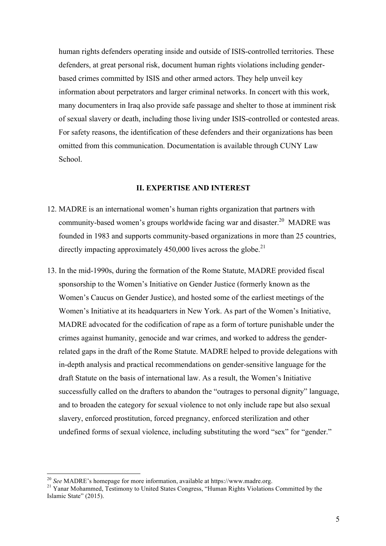human rights defenders operating inside and outside of ISIS-controlled territories. These defenders, at great personal risk, document human rights violations including genderbased crimes committed by ISIS and other armed actors. They help unveil key information about perpetrators and larger criminal networks. In concert with this work, many documenters in Iraq also provide safe passage and shelter to those at imminent risk of sexual slavery or death, including those living under ISIS-controlled or contested areas. For safety reasons, the identification of these defenders and their organizations has been omitted from this communication. Documentation is available through CUNY Law School.

#### **II. EXPERTISE AND INTEREST**

- 12. MADRE is an international women's human rights organization that partners with community-based women's groups worldwide facing war and disaster.<sup>20</sup> MADRE was founded in 1983 and supports community-based organizations in more than 25 countries, directly impacting approximately 450,000 lives across the globe.<sup>21</sup>
- 13. In the mid-1990s, during the formation of the Rome Statute, MADRE provided fiscal sponsorship to the Women's Initiative on Gender Justice (formerly known as the Women's Caucus on Gender Justice), and hosted some of the earliest meetings of the Women's Initiative at its headquarters in New York. As part of the Women's Initiative, MADRE advocated for the codification of rape as a form of torture punishable under the crimes against humanity, genocide and war crimes, and worked to address the genderrelated gaps in the draft of the Rome Statute. MADRE helped to provide delegations with in-depth analysis and practical recommendations on gender-sensitive language for the draft Statute on the basis of international law. As a result, the Women's Initiative successfully called on the drafters to abandon the "outrages to personal dignity" language, and to broaden the category for sexual violence to not only include rape but also sexual slavery, enforced prostitution, forced pregnancy, enforced sterilization and other undefined forms of sexual violence, including substituting the word "sex" for "gender."

<sup>&</sup>lt;sup>20</sup> *See* MADRE's homepage for more information, available at https://www.madre.org.<br><sup>21</sup> Yanar Mohammed, Testimony to United States Congress, "Human Rights Violations Committed by the Islamic State" (2015).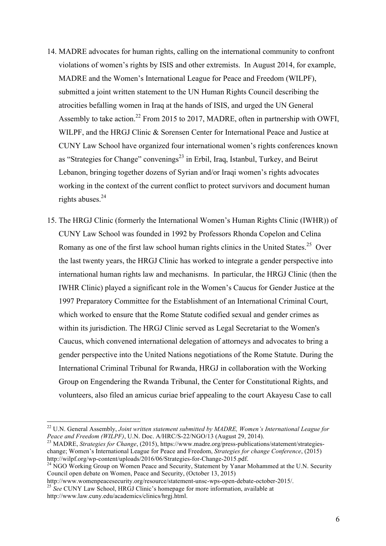- 14. MADRE advocates for human rights, calling on the international community to confront violations of women's rights by ISIS and other extremists. In August 2014, for example, MADRE and the Women's International League for Peace and Freedom (WILPF), submitted a joint written statement to the UN Human Rights Council describing the atrocities befalling women in Iraq at the hands of ISIS, and urged the UN General Assembly to take action.<sup>22</sup> From 2015 to 2017, MADRE, often in partnership with OWFI, WILPF, and the HRGJ Clinic & Sorensen Center for International Peace and Justice at CUNY Law School have organized four international women's rights conferences known as "Strategies for Change" convenings<sup>23</sup> in Erbil, Iraq, Istanbul, Turkey, and Beirut Lebanon, bringing together dozens of Syrian and/or Iraqi women's rights advocates working in the context of the current conflict to protect survivors and document human rights abuses. $24$
- 15. The HRGJ Clinic (formerly the International Women's Human Rights Clinic (IWHR)) of CUNY Law School was founded in 1992 by Professors Rhonda Copelon and Celina Romany as one of the first law school human rights clinics in the United States.<sup>25</sup> Over the last twenty years, the HRGJ Clinic has worked to integrate a gender perspective into international human rights law and mechanisms. In particular, the HRGJ Clinic (then the IWHR Clinic) played a significant role in the Women's Caucus for Gender Justice at the 1997 Preparatory Committee for the Establishment of an International Criminal Court, which worked to ensure that the Rome Statute codified sexual and gender crimes as within its jurisdiction. The HRGJ Clinic served as Legal Secretariat to the Women's Caucus, which convened international delegation of attorneys and advocates to bring a gender perspective into the United Nations negotiations of the Rome Statute. During the International Criminal Tribunal for Rwanda, HRGJ in collaboration with the Working Group on Engendering the Rwanda Tribunal, the Center for Constitutional Rights, and volunteers, also filed an amicus curiae brief appealing to the court Akayesu Case to call

<sup>&</sup>lt;sup>22</sup> U.N. General Assembly, *Joint written statement submitted by MADRE, Women's International League for Peace and Freedom (WILPF)*, U.N. Doc. A/HRC/S-22/NGO/13 (August 29, 2014).

<sup>&</sup>lt;sup>23</sup> MADRE, *Strategies for Change*, (2015), https://www.madre.org/press-publications/statement/strategieschange; Women's International League for Peace and Freedom, *Strategies for change Conference*, (2015)

<sup>&</sup>lt;sup>24</sup> NGO Working Group on Women Peace and Security, Statement by Yanar Mohammed at the U.N. Security Council open debate on Women, Peace and Security, (October 13, 2015)<br>http://www.womenpeacesecurity.org/resource/statement-unsc-wps-open-debate-october-2015/.

<sup>&</sup>lt;sup>25</sup> See CUNY Law School, HRGJ Clinic's homepage for more information, available at

http://www.law.cuny.edu/academics/clinics/hrgj.html.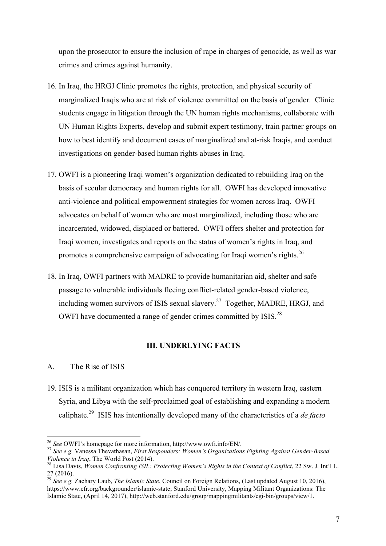upon the prosecutor to ensure the inclusion of rape in charges of genocide, as well as war crimes and crimes against humanity.

- 16. In Iraq, the HRGJ Clinic promotes the rights, protection, and physical security of marginalized Iraqis who are at risk of violence committed on the basis of gender. Clinic students engage in litigation through the UN human rights mechanisms, collaborate with UN Human Rights Experts, develop and submit expert testimony, train partner groups on how to best identify and document cases of marginalized and at-risk Iraqis, and conduct investigations on gender-based human rights abuses in Iraq.
- 17. OWFI is a pioneering Iraqi women's organization dedicated to rebuilding Iraq on the basis of secular democracy and human rights for all. OWFI has developed innovative anti-violence and political empowerment strategies for women across Iraq. OWFI advocates on behalf of women who are most marginalized, including those who are incarcerated, widowed, displaced or battered. OWFI offers shelter and protection for Iraqi women, investigates and reports on the status of women's rights in Iraq, and promotes a comprehensive campaign of advocating for Iraqi women's rights.<sup>26</sup>
- 18. In Iraq, OWFI partners with MADRE to provide humanitarian aid, shelter and safe passage to vulnerable individuals fleeing conflict-related gender-based violence, including women survivors of ISIS sexual slavery.<sup>27</sup> Together, MADRE, HRGJ, and OWFI have documented a range of gender crimes committed by ISIS.<sup>28</sup>

#### **III. UNDERLYING FACTS**

#### A. The Rise of ISIS

19. ISIS is a militant organization which has conquered territory in western Iraq, eastern Syria, and Libya with the self-proclaimed goal of establishing and expanding a modern caliphate.29 ISIS has intentionally developed many of the characteristics of a *de facto*

<sup>&</sup>lt;sup>26</sup> *See* OWFI's homepage for more information, http://www.owfi.info/EN/.<br><sup>27</sup> *See e.g.* Vanessa Thevathasan, *First Responders: Women's Organizations Fighting Against Gender-Based Violence in Iraq. The World Post (2014)* 

<sup>&</sup>lt;sup>28</sup> Lisa Davis, *Women Confronting ISIL: Protecting Women's Rights in the Context of Conflict*, 22 Sw. J. Int'l L. 27 (2016).

<sup>29</sup> *See e.g.* Zachary Laub, *The Islamic State*, Council on Foreign Relations, (Last updated August 10, 2016), https://www.cfr.org/backgrounder/islamic-state; Stanford University, Mapping Militant Organizations: The Islamic State, (April 14, 2017), http://web.stanford.edu/group/mappingmilitants/cgi-bin/groups/view/1.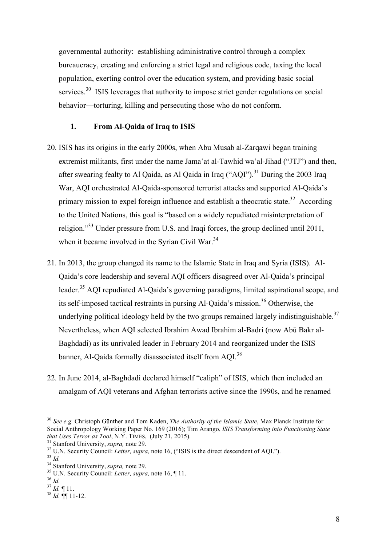governmental authority: establishing administrative control through a complex bureaucracy, creating and enforcing a strict legal and religious code, taxing the local population, exerting control over the education system, and providing basic social services.<sup>30</sup> ISIS leverages that authority to impose strict gender regulations on social behavior—torturing, killing and persecuting those who do not conform.

#### **1. From Al-Qaida of Iraq to ISIS**

- 20. ISIS has its origins in the early 2000s, when Abu Musab al-Zarqawi began training extremist militants, first under the name Jama'at al-Tawhid wa'al-Jihad ("JTJ") and then, after swearing fealty to Al Qaida, as Al Qaida in Iraq ("AQI").<sup>31</sup> During the 2003 Iraq War, AQI orchestrated Al-Qaida-sponsored terrorist attacks and supported Al-Qaida's primary mission to expel foreign influence and establish a theocratic state.<sup>32</sup> According to the United Nations, this goal is "based on a widely repudiated misinterpretation of religion."33 Under pressure from U.S. and Iraqi forces, the group declined until 2011, when it became involved in the Syrian Civil War.<sup>34</sup>
- 21. In 2013, the group changed its name to the Islamic State in Iraq and Syria (ISIS). Al-Qaida's core leadership and several AQI officers disagreed over Al-Qaida's principal leader.<sup>35</sup> AOI repudiated Al-Qaida's governing paradigms, limited aspirational scope, and its self-imposed tactical restraints in pursing Al-Qaida's mission.<sup>36</sup> Otherwise, the underlying political ideology held by the two groups remained largely indistinguishable.<sup>37</sup> Nevertheless, when AQI selected Ibrahim Awad Ibrahim al-Badri (now Abū Bakr al-Baghdadi) as its unrivaled leader in February 2014 and reorganized under the ISIS banner, Al-Qaida formally disassociated itself from AQI.38
- 22. In June 2014, al-Baghdadi declared himself "caliph" of ISIS, which then included an amalgam of AQI veterans and Afghan terrorists active since the 1990s, and he renamed

- 
- 

 <sup>30</sup> *See e.g.* Christoph Günther and Tom Kaden, *The Authority of the Islamic State*, Max Planck Institute for Social Anthropology Working Paper No. 169 (2016); Tim Arango, *ISIS Transforming into Functioning State* 

<sup>&</sup>lt;sup>31</sup> Stanford University, *supra*, note 29.<br><sup>32</sup> U.N. Security Council: *Letter*, *supra*, note 16, ("ISIS is the direct descendent of AQI.").<br><sup>33</sup> Id.<br><sup>34</sup> Stanford University, *supra*, note 29.<br><sup>35</sup> U.N. Security Counci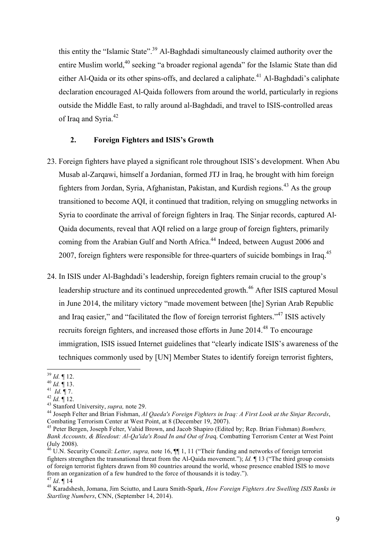this entity the "Islamic State".<sup>39</sup> Al-Baghdadi simultaneously claimed authority over the entire Muslim world,<sup>40</sup> seeking "a broader regional agenda" for the Islamic State than did either Al-Qaida or its other spins-offs, and declared a caliphate.<sup>41</sup> Al-Baghdadi's caliphate declaration encouraged Al-Qaida followers from around the world, particularly in regions outside the Middle East, to rally around al-Baghdadi, and travel to ISIS-controlled areas of Iraq and Syria.<sup>42</sup>

#### **2. Foreign Fighters and ISIS's Growth**

- 23. Foreign fighters have played a significant role throughout ISIS's development. When Abu Musab al-Zarqawi, himself a Jordanian, formed JTJ in Iraq, he brought with him foreign fighters from Jordan, Syria, Afghanistan, Pakistan, and Kurdish regions.<sup>43</sup> As the group transitioned to become AQI, it continued that tradition, relying on smuggling networks in Syria to coordinate the arrival of foreign fighters in Iraq. The Sinjar records, captured Al-Qaida documents, reveal that AQI relied on a large group of foreign fighters, primarily coming from the Arabian Gulf and North Africa.<sup>44</sup> Indeed, between August 2006 and 2007, foreign fighters were responsible for three-quarters of suicide bombings in Iraq.<sup>45</sup>
- 24. In ISIS under Al-Baghdadi's leadership, foreign fighters remain crucial to the group's leadership structure and its continued unprecedented growth.<sup>46</sup> After ISIS captured Mosul in June 2014, the military victory "made movement between [the] Syrian Arab Republic and Iraq easier," and "facilitated the flow of foreign terrorist fighters."<sup>47</sup> ISIS actively recruits foreign fighters, and increased those efforts in June 2014.<sup>48</sup> To encourage immigration, ISIS issued Internet guidelines that "clearly indicate ISIS's awareness of the techniques commonly used by [UN] Member States to identify foreign terrorist fighters,

<sup>&</sup>lt;sup>39</sup> Id.  $\parallel$  12.<br>
<sup>40</sup> Id.  $\parallel$  13.<br>
<sup>41</sup> Id.  $\parallel$  7.<br>
<sup>42</sup> Id.  $\parallel$  12.<br>
<sup>43</sup> Stanford University, *supra*, note 29.<br>
<sup>44</sup> Joseph Felter and Brian Fishman, *Al Qaeda's Foreign Fighters in Iraq: A First Look at the Sinja* Combating Terrorism Center at West Point, at 8 (December 19, 2007). <sup>45</sup> Peter Bergen, Joseph Felter, Vahid Brown, and Jacob Shapiro (Edited by; Rep. Brian Fishman) *Bombers,* 

*Bank Accounts, & Bleedout: Al-Qa'ida's Road In and Out of Ira*q. Combatting Terrorism Center at West Point (July 2008). <sup>46</sup> U.N. Security Council: *Letter, supra,* note 16, ¶¶ 1, 11 ("Their funding and networks of foreign terrorist

fighters strengthen the transnational threat from the Al-Qaida movement."); *Id.* ¶ 13 ("The third group consists of foreign terrorist fighters drawn from 80 countries around the world, whose presence enabled ISIS to move from an organization of a few hundred to the force of thousands it is today.").<br> $^{47}$  *Id*  $\P$  14

<sup>47</sup> *Id*. ¶ 14 <sup>48</sup> Karadshesh, Jomana, Jim Sciutto, and Laura Smith-Spark, *How Foreign Fighters Are Swelling ISIS Ranks in Startling Numbers*, CNN, (September 14, 2014).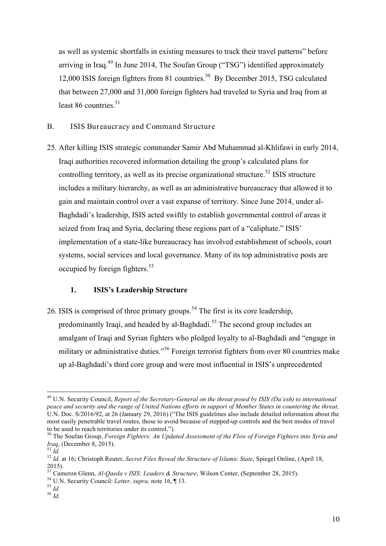as well as systemic shortfalls in existing measures to track their travel patterns" before arriving in Iraq.<sup>49</sup> In June 2014, The Soufan Group ("TSG") identified approximately 12,000 ISIS foreign fighters from 81 countries.<sup>50</sup> By December 2015, TSG calculated that between 27,000 and 31,000 foreign fighters had traveled to Syria and Iraq from at least  $86$  countries.<sup>51</sup>

- B. ISIS Bureaucracy and Command Structure
- 25. After killing ISIS strategic commander Samir Abd Muhammad al-Khlifawi in early 2014, Iraqi authorities recovered information detailing the group's calculated plans for controlling territory, as well as its precise organizational structure.<sup>52</sup> ISIS structure includes a military hierarchy, as well as an administrative bureaucracy that allowed it to gain and maintain control over a vast expanse of territory. Since June 2014, under al-Baghdadi's leadership, ISIS acted swiftly to establish governmental control of areas it seized from Iraq and Syria, declaring these regions part of a "caliphate." ISIS' implementation of a state-like bureaucracy has involved establishment of schools, court systems, social services and local governance. Many of its top administrative posts are occupied by foreign fighters.<sup>53</sup>

#### **1. ISIS's Leadership Structure**

26. ISIS is comprised of three primary groups.<sup>54</sup> The first is its core leadership, predominantly Iraqi, and headed by al-Baghdadi.<sup>55</sup> The second group includes an amalgam of Iraqi and Syrian fighters who pledged loyalty to al-Baghdadi and "engage in military or administrative duties."<sup>56</sup> Foreign terrorist fighters from over 80 countries make up al-Baghdadi's third core group and were most influential in ISIS's unprecedented

 <sup>49</sup> U.N. Security Council, *Report of the Secretary-General on the threat posed by ISIS (Da'esh) to international peace and security and the range of United Nations efforts in support of Member States in countering the threat,* U.N. Doc. S/2016/92, at 26 (January 29, 2016) ("The ISIS guidelines also include detailed information about the most easily penetrable travel routes, those to avoid because of stepped-up controls and the best modes of travel to be used to reach territories under its control.").

<sup>50</sup> The Soufan Group, *Foreign Fighters: An Updated Assessment of the Flow of Foreign Fighters into Syria and Iraq*, (December 8, 2015). <sup>51</sup> *Id.* <sup>52</sup> *Id.* at 16; Christoph Reuter, *Secret Files Reveal the Structure of Islamic State*, Spiegel Online, (April 18,

<sup>2015).</sup>

<sup>53</sup> Cameron Glenn, *Al-Qaeda v ISIS: Leaders & Structure*, Wilson Center, (September 28, 2015). <sup>54</sup> U.N. Security Council: *Letter, supra,* note 16, ¶ 13. <sup>55</sup> *Id.* <sup>56</sup> *Id.*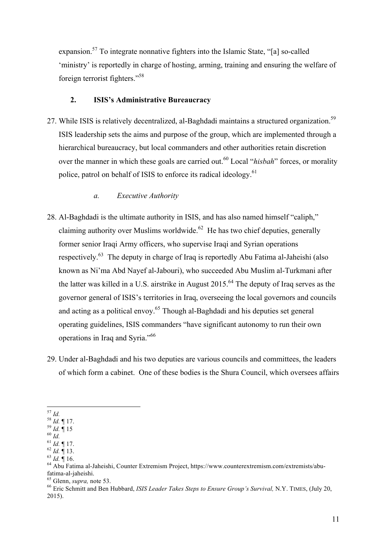expansion.57 To integrate nonnative fighters into the Islamic State, "[a] so-called 'ministry' is reportedly in charge of hosting, arming, training and ensuring the welfare of foreign terrorist fighters."58

#### **2. ISIS's Administrative Bureaucracy**

27. While ISIS is relatively decentralized, al-Baghdadi maintains a structured organization.<sup>59</sup> ISIS leadership sets the aims and purpose of the group, which are implemented through a hierarchical bureaucracy, but local commanders and other authorities retain discretion over the manner in which these goals are carried out.<sup>60</sup> Local "*hisbah*" forces, or morality police, patrol on behalf of ISIS to enforce its radical ideology.<sup>61</sup>

#### *a. Executive Authority*

- 28. Al-Baghdadi is the ultimate authority in ISIS, and has also named himself "caliph," claiming authority over Muslims worldwide.<sup>62</sup> He has two chief deputies, generally former senior Iraqi Army officers, who supervise Iraqi and Syrian operations respectively.<sup>63</sup> The deputy in charge of Iraq is reportedly Abu Fatima al-Jaheishi (also known as Ni'ma Abd Nayef al-Jabouri), who succeeded Abu Muslim al-Turkmani after the latter was killed in a U.S. airstrike in August 2015.<sup>64</sup> The deputy of Iraq serves as the governor general of ISIS's territories in Iraq, overseeing the local governors and councils and acting as a political envoy.<sup>65</sup> Though al-Baghdadi and his deputies set general operating guidelines, ISIS commanders "have significant autonomy to run their own operations in Iraq and Syria."<sup>66</sup>
- 29. Under al-Baghdadi and his two deputies are various councils and committees, the leaders of which form a cabinet. One of these bodies is the Shura Council, which oversees affairs

<sup>&</sup>lt;sup>57</sup> *Id.*<br>
<sup>58</sup> *Id.* ¶ 17.<br>
<sup>59</sup> *Id.* ¶ 15<br>
<sup>60</sup> *Id.* ¶ 15<br>
<sup>61</sup> *Id.* ¶ 17.<br>
<sup>62</sup> *Id.* ¶ 17.<br>
<sup>62</sup> *Id.* ¶ 18.<br>
<sup>63</sup> *Id.* ¶ 18.<br>
<sup>63</sup> *Id.* ¶ 16.<br>
<sup>64</sup> Abu Fatima al-Jaheishi, Counter Extremism Project, https://www

<sup>&</sup>lt;sup>65</sup> Glenn, *supra*, note 53.<br><sup>66</sup> Eric Schmitt and Ben Hubbard, *ISIS Leader Takes Steps to Ensure Group's Survival*, N.Y. TIMES, (July 20, 2015).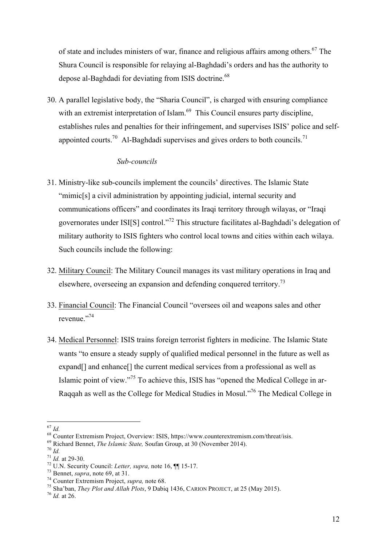of state and includes ministers of war, finance and religious affairs among others. <sup>67</sup> The Shura Council is responsible for relaying al-Baghdadi's orders and has the authority to depose al-Baghdadi for deviating from ISIS doctrine.<sup>68</sup>

30. A parallel legislative body, the "Sharia Council", is charged with ensuring compliance with an extremist interpretation of Islam.<sup>69</sup> This Council ensures party discipline, establishes rules and penalties for their infringement, and supervises ISIS' police and selfappointed courts.<sup>70</sup> Al-Baghdadi supervises and gives orders to both councils.<sup>71</sup>

#### *Sub-councils*

- 31. Ministry-like sub-councils implement the councils' directives. The Islamic State "mimic[s] a civil administration by appointing judicial, internal security and communications officers" and coordinates its Iraqi territory through wilayas, or "Iraqi governorates under ISI[S] control."72 This structure facilitates al-Baghdadi's delegation of military authority to ISIS fighters who control local towns and cities within each wilaya. Such councils include the following:
- 32. Military Council: The Military Council manages its vast military operations in Iraq and elsewhere, overseeing an expansion and defending conquered territory.73
- 33. Financial Council: The Financial Council "oversees oil and weapons sales and other revenue."<sup>74</sup>
- 34. Medical Personnel: ISIS trains foreign terrorist fighters in medicine. The Islamic State wants "to ensure a steady supply of qualified medical personnel in the future as well as expand[] and enhance[] the current medical services from a professional as well as Islamic point of view."<sup>75</sup> To achieve this, ISIS has "opened the Medical College in ar-Raqqah as well as the College for Medical Studies in Mosul."76 The Medical College in

<sup>&</sup>lt;sup>67</sup> *Id.*<br>
<sup>68</sup> Counter Extremism Project, Overview: ISIS, https://www.counterextremism.com/threat/isis.<br>
<sup>69</sup> Richard Bennet, *The Islamic State*, Soufan Group, at 30 (November 2014).<br>
<sup>70</sup> *Id.*<br>
<sup>71</sup> *Id.* at 29-30.<br>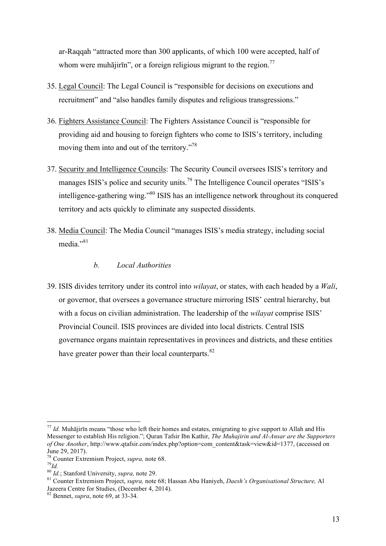ar-Raqqah "attracted more than 300 applicants, of which 100 were accepted, half of whom were muhājirīn", or a foreign religious migrant to the region.<sup>77</sup>

- 35. Legal Council: The Legal Council is "responsible for decisions on executions and recruitment" and "also handles family disputes and religious transgressions."
- 36. Fighters Assistance Council: The Fighters Assistance Council is "responsible for providing aid and housing to foreign fighters who come to ISIS's territory, including moving them into and out of the territory."<sup>78</sup>
- 37. Security and Intelligence Councils: The Security Council oversees ISIS's territory and manages ISIS's police and security units.<sup>79</sup> The Intelligence Council operates "ISIS's intelligence-gathering wing."<sup>80</sup> ISIS has an intelligence network throughout its conquered territory and acts quickly to eliminate any suspected dissidents.
- 38. Media Council: The Media Council "manages ISIS's media strategy, including social media."<sup>81</sup>

#### *b. Local Authorities*

39. ISIS divides territory under its control into *wilayat*, or states, with each headed by a *Wali*, or governor, that oversees a governance structure mirroring ISIS' central hierarchy, but with a focus on civilian administration. The leadership of the *wilayat* comprise ISIS' Provincial Council. ISIS provinces are divided into local districts. Central ISIS governance organs maintain representatives in provinces and districts, and these entities have greater power than their local counterparts.  $82$ 

<sup>&</sup>lt;sup>77</sup> *Id.* Muhājirīn means "those who left their homes and estates, emigrating to give support to Allah and His Messenger to establish His religion."; Quran Tafsir Ibn Kathir, *The Muhajirin and Al-Ansar are the Supporters of One Another*, http://www.qtafsir.com/index.php?option=com\_content&task=view&id=1377, (accessed on June 29, 2017).

<sup>78</sup> Counter Extremism Project, *supra,* note 68. <sup>79</sup>*Id.*

<sup>&</sup>lt;sup>81</sup> Counter Extremism Project, *supra*, note 68; Hassan Abu Haniyeh, *Daesh's Organisational Structure*, Al Jazeera Centre for Studies, (December 4, 2014).

<sup>82</sup> Bennet, *supra*, note 69, at 33-34.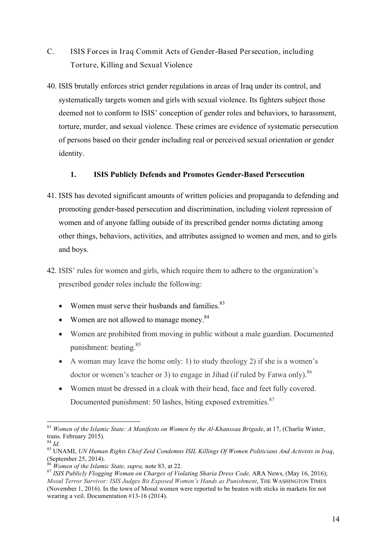- C. ISIS Forces in Iraq Commit Acts of Gender-Based Persecution, including Torture, Killing and Sexual Violence
- 40. ISIS brutally enforces strict gender regulations in areas of Iraq under its control, and systematically targets women and girls with sexual violence. Its fighters subject those deemed not to conform to ISIS' conception of gender roles and behaviors, to harassment, torture, murder, and sexual violence. These crimes are evidence of systematic persecution of persons based on their gender including real or perceived sexual orientation or gender identity.

#### **1. ISIS Publicly Defends and Promotes Gender-Based Persecution**

- 41. ISIS has devoted significant amounts of written policies and propaganda to defending and promoting gender-based persecution and discrimination, including violent repression of women and of anyone falling outside of its prescribed gender norms dictating among other things, behaviors, activities, and attributes assigned to women and men, and to girls and boys.
- 42. ISIS' rules for women and girls, which require them to adhere to the organization's prescribed gender roles include the following:
	- Women must serve their husbands and families. $83$
	- Women are not allowed to manage money.<sup>84</sup>
	- Women are prohibited from moving in public without a male guardian. Documented punishment: beating. 85
	- A woman may leave the home only: 1) to study theology 2) if she is a women's doctor or women's teacher or 3) to engage in Jihad (if ruled by Fatwa only).<sup>86</sup>
	- Women must be dressed in a cloak with their head, face and feet fully covered. Documented punishment: 50 lashes, biting exposed extremities.<sup>87</sup>

 <sup>83</sup> *Women of the Islamic State: A Manifesto on Women by the Al-Khanssaa Brigade*, at 17, (Charlie Winter, trans. February 2015).<br> $84$  *Id* 

<sup>84</sup> *Id.* <sup>85</sup> UNAMI, *UN Human Rights Chief Zeid Condemns ISIL Killings Of Women Politicians And Activists in Iraq*, (September 25, 2014).<br> $^{86}$  *Women of the Islamic State, supra, note* 83, at 22.

<sup>&</sup>lt;sup>87</sup> ISIS Publicly Flogging Woman on Charges of Violating Sharia Dress Code, ARA News, (May 16, 2016); *Mosul Terror Survivor: ISIS Judges Bit Exposed Women's Hands as Punishment*, THE WASHINGTON TIMES (November 1, 2016). In the town of Mosul women were reported to be beaten with sticks in markets for not wearing a veil. Documentation #13-16 (2014).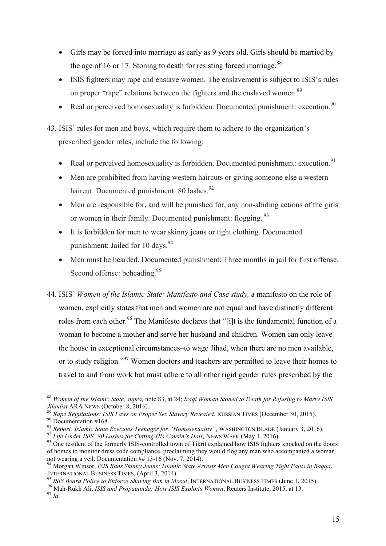- Girls may be forced into marriage as early as 9 years old. Girls should be married by the age of 16 or 17. Stoning to death for resisting forced marriage.<sup>88</sup>
- ISIS fighters may rape and enslave women. The enslavement is subject to ISIS's rules on proper "rape" relations between the fighters and the enslaved women.<sup>89</sup>
- Real or perceived homosexuality is forbidden. Documented punishment: execution.<sup>90</sup>
- 43. ISIS' rules for men and boys, which require them to adhere to the organization's prescribed gender roles, include the following:
	- Real or perceived homosexuality is forbidden. Documented punishment: execution.<sup>91</sup>
	- Men are prohibited from having western haircuts or giving someone else a western haircut. Documented punishment: 80 lashes.<sup>92</sup>
	- Men are responsible for, and will be punished for, any non-abiding actions of the girls or women in their family. Documented punishment: flogging.<sup>93</sup>
	- It is forbidden for men to wear skinny jeans or tight clothing. Documented punishment: Jailed for 10 days.<sup>94</sup>
	- Men must be bearded. Documented punishment: Three months in jail for first offense. Second offense: beheading.<sup>95</sup>
- 44. ISIS' *Women of the Islamic State: Manifesto and Case study,* a manifesto on the role of women, explicitly states that men and women are not equal and have distinctly different roles from each other.<sup>96</sup> The Manifesto declares that "[i]t is the fundamental function of a woman to become a mother and serve her husband and children. Women can only leave the house in exceptional circumstances–to wage Jihad, when there are no men available, or to study religion."<sup>97</sup> Women doctors and teachers are permitted to leave their homes to travel to and from work but must adhere to all other rigid gender rules prescribed by the

<sup>89</sup> Rape Regulations: ISIS Laws on Proper Sex Slavery Revealed, RUSSIAN TIMES (December 30, 2015).<br><sup>90</sup> Documentation #168.<br><sup>91</sup> Report: Islamic State Executes Teenager for "Homosexuality", WASHINGTON BLADE (January 3, 2

 <sup>88</sup> *Women of the Islamic State, supra,* note 83, at 24; *Iraqi Woman Stoned to Death for Refusing to Marry ISIS* 

of homes to monitor dress code compliance, proclaiming they would flog any man who accompanied a woman not wearing a veil. Documentation ## 13-16 (Nov. 7, 2014).

<sup>&</sup>lt;sup>94</sup> Morgan Winsor, *ISIS Bans Skinny Jeans: Islamic State Arrests Men Caught Wearing Tight Pants in Raqqa.*<br>INTERNATIONAL BUSINESS TIMES. (April 3, 2014).

<sup>&</sup>lt;sup>95</sup> ISIS Beard Police to Enforce Shaving Ban in Mosul, INTERNATIONAL BUSINESS TIMES (June 1, 2015).<br><sup>96</sup> Mah-Rukh Ali, *ISIS and Propaganda: How ISIS Exploits Women*, Reuters Institute, 2015, at 13.<br><sup>97</sup> Id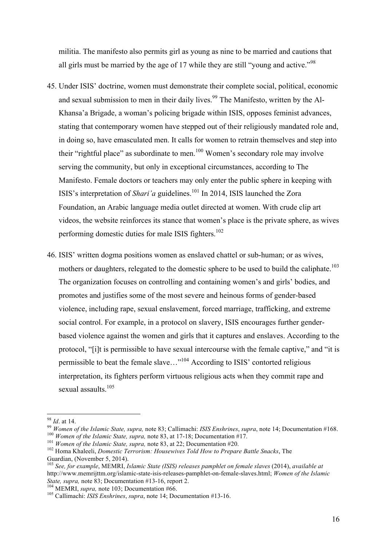militia. The manifesto also permits girl as young as nine to be married and cautions that all girls must be married by the age of 17 while they are still "young and active."<sup>98</sup>

- 45. Under ISIS' doctrine, women must demonstrate their complete social, political, economic and sexual submission to men in their daily lives.<sup>99</sup> The Manifesto, written by the Al-Khansa'a Brigade, a woman's policing brigade within ISIS, opposes feminist advances, stating that contemporary women have stepped out of their religiously mandated role and, in doing so, have emasculated men. It calls for women to retrain themselves and step into their "rightful place" as subordinate to men.<sup>100</sup> Women's secondary role may involve serving the community, but only in exceptional circumstances, according to The Manifesto. Female doctors or teachers may only enter the public sphere in keeping with ISIS's interpretation of *Shari'a* guidelines.<sup>101</sup> In 2014, ISIS launched the Zora Foundation, an Arabic language media outlet directed at women. With crude clip art videos, the website reinforces its stance that women's place is the private sphere, as wives performing domestic duties for male ISIS fighters.<sup>102</sup>
- 46. ISIS' written dogma positions women as enslaved chattel or sub-human; or as wives, mothers or daughters, relegated to the domestic sphere to be used to build the caliphate.<sup>103</sup> The organization focuses on controlling and containing women's and girls' bodies, and promotes and justifies some of the most severe and heinous forms of gender-based violence, including rape, sexual enslavement, forced marriage, trafficking, and extreme social control. For example, in a protocol on slavery, ISIS encourages further genderbased violence against the women and girls that it captures and enslaves. According to the protocol, "[i]t is permissible to have sexual intercourse with the female captive," and "it is permissible to beat the female slave…"104 According to ISIS' contorted religious interpretation, its fighters perform virtuous religious acts when they commit rape and sexual assaults.<sup>105</sup>

<sup>&</sup>lt;sup>98</sup> *Id.* at 14.<br><sup>99</sup> *Women of the Islamic State, supra, note 83; Callimachi: ISIS Enshrines, supra, note 14; Documentation #168.<br><sup>100</sup> <i>Women of the Islamic State, supra, note 83, at 17-18; Documentation #17.*<br><sup>101</sup> *W* 

<sup>&</sup>lt;sup>103</sup> *See, for example*, MEMRI, *Islamic State (ISIS) releases pamphlet on female slaves* (2014), *available at* http://www.memrijttm.org/islamic-state-isis-releases-pamphlet-on-female-slaves.html; *Women of the Islamic* 

<sup>&</sup>lt;sup>104</sup> MEMRI, *supra*, note 103; Documentation #66. <sup>105</sup> Callimachi: *ISIS Enshrines*, *supra*, note 14; Documentation #13-16.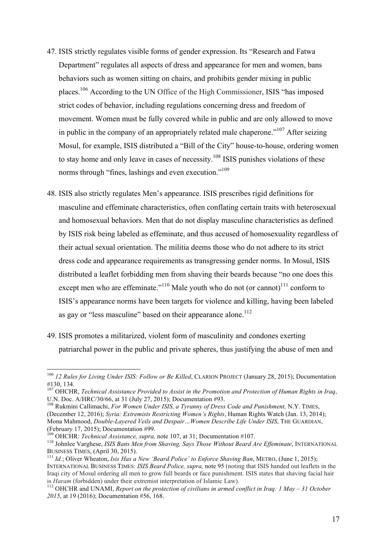- 47. ISIS strictly regulates visible forms of gender expression. Its "Research and Fatwa Department" regulates all aspects of dress and appearance for men and women, bans behaviors such as women sitting on chairs, and prohibits gender mixing in public places.106 According to the UN Office of the High Commissioner, ISIS "has imposed strict codes of behavior, including regulations concerning dress and freedom of movement. Women must be fully covered while in public and are only allowed to move in public in the company of an appropriately related male chaperone.<sup> $107$ </sup> After seizing Mosul, for example, ISIS distributed a "Bill of the City" house-to-house, ordering women to stay home and only leave in cases of necessity.<sup>108</sup> ISIS punishes violations of these norms through "fines, lashings and even execution."<sup>109</sup>
- 48. ISIS also strictly regulates Men's appearance. ISIS prescribes rigid definitions for masculine and effeminate characteristics, often conflating certain traits with heterosexual and homosexual behaviors. Men that do not display masculine characteristics as defined by ISIS risk being labeled as effeminate, and thus accused of homosexuality regardless of their actual sexual orientation. The militia deems those who do not adhere to its strict dress code and appearance requirements as transgressing gender norms. In Mosul, ISIS distributed a leaflet forbidding men from shaving their beards because "no one does this except men who are effeminate."<sup>110</sup> Male youth who do not (or cannot)<sup>111</sup> conform to ISIS's appearance norms have been targets for violence and killing, having been labeled as gay or "less masculine" based on their appearance alone.<sup>112</sup>
- 49. ISIS promotes a militarized, violent form of masculinity and condones exerting patriarchal power in the public and private spheres, thus justifying the abuse of men and

 <sup>106</sup> *12 Rules for Living Under ISIS: Follow or Be Killed*, CLARION PROJECT (January 28, 2015); Documentation #130, 134.

<sup>107</sup> OHCHR, *Technical Assistance Provided to Assist in the Promotion and Protection of Human Rights in Iraq*, U.N. Doc. A/HRC/30/66, at 31 (July 27, 2015); Documentation #93. <sup>108</sup> Rukmini Callimachi, *For Women Under ISIS, a Tyranny of Dress Code and Punishment,* N.Y. TIMES,

<sup>(</sup>December 12, 2016); *Syria: Extremists Restricting Women's Rights*, Human Rights Watch (Jan. 13, 2014); Mona Mahmood, *Double-Layered Veils and Despair…Women Describe Life Under ISIS*, THE GUARDIAN, (February 17, 2015); Documentation #99.<br><sup>109</sup> OHCHR: *Technical Assistance, supra,* note 107, at 31; Documentation #107.

<sup>&</sup>lt;sup>110</sup> Johnlee Varghese, *ISIS Bans Men from Shaving, Says Those Without Beard Are Effeminate*, INTERNATIONAL BUSINESS TIMES, (April 30, 2015). 111 *Id.*; Oliver Wheaton, *Isis Has a New 'Beard Police' to Enforce Shaving Ban*, METRO, (June 1, 2015);

INTERNATIONAL BUSINESS TIMES: *ISIS Beard Police, supra,* note 95 (noting that ISIS handed out leaflets in the Iraqi city of Mosul ordering all men to grow full beards or face punishment. ISIS states that shaving facial hair is *Haram* (forbidden) under their extremist interpretation of Islamic Law).

<sup>&</sup>lt;sup>112</sup> OHCHR and UNAMI, *Report on the protection of civilians in armed conflict in Iraq: 1 May – 31 October 2015*, at 19 (2016); Documentation #56, 168.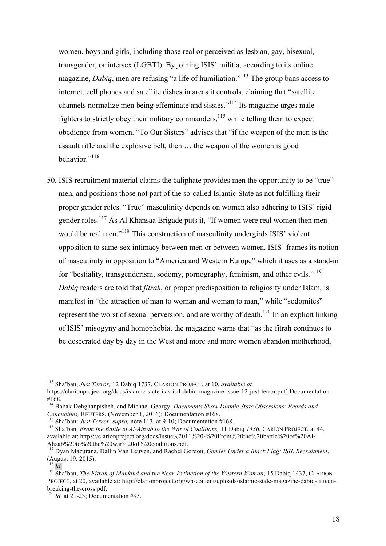women, boys and girls, including those real or perceived as lesbian, gay, bisexual, transgender, or intersex (LGBTI). By joining ISIS' militia, according to its online magazine, *Dabiq*, men are refusing "a life of humiliation."113 The group bans access to internet, cell phones and satellite dishes in areas it controls, claiming that "satellite channels normalize men being effeminate and sissies."114 Its magazine urges male fighters to strictly obey their military commanders,  $^{115}$  while telling them to expect obedience from women. "To Our Sisters" advises that "if the weapon of the men is the assault rifle and the explosive belt, then … the weapon of the women is good behavior<sup>"116</sup>

50. ISIS recruitment material claims the caliphate provides men the opportunity to be "true" men, and positions those not part of the so-called Islamic State as not fulfilling their proper gender roles. "True" masculinity depends on women also adhering to ISIS' rigid gender roles.117 As Al Khansaa Brigade puts it, "If women were real women then men would be real men."<sup>118</sup> This construction of masculinity undergirds ISIS' violent opposition to same-sex intimacy between men or between women. ISIS' frames its notion of masculinity in opposition to "America and Western Europe" which it uses as a stand-in for "bestiality, transgenderism, sodomy, pornography, feminism, and other evils."<sup>119</sup> *Dabiq* readers are told that *fitrah*, or proper predisposition to religiosity under Islam, is manifest in "the attraction of man to woman and woman to man," while "sodomites" represent the worst of sexual perversion, and are worthy of death.<sup>120</sup> In an explicit linking of ISIS' misogyny and homophobia, the magazine warns that "as the fitrah continues to be desecrated day by day in the West and more and more women abandon motherhood,

 <sup>113</sup> Sha'ban, *Just Terror,* 12 Dabiq 1737, CLARION PROJECT, at 10, *available at* https://clarionproject.org/docs/islamic-state-isis-isil-dabiq-magazine-issue-12-just-terror.pdf; Documentation #168.

<sup>114</sup> Babak Dehghanpisheh, and Michael Georgy, *Documents Show Islamic State Obsessions: Beards and*  Concubines, REUTERS, (November 1, 2016); Documentation #168.<br><sup>115</sup> Sha'ban: *Just Terror, supra,* note 113, at 9-10; Documentation #168.<br><sup>116</sup> Sha'ban, *From the Battle of Al-Ahzab to the War of Coalitions*, 11 Dabiq 1436,

available at: https://clarionproject.org/docs/Issue%2011%20-%20From%20the%20battle%20of%20Al-<br>Ahzab%20to%20the%20war%20of%20coalitions.pdf.

<sup>&</sup>lt;sup>117</sup> Dvan Mazurana, Dallin Van Leuven, and Rachel Gordon, *Gender Under a Black Flag: ISIL Recruitment*. (August 19, 2015).

<sup>118</sup> *Id.* <sup>119</sup> Sha'ban, *The Fitrah of Mankind and the Near-Extinction of the Western Woman*, 15 Dabiq 1437, CLARION PROJECT, at 20, available at: http://clarionproject.org/wp-content/uploads/islamic-state-magazine-dabiq-fifteenbreaking-the-cross.pdf. <sup>120</sup> *Id.* at 21-23; Documentation #93.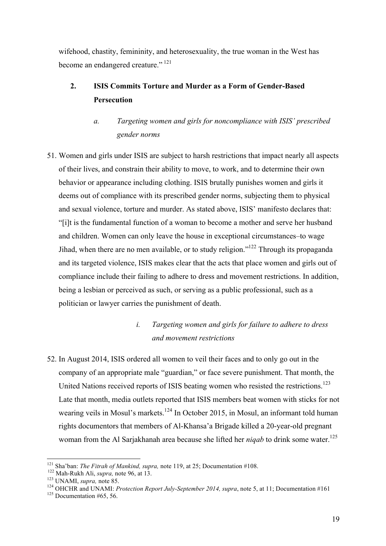wifehood, chastity, femininity, and heterosexuality, the true woman in the West has become an endangered creature." <sup>121</sup>

## **2. ISIS Commits Torture and Murder as a Form of Gender-Based Persecution**

# *a. Targeting women and girls for noncompliance with ISIS' prescribed gender norms*

51. Women and girls under ISIS are subject to harsh restrictions that impact nearly all aspects of their lives, and constrain their ability to move, to work, and to determine their own behavior or appearance including clothing. ISIS brutally punishes women and girls it deems out of compliance with its prescribed gender norms, subjecting them to physical and sexual violence, torture and murder. As stated above, ISIS' manifesto declares that: "[i]t is the fundamental function of a woman to become a mother and serve her husband and children. Women can only leave the house in exceptional circumstances–to wage Jihad, when there are no men available, or to study religion."<sup>122</sup> Through its propaganda and its targeted violence, ISIS makes clear that the acts that place women and girls out of compliance include their failing to adhere to dress and movement restrictions. In addition, being a lesbian or perceived as such, or serving as a public professional, such as a politician or lawyer carries the punishment of death.

# *i. Targeting women and girls for failure to adhere to dress and movement restrictions*

52. In August 2014, ISIS ordered all women to veil their faces and to only go out in the company of an appropriate male "guardian," or face severe punishment. That month, the United Nations received reports of ISIS beating women who resisted the restrictions.<sup>123</sup> Late that month, media outlets reported that ISIS members beat women with sticks for not wearing veils in Mosul's markets.<sup>124</sup> In October 2015, in Mosul, an informant told human rights documentors that members of Al-Khansa'a Brigade killed a 20-year-old pregnant woman from the Al Sarjakhanah area because she lifted her *niqab* to drink some water.<sup>125</sup>

<sup>&</sup>lt;sup>121</sup> Sha'ban: *The Fitrah of Mankind, supra,* note 119, at 25; Documentation #108.<br><sup>122</sup> Mah-Rukh Ali, *supra,* note 96, at 13.<br><sup>123</sup> UNAMI, *supra,* note 85.<br><sup>124</sup> OHCHR and UNAMI: *Protection Report July-September 2014*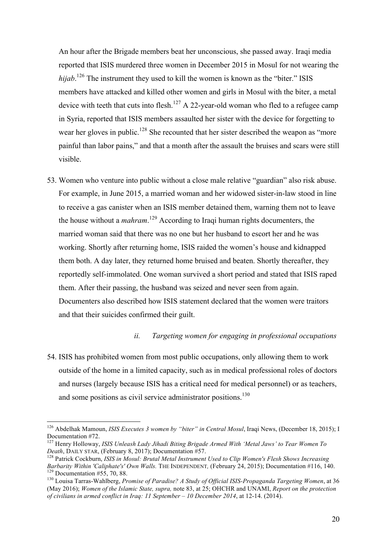An hour after the Brigade members beat her unconscious, she passed away. Iraqi media reported that ISIS murdered three women in December 2015 in Mosul for not wearing the *hijab*. <sup>126</sup> The instrument they used to kill the women is known as the "biter." ISIS members have attacked and killed other women and girls in Mosul with the biter, a metal device with teeth that cuts into flesh.<sup>127</sup> A 22-year-old woman who fled to a refugee camp in Syria, reported that ISIS members assaulted her sister with the device for forgetting to wear her gloves in public.<sup>128</sup> She recounted that her sister described the weapon as "more" painful than labor pains," and that a month after the assault the bruises and scars were still visible.

53. Women who venture into public without a close male relative "guardian" also risk abuse. For example, in June 2015, a married woman and her widowed sister-in-law stood in line to receive a gas canister when an ISIS member detained them, warning them not to leave the house without a *mahram*. <sup>129</sup> According to Iraqi human rights documenters, the married woman said that there was no one but her husband to escort her and he was working. Shortly after returning home, ISIS raided the women's house and kidnapped them both. A day later, they returned home bruised and beaten. Shortly thereafter, they reportedly self-immolated. One woman survived a short period and stated that ISIS raped them. After their passing, the husband was seized and never seen from again. Documenters also described how ISIS statement declared that the women were traitors and that their suicides confirmed their guilt.

#### *ii. Targeting women for engaging in professional occupations*

54. ISIS has prohibited women from most public occupations, only allowing them to work outside of the home in a limited capacity, such as in medical professional roles of doctors and nurses (largely because ISIS has a critical need for medical personnel) or as teachers, and some positions as civil service administrator positions.<sup>130</sup>

<sup>&</sup>lt;sup>126</sup> Abdelhak Mamoun, *ISIS Executes 3 women by "biter" in Central Mosul*, Iraqi News, (December 18, 2015); I Documentation #72.

<sup>&</sup>lt;sup>127</sup> Henry Holloway, *ISIS Unleash Lady Jihadi Biting Brigade Armed With 'Metal Jaws' to Tear Women To Death. DAILY STAR. (February 8, 2017): Documentation #57.* 

<sup>&</sup>lt;sup>128</sup> Patrick Cockburn, *ISIS in Mosul: Brutal Metal Instrument Used to Clip Women's Flesh Shows Increasing Barbarity Within 'Caliphate's' Own Walls. The INDEPENDENT. (February 24, 2015): Documentation #116, 140.*  $\frac{129}{129}$  Documentation #55, 70, 88.<br> $\frac{130}{130}$  Louisa Tarras-Wahlberg, *Promise of Paradise? A Study of Official ISIS-Propaganda Targeting Women*, at 36

<sup>(</sup>May 2016); *Women of the Islamic State, supra,* note 83, at 25; OHCHR and UNAMI, *Report on the protection of civilians in armed conflict in Iraq: 11 September – 10 December 2014*, at 12-14. (2014).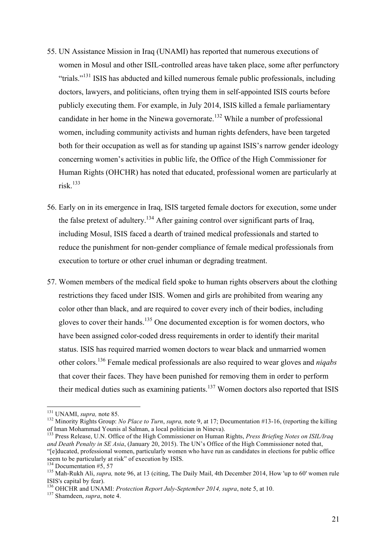- 55. UN Assistance Mission in Iraq (UNAMI) has reported that numerous executions of women in Mosul and other ISIL-controlled areas have taken place, some after perfunctory "trials."<sup>131</sup> ISIS has abducted and killed numerous female public professionals, including doctors, lawyers, and politicians, often trying them in self-appointed ISIS courts before publicly executing them. For example, in July 2014, ISIS killed a female parliamentary candidate in her home in the Ninewa governorate.<sup>132</sup> While a number of professional women, including community activists and human rights defenders, have been targeted both for their occupation as well as for standing up against ISIS's narrow gender ideology concerning women's activities in public life, the Office of the High Commissioner for Human Rights (OHCHR) has noted that educated, professional women are particularly at risk. 133
- 56. Early on in its emergence in Iraq, ISIS targeted female doctors for execution, some under the false pretext of adultery.<sup>134</sup> After gaining control over significant parts of Iraq, including Mosul, ISIS faced a dearth of trained medical professionals and started to reduce the punishment for non-gender compliance of female medical professionals from execution to torture or other cruel inhuman or degrading treatment.
- 57. Women members of the medical field spoke to human rights observers about the clothing restrictions they faced under ISIS. Women and girls are prohibited from wearing any color other than black, and are required to cover every inch of their bodies, including gloves to cover their hands.<sup>135</sup> One documented exception is for women doctors, who have been assigned color-coded dress requirements in order to identify their marital status. ISIS has required married women doctors to wear black and unmarried women other colors.<sup>136</sup> Female medical professionals are also required to wear gloves and *niqabs* that cover their faces. They have been punished for removing them in order to perform their medical duties such as examining patients.<sup>137</sup> Women doctors also reported that ISIS

<sup>&</sup>lt;sup>131</sup> UNAMI, *supra*, note 85.<br><sup>132</sup> Minority Rights Group: *No Place to Turn*, *supra*, note 9, at 17; Documentation #13-16, (reporting the killing of Iman Mohammad Younis al Salman, a local politician in Nineva). <sup>133</sup> Press Release, U.N. Office of the High Commissioner on Human Rights, *Press Briefing Notes on ISIL/Iraq* 

*and Death Penalty in SE Asia*, (January 20, 2015). The UN's Office of the High Commissioner noted that, "[e]ducated, professional women, particularly women who have run as candidates in elections for public office seem to be particularly at risk" of execution by ISIS.<br><sup>134</sup> Documentation #5, 57

<sup>&</sup>lt;sup>135</sup> Mah-Rukh Ali, *supra*, note 96, at 13 (citing, The Daily Mail, 4th December 2014, How 'up to 60' women rule ISIS's capital by fear).

<sup>&</sup>lt;sup>136</sup> OHCHR and UNAMI: *Protection Report July-September 2014, supra*, note 5, at 10. <sup>137</sup> Shamdeen, *supra*, note 4.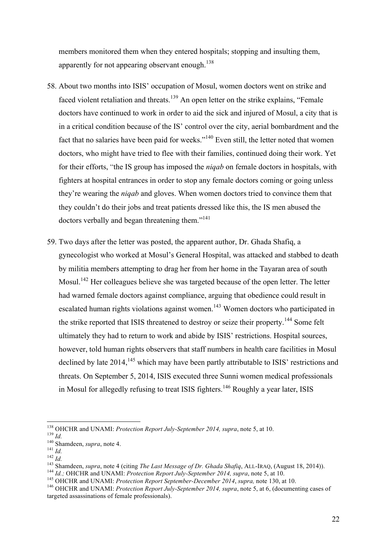members monitored them when they entered hospitals; stopping and insulting them, apparently for not appearing observant enough.<sup>138</sup>

- 58. About two months into ISIS' occupation of Mosul, women doctors went on strike and faced violent retaliation and threats.<sup>139</sup> An open letter on the strike explains, "Female" doctors have continued to work in order to aid the sick and injured of Mosul, a city that is in a critical condition because of the IS' control over the city, aerial bombardment and the fact that no salaries have been paid for weeks."<sup>140</sup> Even still, the letter noted that women doctors, who might have tried to flee with their families, continued doing their work. Yet for their efforts, "the IS group has imposed the *niqab* on female doctors in hospitals, with fighters at hospital entrances in order to stop any female doctors coming or going unless they're wearing the *niqab* and gloves. When women doctors tried to convince them that they couldn't do their jobs and treat patients dressed like this, the IS men abused the doctors verbally and began threatening them."<sup>141</sup>
- 59. Two days after the letter was posted, the apparent author, Dr. Ghada Shafiq, a gynecologist who worked at Mosul's General Hospital, was attacked and stabbed to death by militia members attempting to drag her from her home in the Tayaran area of south Mosul.<sup>142</sup> Her colleagues believe she was targeted because of the open letter. The letter had warned female doctors against compliance, arguing that obedience could result in escalated human rights violations against women.<sup>143</sup> Women doctors who participated in the strike reported that ISIS threatened to destroy or seize their property.<sup>144</sup> Some felt ultimately they had to return to work and abide by ISIS' restrictions. Hospital sources, however, told human rights observers that staff numbers in health care facilities in Mosul declined by late  $2014$ ,  $^{145}$  which may have been partly attributable to ISIS' restrictions and threats. On September 5, 2014, ISIS executed three Sunni women medical professionals in Mosul for allegedly refusing to treat ISIS fighters.<sup>146</sup> Roughly a year later, ISIS

<sup>&</sup>lt;sup>138</sup> OHCHR and UNAMI: *Protection Report July-September 2014*, *supra*, note 5, at 10.<br><sup>139</sup> *Id.*<br><sup>140</sup> Shamdeen, *supra*, note 4.<br><sup>141</sup> *Id.*<br><sup>142</sup> *Id.*<br><sup>142</sup> *Id.*<br><sup>143</sup> Shamdeen, *supra*, note 4 (citing *The Last Me* 

targeted assassinations of female professionals).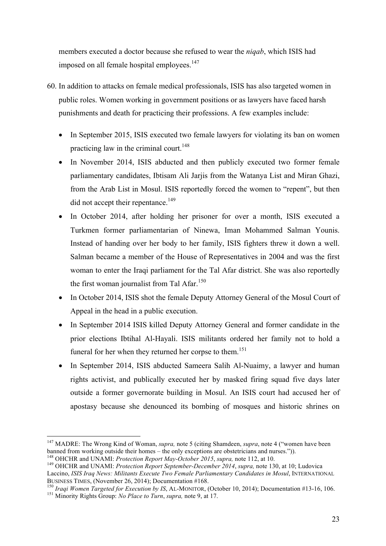members executed a doctor because she refused to wear the *niqab*, which ISIS had imposed on all female hospital employees.<sup>147</sup>

- 60. In addition to attacks on female medical professionals, ISIS has also targeted women in public roles. Women working in government positions or as lawyers have faced harsh punishments and death for practicing their professions. A few examples include:
	- In September 2015, ISIS executed two female lawyers for violating its ban on women practicing law in the criminal court.<sup>148</sup>
	- In November 2014, ISIS abducted and then publicly executed two former female parliamentary candidates, Ibtisam Ali Jarjis from the Watanya List and Miran Ghazi, from the Arab List in Mosul. ISIS reportedly forced the women to "repent", but then did not accept their repentance.<sup>149</sup>
	- In October 2014, after holding her prisoner for over a month, ISIS executed a Turkmen former parliamentarian of Ninewa, Iman Mohammed Salman Younis. Instead of handing over her body to her family, ISIS fighters threw it down a well. Salman became a member of the House of Representatives in 2004 and was the first woman to enter the Iraqi parliament for the Tal Afar district. She was also reportedly the first woman journalist from Tal Afar.<sup>150</sup>
	- In October 2014, ISIS shot the female Deputy Attorney General of the Mosul Court of Appeal in the head in a public execution.
	- In September 2014 ISIS killed Deputy Attorney General and former candidate in the prior elections Ibtihal Al-Hayali. ISIS militants ordered her family not to hold a funeral for her when they returned her corpse to them.<sup>151</sup>
	- In September 2014, ISIS abducted Sameera Salih Al-Nuaimy, a lawyer and human rights activist, and publically executed her by masked firing squad five days later outside a former governorate building in Mosul. An ISIS court had accused her of apostasy because she denounced its bombing of mosques and historic shrines on

 <sup>147</sup> MADRE: The Wrong Kind of Woman, *supra,* note 5 (citing Shamdeen, *supra*, note 4 ("women have been banned from working outside their homes – the only exceptions are obstetricians and nurses.")).<br><sup>148</sup> OHCHR and UNAMI: *Protection Report May-October 2015*, *supra*, note 112, at 10.<br><sup>149</sup> OHCHR and UNAMI: *Protection Repo* 

Laccino, *ISIS Iraq News: Militants Execute Two Female Parliamentary Candidates in Mosul*, INTERNATIONAL BUSINESS TIMES. (November 26, 2014): Documentation #168.

<sup>&</sup>lt;sup>150</sup> Iraqi Women Targeted for Execution by IS, AL-MONITOR, (October 10, 2014); Documentation #13-16, 106.<br><sup>151</sup> Minority Rights Group: No Place to Turn, supra, note 9, at 17.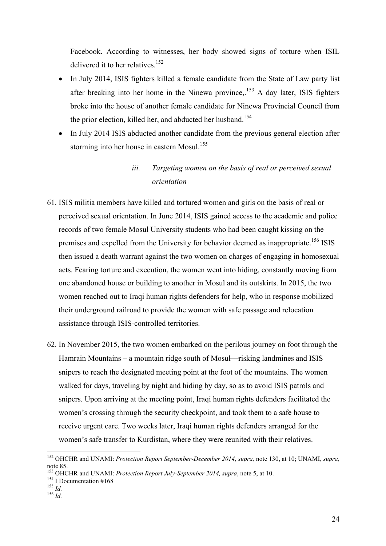Facebook. According to witnesses, her body showed signs of torture when ISIL delivered it to her relatives.<sup>152</sup>

- In July 2014, ISIS fighters killed a female candidate from the State of Law party list after breaking into her home in the Ninewa province.<sup>153</sup> A day later, ISIS fighters broke into the house of another female candidate for Ninewa Provincial Council from the prior election, killed her, and abducted her husband.<sup>154</sup>
- In July 2014 ISIS abducted another candidate from the previous general election after storming into her house in eastern Mosul.<sup>155</sup>

### *iii. Targeting women on the basis of real or perceived sexual orientation*

- 61. ISIS militia members have killed and tortured women and girls on the basis of real or perceived sexual orientation. In June 2014, ISIS gained access to the academic and police records of two female Mosul University students who had been caught kissing on the premises and expelled from the University for behavior deemed as inappropriate.<sup>156</sup> ISIS then issued a death warrant against the two women on charges of engaging in homosexual acts. Fearing torture and execution, the women went into hiding, constantly moving from one abandoned house or building to another in Mosul and its outskirts. In 2015, the two women reached out to Iraqi human rights defenders for help, who in response mobilized their underground railroad to provide the women with safe passage and relocation assistance through ISIS-controlled territories.
- 62. In November 2015, the two women embarked on the perilous journey on foot through the Hamrain Mountains – a mountain ridge south of Mosul—risking landmines and ISIS snipers to reach the designated meeting point at the foot of the mountains. The women walked for days, traveling by night and hiding by day, so as to avoid ISIS patrols and snipers. Upon arriving at the meeting point, Iraqi human rights defenders facilitated the women's crossing through the security checkpoint, and took them to a safe house to receive urgent care. Two weeks later, Iraqi human rights defenders arranged for the women's safe transfer to Kurdistan, where they were reunited with their relatives.

 <sup>152</sup> OHCHR and UNAMI: *Protection Report September-December 2014*, *supra,* note 130, at 10; UNAMI, *supra,*  note 85.

<sup>&</sup>lt;sup>153</sup> OHCHR and UNAMI: *Protection Report July-September 2014, supra*, note 5, at 10.<br><sup>154</sup> I Documentation #168<br><sup>155</sup> *Id.* <sup>156</sup> *Id.*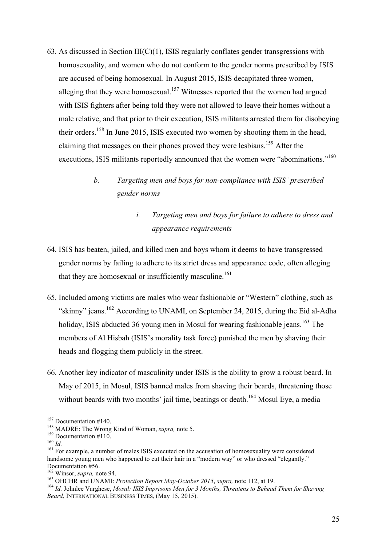63. As discussed in Section  $III(C)(1)$ , ISIS regularly conflates gender transgressions with homosexuality, and women who do not conform to the gender norms prescribed by ISIS are accused of being homosexual. In August 2015, ISIS decapitated three women, alleging that they were homosexual.<sup>157</sup> Witnesses reported that the women had argued with ISIS fighters after being told they were not allowed to leave their homes without a male relative, and that prior to their execution, ISIS militants arrested them for disobeying their orders.<sup>158</sup> In June 2015, ISIS executed two women by shooting them in the head, claiming that messages on their phones proved they were lesbians.<sup>159</sup> After the executions, ISIS militants reportedly announced that the women were "abominations."<sup>160</sup>

# *b. Targeting men and boys for non-compliance with ISIS' prescribed gender norms*

# *i. Targeting men and boys for failure to adhere to dress and appearance requirements*

- 64. ISIS has beaten, jailed, and killed men and boys whom it deems to have transgressed gender norms by failing to adhere to its strict dress and appearance code, often alleging that they are homosexual or insufficiently masculine.<sup>161</sup>
- 65. Included among victims are males who wear fashionable or "Western" clothing, such as "skinny" jeans.<sup>162</sup> According to UNAMI, on September 24, 2015, during the Eid al-Adha holiday, ISIS abducted 36 young men in Mosul for wearing fashionable jeans.<sup>163</sup> The members of Al Hisbah (ISIS's morality task force) punished the men by shaving their heads and flogging them publicly in the street.
- 66. Another key indicator of masculinity under ISIS is the ability to grow a robust beard. In May of 2015, in Mosul, ISIS banned males from shaving their beards, threatening those without beards with two months' jail time, beatings or death.<sup>164</sup> Mosul Eye, a media

<sup>&</sup>lt;sup>157</sup> Documentation #140.<br><sup>158</sup> MADRE: The Wrong Kind of Woman, *supra*, note 5.<br><sup>159</sup> Documentation #110.<br><sup>160</sup> *Id.* For example, a number of males ISIS executed on the accusation of homosexuality were considered handsome young men who happened to cut their hair in a "modern way" or who dressed "elegantly." Documentation #56.<br><sup>162</sup> Winsor, *supra*, note 94.

<sup>&</sup>lt;sup>163</sup> OHCHR and UNAMI: *Protection Report May-October 2015*, *supra*, note 112, at 19.<br><sup>164</sup> Id. Johnlee Varghese, *Mosul: ISIS Imprisons Men for 3 Months, Threatens to Behead Them for Shaving Beard*, INTERNATIONAL BUSINESS TIMES, (May 15, 2015).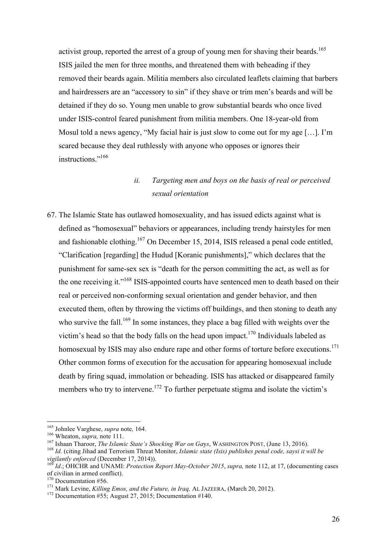activist group, reported the arrest of a group of young men for shaving their beards.<sup>165</sup> ISIS jailed the men for three months, and threatened them with beheading if they removed their beards again. Militia members also circulated leaflets claiming that barbers and hairdressers are an "accessory to sin" if they shave or trim men's beards and will be detained if they do so. Young men unable to grow substantial beards who once lived under ISIS-control feared punishment from militia members. One 18-year-old from Mosul told a news agency, "My facial hair is just slow to come out for my age [...]. I'm scared because they deal ruthlessly with anyone who opposes or ignores their instructions<sup>",166</sup>

### *ii. Targeting men and boys on the basis of real or perceived sexual orientation*

67. The Islamic State has outlawed homosexuality, and has issued edicts against what is defined as "homosexual" behaviors or appearances, including trendy hairstyles for men and fashionable clothing.<sup>167</sup> On December 15, 2014, ISIS released a penal code entitled, "Clarification [regarding] the Hudud [Koranic punishments]," which declares that the punishment for same-sex sex is "death for the person committing the act, as well as for the one receiving it."<sup>168</sup> ISIS-appointed courts have sentenced men to death based on their real or perceived non-conforming sexual orientation and gender behavior, and then executed them, often by throwing the victims off buildings, and then stoning to death any who survive the fall.<sup>169</sup> In some instances, they place a bag filled with weights over the victim's head so that the body falls on the head upon impact.<sup>170</sup> Individuals labeled as homosexual by ISIS may also endure rape and other forms of torture before executions.<sup>171</sup> Other common forms of execution for the accusation for appearing homosexual include death by firing squad, immolation or beheading. ISIS has attacked or disappeared family members who try to intervene.<sup>172</sup> To further perpetuate stigma and isolate the victim's

<sup>&</sup>lt;sup>165</sup> Johnlee Varghese, *supra* note, 164.<br><sup>166</sup> Wheaton, *supra*, note 111.<br><sup>167</sup> Ishaan Tharoor, *The Islamic State's Shocking War on Gays*, WASHINGTON POST, (June 13, 2016).<br><sup>168</sup> Id. (citing Jihad and Terrorism Threat

*Id.*; OHCHR and UNAMI: *Protection Report May-October 2015*, *supra*, note 112, at 17, (documenting cases of civilian in armed conflict).<br> $170$  Documentation #56.

<sup>170</sup> Documentation #56. 171 Mark Levine, *Killing Emos, and the Future, in Iraq,* AL JAZEERA, (March 20, 2012). <sup>172</sup> Documentation #55; August 27, 2015; Documentation #140.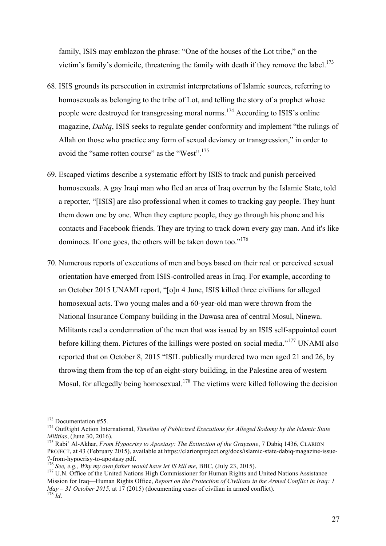family, ISIS may emblazon the phrase: "One of the houses of the Lot tribe," on the victim's family's domicile, threatening the family with death if they remove the label.<sup>173</sup>

- 68. ISIS grounds its persecution in extremist interpretations of Islamic sources, referring to homosexuals as belonging to the tribe of Lot, and telling the story of a prophet whose people were destroyed for transgressing moral norms.174 According to ISIS's online magazine, *Dabiq*, ISIS seeks to regulate gender conformity and implement "the rulings of Allah on those who practice any form of sexual deviancy or transgression," in order to avoid the "same rotten course" as the "West".<sup>175</sup>
- 69. Escaped victims describe a systematic effort by ISIS to track and punish perceived homosexuals. A gay Iraqi man who fled an area of Iraq overrun by the Islamic State, told a reporter, "[ISIS] are also professional when it comes to tracking gay people. They hunt them down one by one. When they capture people, they go through his phone and his contacts and Facebook friends. They are trying to track down every gay man. And it's like dominoes. If one goes, the others will be taken down too."<sup>176</sup>
- 70. Numerous reports of executions of men and boys based on their real or perceived sexual orientation have emerged from ISIS-controlled areas in Iraq. For example, according to an October 2015 UNAMI report, "[o]n 4 June, ISIS killed three civilians for alleged homosexual acts. Two young males and a 60-year-old man were thrown from the National Insurance Company building in the Dawasa area of central Mosul, Ninewa. Militants read a condemnation of the men that was issued by an ISIS self-appointed court before killing them. Pictures of the killings were posted on social media."<sup>177</sup> UNAMI also reported that on October 8, 2015 "ISIL publically murdered two men aged 21 and 26, by throwing them from the top of an eight-story building, in the Palestine area of western Mosul, for allegedly being homosexual.<sup>178</sup> The victims were killed following the decision

<sup>&</sup>lt;sup>173</sup> Documentation #55.<br><sup>174</sup> OutRight Action International, *Timeline of Publicized Executions for Alleged Sodomy by the Islamic State Militias, (June 30, 2016).* 

<sup>&</sup>lt;sup>175</sup> Rabi<sup>'</sup> Al-Akhar, *From Hypocrisy to Apostasy: The Extinction of the Grayzone*, 7 Dabiq 1436, CLARION PROJECT, at 43 (February 2015), available at https://clarionproject.org/docs/islamic-state-dabiq-magazine-issue-7-from-hypocrisy-to-apostasy.pdf.<br><sup>176</sup> See, e.g., *Why my own father would have let IS kill me*, BBC, (July 23, 2015).<br><sup>177</sup> U.N. Office of the United Nations High Commissioner for Human Rights and United Nations Assistan

Mission for Iraq—Human Rights Office, *Report on the Protection of Civilians in the Armed Conflict in Iraq: 1 May – 31 October 2015,* at 17 (2015) (documenting cases of civilian in armed conflict). <sup>178</sup> *Id*.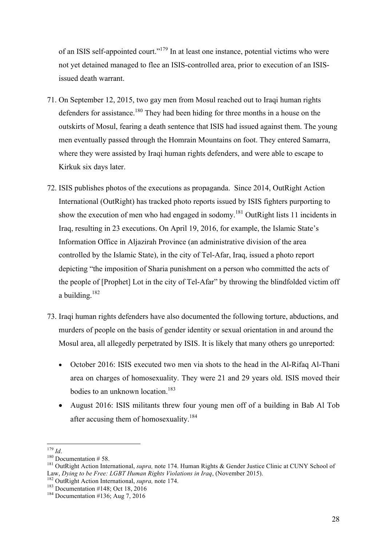of an ISIS self-appointed court."179 In at least one instance, potential victims who were not yet detained managed to flee an ISIS-controlled area, prior to execution of an ISISissued death warrant.

- 71. On September 12, 2015, two gay men from Mosul reached out to Iraqi human rights defenders for assistance.<sup>180</sup> They had been hiding for three months in a house on the outskirts of Mosul, fearing a death sentence that ISIS had issued against them. The young men eventually passed through the Homrain Mountains on foot. They entered Samarra, where they were assisted by Iraqi human rights defenders, and were able to escape to Kirkuk six days later.
- 72. ISIS publishes photos of the executions as propaganda. Since 2014, OutRight Action International (OutRight) has tracked photo reports issued by ISIS fighters purporting to show the execution of men who had engaged in sodomy.<sup>181</sup> OutRight lists 11 incidents in Iraq, resulting in 23 executions. On April 19, 2016, for example, the Islamic State's Information Office in Aljazirah Province (an administrative division of the area controlled by the Islamic State), in the city of Tel-Afar, Iraq, issued a photo report depicting "the imposition of Sharia punishment on a person who committed the acts of the people of [Prophet] Lot in the city of Tel-Afar" by throwing the blindfolded victim off a building. $182$
- 73. Iraqi human rights defenders have also documented the following torture, abductions, and murders of people on the basis of gender identity or sexual orientation in and around the Mosul area, all allegedly perpetrated by ISIS. It is likely that many others go unreported:
	- October 2016: ISIS executed two men via shots to the head in the Al-Rifaq Al-Thani area on charges of homosexuality. They were 21 and 29 years old. ISIS moved their bodies to an unknown location.<sup>183</sup>
	- August 2016: ISIS militants threw four young men off of a building in Bab Al Tob after accusing them of homosexuality.<sup>184</sup>

<sup>&</sup>lt;sup>179</sup> *Id.*<br><sup>180</sup> Documentation # 58.<br><sup>181</sup> OutRight Action International, *supra*, note 174. Human Rights & Gender Justice Clinic at CUNY School of Law, *Dying to be Free: LGBT Human Rights Violations in Iraq*, (November 2015).<br><sup>182</sup> OutRight Action International, *supra*, note 174.<br><sup>183</sup> Documentation #148; Oct 18, 2016 184 Documentation #136; Aug 7, 2016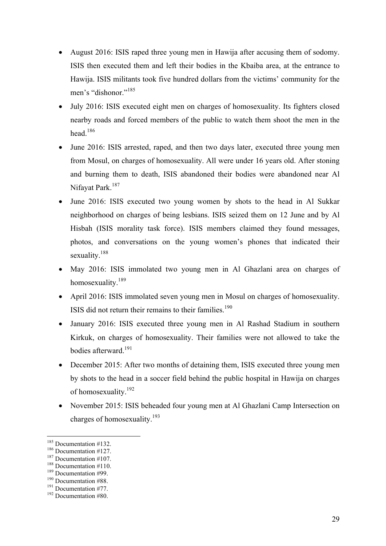- August 2016: ISIS raped three young men in Hawija after accusing them of sodomy. ISIS then executed them and left their bodies in the Kbaiba area, at the entrance to Hawija. ISIS militants took five hundred dollars from the victims' community for the men's "dishonor."<sup>185</sup>
- July 2016: ISIS executed eight men on charges of homosexuality. Its fighters closed nearby roads and forced members of the public to watch them shoot the men in the head.<sup>186</sup>
- June 2016: ISIS arrested, raped, and then two days later, executed three young men from Mosul, on charges of homosexuality. All were under 16 years old. After stoning and burning them to death, ISIS abandoned their bodies were abandoned near Al Nifayat Park.<sup>187</sup>
- June 2016: ISIS executed two young women by shots to the head in Al Sukkar neighborhood on charges of being lesbians. ISIS seized them on 12 June and by Al Hisbah (ISIS morality task force). ISIS members claimed they found messages, photos, and conversations on the young women's phones that indicated their sexuality.<sup>188</sup>
- May 2016: ISIS immolated two young men in Al Ghazlani area on charges of homosexuality.<sup>189</sup>
- April 2016: ISIS immolated seven young men in Mosul on charges of homosexuality. ISIS did not return their remains to their families.<sup>190</sup>
- January 2016: ISIS executed three young men in Al Rashad Stadium in southern Kirkuk, on charges of homosexuality. Their families were not allowed to take the bodies afterward. 191
- December 2015: After two months of detaining them, ISIS executed three young men by shots to the head in a soccer field behind the public hospital in Hawija on charges of homosexuality.<sup>192</sup>
- November 2015: ISIS beheaded four young men at Al Ghazlani Camp Intersection on charges of homosexuality.<sup>193</sup>

<sup>&</sup>lt;sup>185</sup> Documentation #132.<br><sup>187</sup> Documentation #107.<br><sup>187</sup> Documentation #107.<br><sup>188</sup> Documentation #99.<br><sup>190</sup> Documentation #88.<br><sup>191</sup> Documentation #77.<br><sup>192</sup> Documentation #80.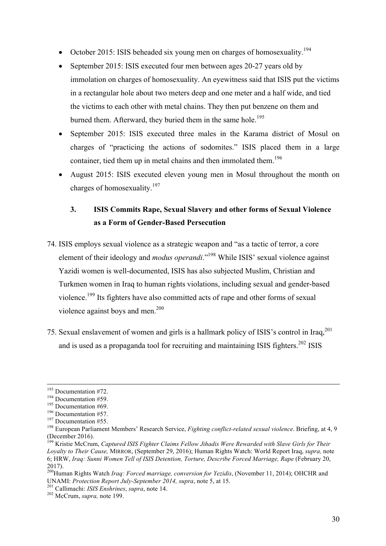- October 2015: ISIS beheaded six young men on charges of homosexuality.<sup>194</sup>
- September 2015: ISIS executed four men between ages 20-27 years old by immolation on charges of homosexuality. An eyewitness said that ISIS put the victims in a rectangular hole about two meters deep and one meter and a half wide, and tied the victims to each other with metal chains. They then put benzene on them and burned them. Afterward, they buried them in the same hole.<sup>195</sup>
- September 2015: ISIS executed three males in the Karama district of Mosul on charges of "practicing the actions of sodomites." ISIS placed them in a large container, tied them up in metal chains and then immolated them.<sup>196</sup>
- August 2015: ISIS executed eleven young men in Mosul throughout the month on charges of homosexuality.<sup>197</sup>

# **3. ISIS Commits Rape, Sexual Slavery and other forms of Sexual Violence as a Form of Gender-Based Persecution**

- 74. ISIS employs sexual violence as a strategic weapon and "as a tactic of terror, a core element of their ideology and *modus operandi*." <sup>198</sup> While ISIS' sexual violence against Yazidi women is well-documented, ISIS has also subjected Muslim, Christian and Turkmen women in Iraq to human rights violations, including sexual and gender-based violence.<sup>199</sup> Its fighters have also committed acts of rape and other forms of sexual violence against boys and men.<sup>200</sup>
- 75. Sexual enslavement of women and girls is a hallmark policy of ISIS's control in Iraq,201 and is used as a propaganda tool for recruiting and maintaining ISIS fighters. $202$  ISIS

<sup>&</sup>lt;sup>193</sup> Documentation #72.<br>
<sup>194</sup> Documentation #59.<br>
<sup>195</sup> Documentation #69.<br>
<sup>196</sup> Documentation #57.<br>
<sup>197</sup> Documentation #55.<br>
<sup>197</sup> Documentation #55.<br>
<sup>198</sup> European Parliament Members' Research Service, *Fighting co* (December 2016).

<sup>199</sup> Kristie McCrum, *Captured ISIS Fighter Claims Fellow Jihadis Were Rewarded with Slave Girls for Their Loyalty to Their Cause,* MIRROR, (September 29, 2016); Human Rights Watch: World Report Iraq, *supra,* note 6; HRW, *Iraq: Sunni Women Tell of ISIS Detention, Torture, Describe Forced Marriage, Rape* (February 20, 2017).

<sup>200</sup>Human Rights Watch *Iraq: Forced marriage, conversion for Yezidis*, (November 11, 2014); OHCHR and UNAMI: *Protection Report July-September 2014, supra*, note 5, at 15. 201 Callimachi: *ISIS Enshrines*, *supra*, note 14. <sup>202</sup> McCrum, *supra,* note 199.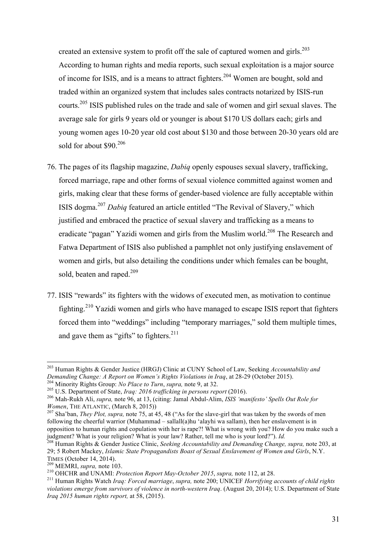created an extensive system to profit off the sale of captured women and girls.<sup>203</sup> According to human rights and media reports, such sexual exploitation is a major source of income for ISIS, and is a means to attract fighters.204 Women are bought, sold and traded within an organized system that includes sales contracts notarized by ISIS-run courts.<sup>205</sup> ISIS published rules on the trade and sale of women and girl sexual slaves. The average sale for girls 9 years old or younger is about \$170 US dollars each; girls and young women ages 10-20 year old cost about \$130 and those between 20-30 years old are sold for about \$90.<sup>206</sup>

- 76. The pages of its flagship magazine, *Dabiq* openly espouses sexual slavery, trafficking, forced marriage, rape and other forms of sexual violence committed against women and girls, making clear that these forms of gender-based violence are fully acceptable within ISIS dogma. <sup>207</sup> *Dabiq* featured an article entitled "The Revival of Slavery," which justified and embraced the practice of sexual slavery and trafficking as a means to eradicate "pagan" Yazidi women and girls from the Muslim world.<sup>208</sup> The Research and Fatwa Department of ISIS also published a pamphlet not only justifying enslavement of women and girls, but also detailing the conditions under which females can be bought, sold, beaten and raped.<sup>209</sup>
- 77. ISIS "rewards" its fighters with the widows of executed men, as motivation to continue fighting.<sup>210</sup> Yazidi women and girls who have managed to escape ISIS report that fighters forced them into "weddings" including "temporary marriages," sold them multiple times, and gave them as "gifts" to fighters. $2^{11}$

<sup>&</sup>lt;sup>203</sup> Human Rights & Gender Justice (HRGJ) Clinic at CUNY School of Law, Seeking *Accountability and* Demanding Change: A Report on Women's Rights Violations in Iraq, at 28-29 (October 2015).

<sup>204</sup> Minority Rights Group: *No Place to Turn*, *supra*, note 9, at 32.<br>
<sup>205</sup> U.S. Department of State, *Iraq: 2016 trafficking in persons report* (2016).<br>
<sup>206</sup> Mah-Rukh Ali, *supra*, note 96, at 13, (citing: Jamal Abdul-*Women*, THE ATLANTIC, (March 8, 2015))<br><sup>207</sup> Sha'ban, *They Plot, supra*, note 75, at 45, 48 ("As for the slave-girl that was taken by the swords of men

following the cheerful warrior (Muhammad – sallall(a)hu 'alayhi wa sallam), then her enslavement is in opposition to human rights and copulation with her is rape?! What is wrong with you? How do you make such a judgment? What is your religion? What is your law? Rather, tell me who is your lord?"). Id.

<sup>&</sup>lt;sup>208</sup> Human Rights & Gender Justice Clinic, *Seeking Accountability and Demanding Change, supra,* note 203, at 29; 5 Robert Mackey, *Islamic State Propagandists Boast of Sexual Enslavement of Women and Girls*, N.Y.

<sup>&</sup>lt;sup>209</sup> MEMRI, *supra*, note 103.<br><sup>210</sup> OHCHR and UNAMI: *Protection Report May-October 2015*, *supra*, note 112, at 28.<br><sup>210</sup> OHCHR and UNAMI: *Protection Report May-October 2015*, *supra*, note 112, at 28. *violations emerge from survivors of violence in north-western Iraq*. (August 20, 2014); U.S. Department of State *Iraq 2015 human rights report,* at 58, (2015).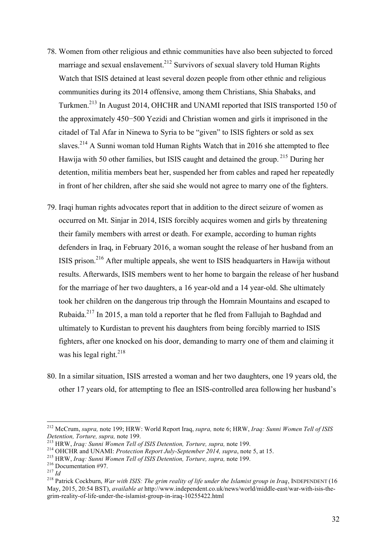- 78. Women from other religious and ethnic communities have also been subjected to forced marriage and sexual enslavement.<sup>212</sup> Survivors of sexual slavery told Human Rights Watch that ISIS detained at least several dozen people from other ethnic and religious communities during its 2014 offensive, among them Christians, Shia Shabaks, and Turkmen.<sup>213</sup> In August 2014, OHCHR and UNAMI reported that ISIS transported 150 of the approximately 450−500 Yezidi and Christian women and girls it imprisoned in the citadel of Tal Afar in Ninewa to Syria to be "given" to ISIS fighters or sold as sex slaves.<sup>214</sup> A Sunni woman told Human Rights Watch that in 2016 she attempted to flee Hawija with 50 other families, but ISIS caught and detained the group. <sup>215</sup> During her detention, militia members beat her, suspended her from cables and raped her repeatedly in front of her children, after she said she would not agree to marry one of the fighters.
- 79. Iraqi human rights advocates report that in addition to the direct seizure of women as occurred on Mt. Sinjar in 2014, ISIS forcibly acquires women and girls by threatening their family members with arrest or death. For example, according to human rights defenders in Iraq, in February 2016, a woman sought the release of her husband from an ISIS prison.<sup>216</sup> After multiple appeals, she went to ISIS headquarters in Hawija without results. Afterwards, ISIS members went to her home to bargain the release of her husband for the marriage of her two daughters, a 16 year-old and a 14 year-old. She ultimately took her children on the dangerous trip through the Homrain Mountains and escaped to Rubaida.<sup>217</sup> In 2015, a man told a reporter that he fled from Fallujah to Baghdad and ultimately to Kurdistan to prevent his daughters from being forcibly married to ISIS fighters, after one knocked on his door, demanding to marry one of them and claiming it was his legal right. $218$
- 80. In a similar situation, ISIS arrested a woman and her two daughters, one 19 years old, the other 17 years old, for attempting to flee an ISIS-controlled area following her husband's

 <sup>212</sup> McCrum, *supra,* note 199; HRW: World Report Iraq, *supra,* note 6; HRW, *Iraq: Sunni Women Tell of ISIS* 

<sup>&</sup>lt;sup>213</sup> HRW, *Iraq: Sunni Women Tell of ISIS Detention, Torture, supra, note 199.*<br><sup>214</sup> OHCHR and UNAMI: *Protection Report July-September 2014, supra, note 5, at 15.*<br><sup>215</sup> HRW, *Iraq: Sunni Women Tell of ISIS Detention,* May, 2015, 20:54 BST), *available at* http://www.independent.co.uk/news/world/middle-east/war-with-isis-thegrim-reality-of-life-under-the-islamist-group-in-iraq-10255422.html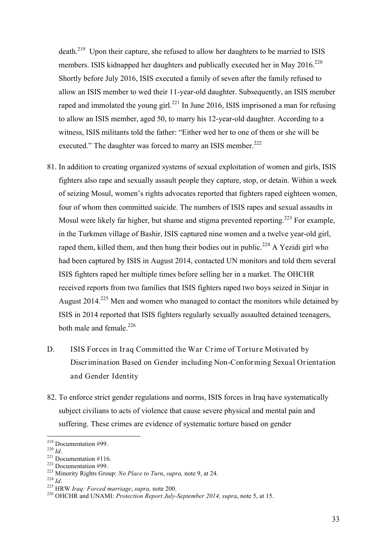death.<sup>219</sup> Upon their capture, she refused to allow her daughters to be married to ISIS members. ISIS kidnapped her daughters and publically executed her in May 2016.<sup>220</sup> Shortly before July 2016, ISIS executed a family of seven after the family refused to allow an ISIS member to wed their 11-year-old daughter. Subsequently, an ISIS member raped and immolated the young girl.<sup>221</sup> In June 2016, ISIS imprisoned a man for refusing to allow an ISIS member, aged 50, to marry his 12-year-old daughter. According to a witness, ISIS militants told the father: "Either wed her to one of them or she will be executed." The daughter was forced to marry an ISIS member.<sup>222</sup>

- 81. In addition to creating organized systems of sexual exploitation of women and girls, ISIS fighters also rape and sexually assault people they capture, stop, or detain. Within a week of seizing Mosul, women's rights advocates reported that fighters raped eighteen women, four of whom then committed suicide. The numbers of ISIS rapes and sexual assaults in Mosul were likely far higher, but shame and stigma prevented reporting.<sup>223</sup> For example, in the Turkmen village of Bashir, ISIS captured nine women and a twelve year-old girl, raped them, killed them, and then hung their bodies out in public.<sup>224</sup> A Yezidi girl who had been captured by ISIS in August 2014, contacted UN monitors and told them several ISIS fighters raped her multiple times before selling her in a market. The OHCHR received reports from two families that ISIS fighters raped two boys seized in Sinjar in August  $2014<sup>225</sup>$  Men and women who managed to contact the monitors while detained by ISIS in 2014 reported that ISIS fighters regularly sexually assaulted detained teenagers, both male and female. $^{226}$
- D. ISIS Forces in Iraq Committed the War Crime of Torture Motivated by Discrimination Based on Gender including Non-Conforming Sexual Orientation and Gender Identity
- 82. To enforce strict gender regulations and norms, ISIS forces in Iraq have systematically subject civilians to acts of violence that cause severe physical and mental pain and suffering. These crimes are evidence of systematic torture based on gender

<sup>&</sup>lt;sup>219</sup> Documentation #99.<br><sup>220</sup> *Id.*<br><sup>221</sup> Documentation #116.<br><sup>222</sup> Documentation #99.<br><sup>223</sup> Minority Rights Group: *No Place to Turn, supra, note 9, at 24.*<br><sup>224</sup> *Id.*<br><sup>225</sup> HRW *Iraq: Forced marriage, supra, note 200.*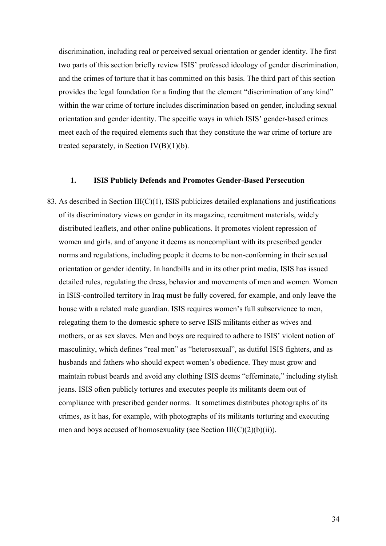discrimination, including real or perceived sexual orientation or gender identity. The first two parts of this section briefly review ISIS' professed ideology of gender discrimination, and the crimes of torture that it has committed on this basis. The third part of this section provides the legal foundation for a finding that the element "discrimination of any kind" within the war crime of torture includes discrimination based on gender, including sexual orientation and gender identity. The specific ways in which ISIS' gender-based crimes meet each of the required elements such that they constitute the war crime of torture are treated separately, in Section IV(B)(1)(b).

#### **1. ISIS Publicly Defends and Promotes Gender-Based Persecution**

83. As described in Section III(C)(1), ISIS publicizes detailed explanations and justifications of its discriminatory views on gender in its magazine, recruitment materials, widely distributed leaflets, and other online publications. It promotes violent repression of women and girls, and of anyone it deems as noncompliant with its prescribed gender norms and regulations, including people it deems to be non-conforming in their sexual orientation or gender identity. In handbills and in its other print media, ISIS has issued detailed rules, regulating the dress, behavior and movements of men and women. Women in ISIS-controlled territory in Iraq must be fully covered, for example, and only leave the house with a related male guardian. ISIS requires women's full subservience to men, relegating them to the domestic sphere to serve ISIS militants either as wives and mothers, or as sex slaves. Men and boys are required to adhere to ISIS' violent notion of masculinity, which defines "real men" as "heterosexual", as dutiful ISIS fighters, and as husbands and fathers who should expect women's obedience. They must grow and maintain robust beards and avoid any clothing ISIS deems "effeminate," including stylish jeans. ISIS often publicly tortures and executes people its militants deem out of compliance with prescribed gender norms. It sometimes distributes photographs of its crimes, as it has, for example, with photographs of its militants torturing and executing men and boys accused of homosexuality (see Section  $III(C)(2)(b)(ii)$ ).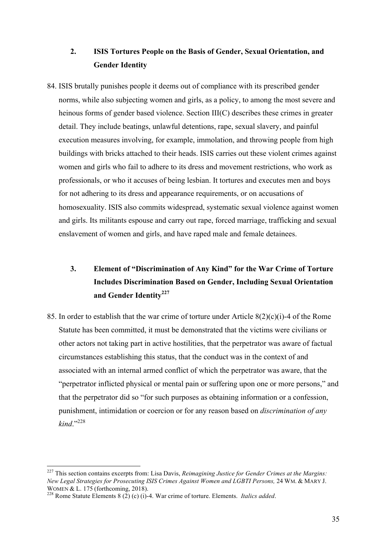## **2. ISIS Tortures People on the Basis of Gender, Sexual Orientation, and Gender Identity**

84. ISIS brutally punishes people it deems out of compliance with its prescribed gender norms, while also subjecting women and girls, as a policy, to among the most severe and heinous forms of gender based violence. Section III(C) describes these crimes in greater detail. They include beatings, unlawful detentions, rape, sexual slavery, and painful execution measures involving, for example, immolation, and throwing people from high buildings with bricks attached to their heads. ISIS carries out these violent crimes against women and girls who fail to adhere to its dress and movement restrictions, who work as professionals, or who it accuses of being lesbian. It tortures and executes men and boys for not adhering to its dress and appearance requirements, or on accusations of homosexuality. ISIS also commits widespread, systematic sexual violence against women and girls. Its militants espouse and carry out rape, forced marriage, trafficking and sexual enslavement of women and girls, and have raped male and female detainees.

# **3. Element of "Discrimination of Any Kind" for the War Crime of Torture Includes Discrimination Based on Gender, Including Sexual Orientation**  and Gender Identity<sup>227</sup>

85. In order to establish that the war crime of torture under Article 8(2)(c)(i)-4 of the Rome Statute has been committed, it must be demonstrated that the victims were civilians or other actors not taking part in active hostilities, that the perpetrator was aware of factual circumstances establishing this status, that the conduct was in the context of and associated with an internal armed conflict of which the perpetrator was aware, that the "perpetrator inflicted physical or mental pain or suffering upon one or more persons," and that the perpetrator did so "for such purposes as obtaining information or a confession, punishment, intimidation or coercion or for any reason based on *discrimination of any kind*."<sup>228</sup>

 <sup>227</sup> This section contains excerpts from: Lisa Davis, *Reimagining Justice for Gender Crimes at the Margins: New Legal Strategies for Prosecuting ISIS Crimes Against Women and LGBTI Persons,* 24 WM. & MARY J. WOMEN & L. <sup>175</sup> (forthcoming, 2018). <sup>228</sup> Rome Statute Elements 8 (2) (c) (i)-4. War crime of torture. Elements. *Italics added*.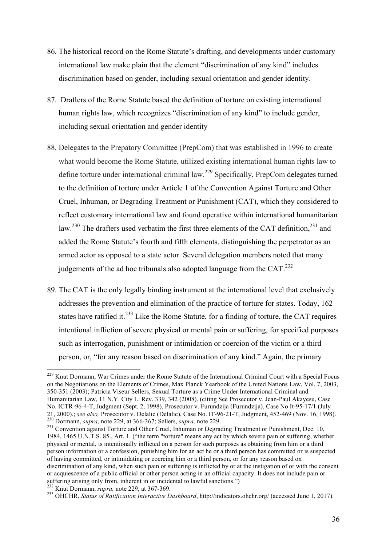- 86. The historical record on the Rome Statute's drafting, and developments under customary international law make plain that the element "discrimination of any kind" includes discrimination based on gender, including sexual orientation and gender identity.
- 87. Drafters of the Rome Statute based the definition of torture on existing international human rights law, which recognizes "discrimination of any kind" to include gender, including sexual orientation and gender identity
- 88. Delegates to the Prepatory Committee (PrepCom) that was established in 1996 to create what would become the Rome Statute, utilized existing international human rights law to define torture under international criminal law.<sup>229</sup> Specifically, PrepCom delegates turned to the definition of torture under Article 1 of the Convention Against Torture and Other Cruel, Inhuman, or Degrading Treatment or Punishment (CAT), which they considered to reflect customary international law and found operative within international humanitarian law.<sup>230</sup> The drafters used verbatim the first three elements of the CAT definition.<sup>231</sup> and added the Rome Statute's fourth and fifth elements, distinguishing the perpetrator as an armed actor as opposed to a state actor. Several delegation members noted that many judgements of the ad hoc tribunals also adopted language from the  $CAT<sup>232</sup>$ .
- 89. The CAT is the only legally binding instrument at the international level that exclusively addresses the prevention and elimination of the practice of torture for states. Today, 162 states have ratified it. $^{233}$  Like the Rome Statute, for a finding of torture, the CAT requires intentional infliction of severe physical or mental pain or suffering, for specified purposes such as interrogation, punishment or intimidation or coercion of the victim or a third person, or, "for any reason based on discrimination of any kind." Again, the primary

<sup>&</sup>lt;sup>229</sup> Knut Dormann. War Crimes under the Rome Statute of the International Criminal Court with a Special Focus on the Negotiations on the Elements of Crimes, Max Planck Yearbook of the United Nations Law, Vol. 7, 2003, 350-351 (2003); Patricia Viseur Sellers, Sexual Torture as a Crime Under International Criminal and Humanitarian Law, 11 N.Y. City L. Rev. 339, 342 (2008). (citing See Prosecutor v. Jean-Paul Akayesu, Case No. ICTR-96-4-T, Judgment (Sept. 2, 1998), Prosecutor v. Furundzija (Furundzija), Case No It-95-17/1 (July 21, 2000).; see also, Prosecutor v. Delalic (Delalic), Case No. IT-96-21-T, Judgment, 452-469 (Nov. 16, 1998). 21, 2000)., see also, I fusculated v. Definite (Definite), Case Fig. 1. 2002, 231 Convention, supra, note 229, at 366-367; Sellers, *supra*, note 229.<br><sup>231</sup> Convention against Torture and Other Cruel, Inhuman or Degrading

<sup>1984, 1465</sup> U.N.T.S. 85., Art. 1. ("the term "torture" means any act by which severe pain or suffering, whether physical or mental, is intentionally inflicted on a person for such purposes as obtaining from him or a third person information or a confession, punishing him for an act he or a third person has committed or is suspected of having committed, or intimidating or coercing him or a third person, or for any reason based on discrimination of any kind, when such pain or suffering is inflicted by or at the instigation of or with the consent or acquiescence of a public official or other person acting in an official capacity. It does not include pain or suffering arising only from, inherent in or incidental to lawful sanctions.")  $^{232}$  Knut Dormann, *supra*, note 229, at 367-369.

<sup>233</sup> OHCHR, *Status of Ratification Interactive Dashboard*, http://indicators.ohchr.org/ (accessed June 1, 2017).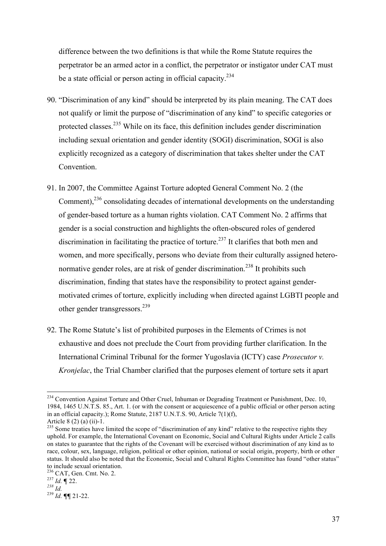difference between the two definitions is that while the Rome Statute requires the perpetrator be an armed actor in a conflict, the perpetrator or instigator under CAT must be a state official or person acting in official capacity.<sup>234</sup>

- 90. "Discrimination of any kind" should be interpreted by its plain meaning. The CAT does not qualify or limit the purpose of "discrimination of any kind" to specific categories or protected classes.<sup>235</sup> While on its face, this definition includes gender discrimination including sexual orientation and gender identity (SOGI) discrimination, SOGI is also explicitly recognized as a category of discrimination that takes shelter under the CAT Convention.
- 91. In 2007, the Committee Against Torture adopted General Comment No. 2 (the Comment),<sup>236</sup> consolidating decades of international developments on the understanding of gender-based torture as a human rights violation. CAT Comment No. 2 affirms that gender is a social construction and highlights the often-obscured roles of gendered discrimination in facilitating the practice of torture.<sup>237</sup> It clarifies that both men and women, and more specifically, persons who deviate from their culturally assigned heteronormative gender roles, are at risk of gender discrimination.<sup>238</sup> It prohibits such discrimination, finding that states have the responsibility to protect against gendermotivated crimes of torture, explicitly including when directed against LGBTI people and other gender transgressors.<sup>239</sup>
- 92. The Rome Statute's list of prohibited purposes in the Elements of Crimes is not exhaustive and does not preclude the Court from providing further clarification. In the International Criminal Tribunal for the former Yugoslavia (ICTY) case *Prosecutor v. Kronjelac*, the Trial Chamber clarified that the purposes element of torture sets it apart

<sup>&</sup>lt;sup>234</sup> Convention Against Torture and Other Cruel, Inhuman or Degrading Treatment or Punishment, Dec. 10, 1984, 1465 U.N.T.S. 85., Art. 1. (or with the consent or acquiescence of a public official or other person acting in an official capacity.); Rome Statute, 2187 U.N.T.S. 90, Article 7(1)(f),

Article 8 (2) (a) (ii)-1.<br><sup>235</sup> Some treaties have limited the scope of "discrimination of any kind" relative to the respective rights they uphold. For example, the International Covenant on Economic, Social and Cultural Rights under Article 2 calls on states to guarantee that the rights of the Covenant will be exercised without discrimination of any kind as to race, colour, sex, language, religion, political or other opinion, national or social origin, property, birth or other status. It should also be noted that the Economic, Social and Cultural Rights Committee has found "other status" to include sexual orientation.

<sup>236</sup> CAT, Gen. Cmt. No. 2. 237 *Id.* **¶** 22. *<sup>238</sup> Id.* <sup>239</sup> *Id.* **¶¶** 21-22.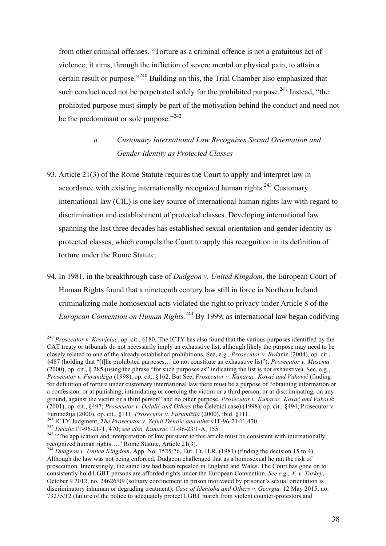from other criminal offenses. "Torture as a criminal offence is not a gratuitous act of violence; it aims, through the infliction of severe mental or physical pain, to attain a certain result or purpose."240 Building on this, the Trial Chamber also emphasized that such conduct need not be perpetrated solely for the prohibited purpose.<sup>241</sup> Instead, "the prohibited purpose must simply be part of the motivation behind the conduct and need not be the predominant or sole purpose."<sup>242</sup>

## *a. Customary International Law Recognizes Sexual Orientation and Gender Identity as Protected Classes*

- 93. Article 21(3) of the Rome Statute requires the Court to apply and interpret law in accordance with existing internationally recognized human rights.<sup>243</sup> Customary international law (CIL) is one key source of international human rights law with regard to discrimination and establishment of protected classes. Developing international law spanning the last three decades has established sexual orientation and gender identity as protected classes, which compels the Court to apply this recognition in its definition of torture under the Rome Statute.
- 94. In 1981, in the breakthrough case of *Dudgeon v. United Kingdom*, the European Court of Human Rights found that a nineteenth century law still in force in Northern Ireland criminalizing male homosexual acts violated the right to privacy under Article 8 of the *European Convention on Human Rights.*<sup>244</sup> By 1999, as international law began codifying

 240 *Prosecutor v. Kronjelac,* op. cit., §180. The ICTY has also found that the various purposes identified by the CAT treaty or tribunals do not necessarily imply an exhaustive list, although likely the purpose may need to be closely related to one of the already established prohibitions. See, e.g., *Prosecutor v. Brđ*anin (2004), op. cit., §487 (holding that "[t]he prohibited purposes… do not constitute an exhaustive list"); *Prosecutor v. Musema* (2000), op. cit., § 285 (using the phrase "for such purposes as" indicating the list is not exhaustive). See, e.g., *Prosecutor v. Furundžija* (1998), op. cit., §162. But See, *Prosecutor v. Kunarac, Kovać and Vuković* (finding for definition of torture under customary international law there must be a purpose of "obtaining information or a confession, or at punishing, intimidating or coercing the victim or a third person, or at discriminating, on any ground, against the victim or a third person" and no other purpose. *Prosecutor v. Kunarac, Kovać and Vukovi*ć (2001), op. cit., §497; *Prosecutor v. Delalić and Others* (the Čelebići case) (1998), op. cit., §494; Prosecutor v

Furundžija (2000), op. cit., §111. *Prosecutor v. Furundžija* (2000), ibid. §111.<br><sup>241</sup> ICTY Judgment, *The Prosecutor v. Zejnil Delalic and others* IT-96-21-T, 470.<br><sup>242</sup> Delalic IT-96-21-T, 470; *see also, Kunarac* IT-9 recognized human rights…." Rome Statute, Article 21(3). 244 *Dudgeon v. United Kingdom,* App. No. 7525/76, Eur. Ct. H.R. (1981) (finding the decision 15 to 4).

Although the law was not being enforced, Dudgeon challenged that as a homosexual he ran the risk of prosecution. Interestingly, the same law had been repealed in England and Wales. The Court has gone on to consistently hold LGBT persons are afforded rights under the European Convention. *See e.g., X. v. Turkey*, October 9 2012, no. 24626/09 (solitary confinement in prison motivated by prisoner's sexual orientation is discriminatory inhuman or degrading treatment); *Case of Identoba and Others v. Georgia,* 12 May 2015, no. 73235/12 (failure of the police to adequately protect LGBT march from violent counter-protestors and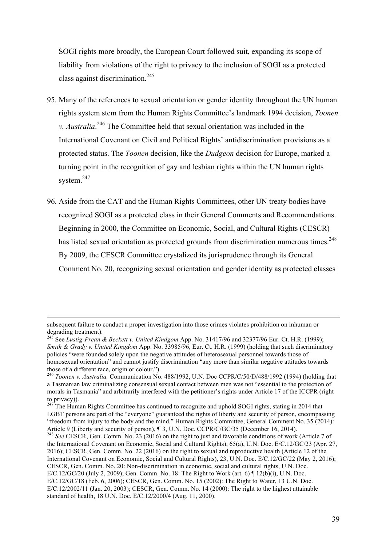SOGI rights more broadly, the European Court followed suit, expanding its scope of liability from violations of the right to privacy to the inclusion of SOGI as a protected class against discrimination.<sup>245</sup>

- 95. Many of the references to sexual orientation or gender identity throughout the UN human rights system stem from the Human Rights Committee's landmark 1994 decision, *Toonen v. Australia*. <sup>246</sup> The Committee held that sexual orientation was included in the International Covenant on Civil and Political Rights' antidiscrimination provisions as a protected status. The *Toonen* decision, like the *Dudgeon* decision for Europe, marked a turning point in the recognition of gay and lesbian rights within the UN human rights system.<sup>247</sup>
- 96. Aside from the CAT and the Human Rights Committees, other UN treaty bodies have recognized SOGI as a protected class in their General Comments and Recommendations. Beginning in 2000, the Committee on Economic, Social, and Cultural Rights (CESCR) has listed sexual orientation as protected grounds from discrimination numerous times.<sup>248</sup> By 2009, the CESCR Committee crystalized its jurisprudence through its General Comment No. 20, recognizing sexual orientation and gender identity as protected classes

subsequent failure to conduct a proper investigation into those crimes violates prohibition on inhuman or degrading treatment).

<sup>245</sup> See *Lustig-Prean & Beckett v. United Kindgom* App. No. 31417/96 and 32377/96 Eur. Ct. H.R. (1999); *Smith & Grady v. United Kingdom* App. No. 33985/96, Eur. Ct. H.R. (1999) (holding that such discriminatory policies "were founded solely upon the negative attitudes of heterosexual personnel towards those of homosexual orientation" and cannot justify discrimination "any more than similar negative attitudes towards those of a different race, origin or colour.").

<sup>246</sup> *Toonen v. Australia,* Communication No. 488/1992, U.N. Doc CCPR/C/50/D/488/1992 (1994) (holding that a Tasmanian law criminalizing consensual sexual contact between men was not "essential to the protection of morals in Tasmania" and arbitrarily interfered with the petitioner's rights under Article 17 of the ICCPR (right to privacy)).

 $^{247}$ The Human Rights Committee has continued to recognize and uphold SOGI rights, stating in 2014 that LGBT persons are part of the "everyone" guaranteed the rights of liberty and security of person, encompassing "freedom from injury to the body and the mind." Human Rights Committee, General Comment No. 35 (2014): Article 9 (Liberty and security of person), **¶** 3, U.N. Doc. CCPR/C/GC/35 (December 16, 2014).<br><sup>248</sup> *See* CESCR, Gen. Comm. No. 23 (2016) on the right to just and favorable conditions of work (Article 7 of

the International Covenant on Economic, Social and Cultural Rights), 65(a), U.N. Doc. E/C.12/GC/23 (Apr. 27, 2016); CESCR, Gen. Comm. No. 22 (2016) on the right to sexual and reproductive health (Article 12 of the International Covenant on Economic, Social and Cultural Rights), 23, U.N. Doc. E/C.12/GC/22 (May 2, 2016); CESCR, Gen. Comm. No. 20: Non-discrimination in economic, social and cultural rights, U.N. Doc. E/C.12/GC/20 (July 2, 2009); Gen. Comm. No. 18: The Right to Work (art. 6) ¶ 12(b)(i), U.N. Doc. E/C.12/GC/18 (Feb. 6, 2006); CESCR, Gen. Comm. No. 15 (2002): The Right to Water, 13 U.N. Doc. E/C.12/2002/11 (Jan. 20, 2003); CESCR, Gen. Comm. No. 14 (2000): The right to the highest attainable standard of health, 18 U.N. Doc. E/C.12/2000/4 (Aug. 11, 2000).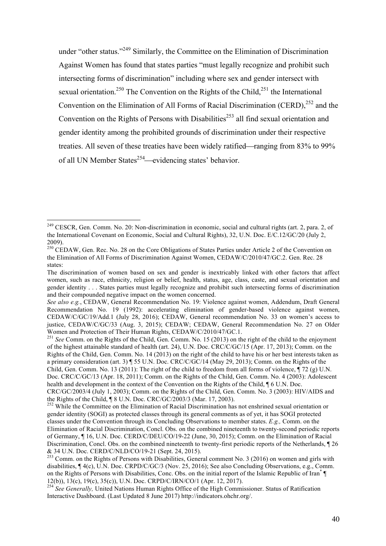under "other status."<sup>249</sup> Similarly, the Committee on the Elimination of Discrimination Against Women has found that states parties "must legally recognize and prohibit such intersecting forms of discrimination" including where sex and gender intersect with sexual orientation.<sup>250</sup> The Convention on the Rights of the Child,<sup>251</sup> the International Convention on the Elimination of All Forms of Racial Discrimination (CERD),  $^{252}$  and the Convention on the Rights of Persons with Disabilities<sup>253</sup> all find sexual orientation and gender identity among the prohibited grounds of discrimination under their respective treaties. All seven of these treaties have been widely ratified—ranging from 83% to 99% of all UN Member States<sup>254</sup>—evidencing states' behavior.

<sup>&</sup>lt;sup>249</sup> CESCR, Gen. Comm. No. 20: Non-discrimination in economic, social and cultural rights (art. 2, para. 2, of the International Covenant on Economic, Social and Cultural Rights), 32, U.N. Doc. E/C.12/GC/20 (July 2, 2009).

<sup>&</sup>lt;sup>250</sup> CEDAW, Gen. Rec. No. 28 on the Core Obligations of States Parties under Article 2 of the Convention on the Elimination of All Forms of Discrimination Against Women, CEDAW/C/2010/47/GC.2. Gen. Rec. 28 states:

The discrimination of women based on sex and gender is inextricably linked with other factors that affect women, such as race, ethnicity, religion or belief, health, status, age, class, caste, and sexual orientation and gender identity . . . States parties must legally recognize and prohibit such intersecting forms of discrimination and their compounded negative impact on the women concerned.

*See also e.g.*, CEDAW, General Recommendation No. 19: Violence against women, Addendum, Draft General Recommendation No. 19 (1992): accelerating elimination of gender-based violence against women, CEDAW/C/GC/19/Add.1 (July 28, 2016); CEDAW, General recommendation No. 33 on women's access to justice, CEDAW/C/GC/33 (Aug. 3, 2015); CEDAW; CEDAW, General Recommendation No. 27 on Older Women and Protection of Their Human Rights, CEDAW/C/2010/47/GC.1.

<sup>&</sup>lt;sup>251</sup> See Comm. on the Rights of the Child, Gen. Comm. No. 15 (2013) on the right of the child to the enjoyment of the highest attainable standard of health (art. 24), U.N. Doc. CRC/C/GC/15 (Apr. 17, 2013); Comm. on the Rights of the Child, Gen. Comm. No. 14 (2013) on the right of the child to have his or her best interests taken as a primary consideration (art. 3) ¶ 55 U.N. Doc. CRC/C/GC/14 (May 29, 2013); Comm. on the Rights of the Child, Gen. Comm. No. 13 (2011): The right of the child to freedom from all forms of violence,  $\P$  72 (g) U.N. Doc. CRC/C/GC/13 (Apr. 18, 2011); Comm. on the Rights of the Child, Gen. Comm. No. 4 (2003): Adolescent health and development in the context of the Convention on the Rights of the Child, ¶ 6 U.N. Doc. CRC/GC/2003/4 (July 1, 2003); Comm. on the Rights of the Child, Gen. Comm. No. 3 (2003): HIV/AIDS and the Rights of the Child, ¶ 8 U.N. Doc. CRC/GC/2003/3 (Mar. 17, 2003).<br><sup>252</sup> While the Committee on the Elimination of Racial Discrimination has not enshrined sexual orientation or

gender identity (SOGI) as protected classes through its general comments as of yet, it has SOGI protected classes under the Convention through its Concluding Observations to member states. *E.g.,* Comm. on the Elimination of Racial Discrimination, Concl. Obs. on the combined nineteenth to twenty-second periodic reports of Germany, ¶ 16, U.N. Doc. CERD/C/DEU/CO/19-22 (June, 30, 2015); Comm. on the Elimination of Racial Discrimination, Concl. Obs. on the combined nineteenth to twenty-first periodic reports of the Netherlands, ¶ 26 & 34 U.N. Doc. CERD/C/NLD/CO/19-21 (Sept. 24, 2015). <sup>253</sup> Comm. on the Rights of Persons with Disabilities, General comment No. 3 (2016) on women and girls with

disabilities, ¶ 4(c), U.N. Doc. CRPD/C/GC/3 (Nov. 25, 2016); See also Concluding Observations, e.g., Comm. on the Rights of Persons with Disabilities, Conc. Obs. on the initial report of the Islamic Republic of Iran\* ¶ 12(b)), 13(c), 19(c), 35(c)), U.N. Doc. CRPD/C/IRN/CO/1 (Apr. 12, 2017).

<sup>254</sup> *See Generally,* United Nations Human Rights Office of the High Commissioner. Status of Ratification Interactive Dashboard. (Last Updated 8 June 2017) http://indicators.ohchr.org/.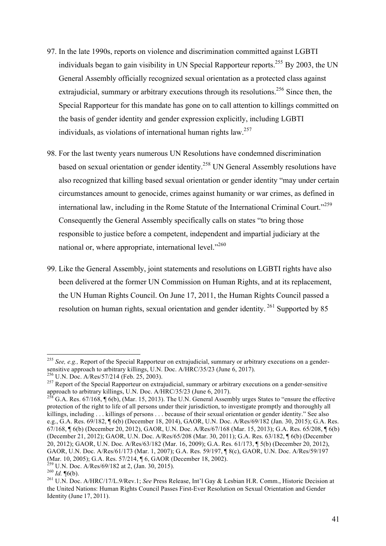- 97. In the late 1990s, reports on violence and discrimination committed against LGBTI individuals began to gain visibility in UN Special Rapporteur reports.<sup>255</sup> By 2003, the UN General Assembly officially recognized sexual orientation as a protected class against extrajudicial, summary or arbitrary executions through its resolutions.<sup>256</sup> Since then, the Special Rapporteur for this mandate has gone on to call attention to killings committed on the basis of gender identity and gender expression explicitly, including LGBTI individuals, as violations of international human rights law.<sup>257</sup>
- 98. For the last twenty years numerous UN Resolutions have condemned discrimination based on sexual orientation or gender identity.<sup>258</sup> UN General Assembly resolutions have also recognized that killing based sexual orientation or gender identity "may under certain circumstances amount to genocide, crimes against humanity or war crimes, as defined in international law, including in the Rome Statute of the International Criminal Court."<sup>259</sup> Consequently the General Assembly specifically calls on states "to bring those responsible to justice before a competent, independent and impartial judiciary at the national or, where appropriate, international level."<sup>260</sup>
- 99. Like the General Assembly, joint statements and resolutions on LGBTI rights have also been delivered at the former UN Commission on Human Rights, and at its replacement, the UN Human Rights Council. On June 17, 2011, the Human Rights Council passed a resolution on human rights, sexual orientation and gender identity.<sup>261</sup> Supported by 85

<sup>&</sup>lt;sup>255</sup> *See, e.g.*, Report of the Special Rapporteur on extrajudicial, summary or arbitrary executions on a gendersensitive approach to arbitrary killings, U.N. Doc. A/HRC/35/23 (June 6, 2017).<br><sup>256</sup> U.N. Doc. A/Res/57/214 (Feb. 25, 2003).

<sup>&</sup>lt;sup>257</sup> Report of the Special Rapporteur on extrajudicial, summary or arbitrary executions on a gender-sensitive approach to arbitrary killings, U.N. Doc. A/HRC/35/23 (June 6, 2017).

<sup>258</sup> G.A. Res. 67/168, ¶ 6(b), (Mar. 15, 2013). The U.N. General Assembly urges States to "ensure the effective protection of the right to life of all persons under their jurisdiction, to investigate promptly and thoroughly all killings, including . . . killings of persons . . . because of their sexual orientation or gender identity." See also e.g., G.A. Res. 69/182, ¶ 6(b) (December 18, 2014), GAOR, U.N. Doc. A/Res/69/182 (Jan. 30, 2015); G.A. Res. 67/168, ¶ 6(b) (December 20, 2012), GAOR, U.N. Doc. A/Res/67/168 (Mar. 15, 2013); G.A. Res. 65/208, ¶ 6(b) (December 21, 2012); GAOR, U.N. Doc. A/Res/65/208 (Mar. 30, 2011); G.A. Res. 63/182, ¶ 6(b) (December 20, 2012); GAOR, U.N. Doc. A/Res/63/182 (Mar. 16, 2009); G.A. Res. 61/173, ¶ 5(b) (December 20, 2012), GAOR, U.N. Doc. A/Res/61/173 (Mar. 1, 2007); G.A. Res. 59/197, ¶ 8(c), GAOR, U.N. Doc. A/Res/59/197 (Mar. 10, 2005); G.A. Res. 57/214,  $\parallel$  6, GAOR (December 18, 2002).<br><sup>259</sup> U.N. Doc. A/Res/69/182 at 2, (Jan. 30, 2015).

<sup>259</sup> U.N. Doc. A/Res/69/182 at 2, (Jan. 30, 2015). <sup>260</sup> *Id.* ¶6(b). <sup>261</sup> U.N. Doc. A/HRC/17/L.9/Rev.1; *See* Press Release, Int'l Gay & Lesbian H.R. Comm., Historic Decision at the United Nations: Human Rights Council Passes First-Ever Resolution on Sexual Orientation and Gender Identity (June 17, 2011).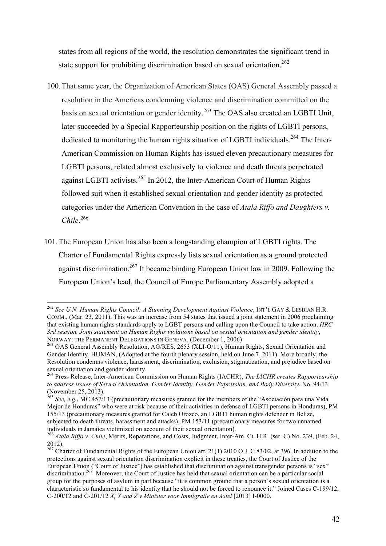states from all regions of the world, the resolution demonstrates the significant trend in state support for prohibiting discrimination based on sexual orientation.<sup>262</sup>

- 100.That same year, the Organization of American States (OAS) General Assembly passed a resolution in the Americas condemning violence and discrimination committed on the basis on sexual orientation or gender identity.<sup>263</sup> The OAS also created an LGBTI Unit, later succeeded by a Special Rapporteurship position on the rights of LGBTI persons, dedicated to monitoring the human rights situation of LGBTI individuals.<sup>264</sup> The Inter-American Commission on Human Rights has issued eleven precautionary measures for LGBTI persons, related almost exclusively to violence and death threats perpetrated against LGBTI activists.<sup>265</sup> In 2012, the Inter-American Court of Human Rights followed suit when it established sexual orientation and gender identity as protected categories under the American Convention in the case of *Atala Riffo and Daughters v. Chile*. 266
- 101.The European Union has also been a longstanding champion of LGBTI rights. The Charter of Fundamental Rights expressly lists sexual orientation as a ground protected against discrimination.267 It became binding European Union law in 2009. Following the European Union's lead, the Council of Europe Parliamentary Assembly adopted a

 <sup>262</sup> *See U.N. Human Rights Council: A Stunning Development Against Violence*, INT'L GAY & LESBIAN H.R. COMM. (Mar. 23, 2011). This was an increase from 54 states that issued a joint statement in 2006 proclaiming that existing human rights standards apply to LGBT persons and calling upon the Council to take action. *HRC 3rd session. Joint statement on Human Rights violations based on sexual orientation and gender identity*,

NORWAY: THE PERMANENT DELEGATIONS IN GENEVA, (December 1, 2006)<br><sup>263</sup> OAS General Assembly Resolution, AG/RES. 2653 (XLI-O/11), Human Rights, Sexual Orientation and Gender Identity, HUMAN, (Adopted at the fourth plenary session, held on June 7, 2011). More broadly, the Resolution condemns violence, harassment, discrimination, exclusion, stigmatization, and prejudice based on sexual orientation and gender identity.

<sup>264</sup> Press Release, Inter-American Commission on Human Rights (IACHR), *The IACHR creates Rapporteurship to address issues of Sexual Orientation, Gender Identity, Gender Expression, and Body Diversity*, No. 94/13 (November 25, 2013).

<sup>265</sup> *See, e.g.*, MC 457/13 (precautionary measures granted for the members of the "Asociación para una Vida Mejor de Honduras" who were at risk because of their activities in defense of LGBTI persons in Honduras), PM 155/13 (precautionary measures granted for Caleb Orozco, an LGBTI human rights defender in Belize, subjected to death threats, harassment and attacks), PM 153/11 (precautionary measures for two unnamed individuals in Jamaica victimized on account of their sexual orientation).

<sup>266</sup> *Atala Riffo v. Chile*, Merits, Reparations, and Costs, Judgment, Inter-Am. Ct. H.R. (ser. C) No. 239, (Feb. 24, 2012).

<sup>&</sup>lt;sup>267</sup> Charter of Fundamental Rights of the European Union art. 21(1) 2010 O.J. C 83/02, at 396. In addition to the protections against sexual orientation discrimination explicit in these treaties, the Court of Justice of the European Union ("Court of Justice") has established that discrimination against transgender persons is "sex" discrimination.267 Moreover, the Court of Justice has held that sexual orientation can be a particular social group for the purposes of asylum in part because "it is common ground that a person's sexual orientation is a characteristic so fundamental to his identity that he should not be forced to renounce it." Joined Cases C-199/12, C-200/12 and C-201/12 *X, Y and Z v Minister voor Immigratie en Asiel* [2013] I-0000.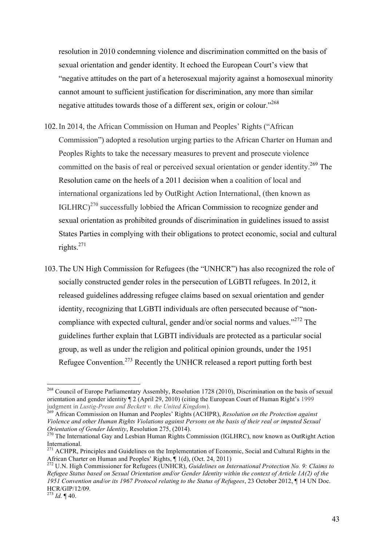resolution in 2010 condemning violence and discrimination committed on the basis of sexual orientation and gender identity. It echoed the European Court's view that "negative attitudes on the part of a heterosexual majority against a homosexual minority cannot amount to sufficient justification for discrimination, any more than similar negative attitudes towards those of a different sex, origin or colour.<sup>3268</sup>

- 102.In 2014, the African Commission on Human and Peoples' Rights ("African Commission") adopted a resolution urging parties to the African Charter on Human and Peoples Rights to take the necessary measures to prevent and prosecute violence committed on the basis of real or perceived sexual orientation or gender identity.<sup>269</sup> The Resolution came on the heels of a 2011 decision when a coalition of local and international organizations led by OutRight Action International, (then known as IGLHRC) $^{270}$  successfully lobbied the African Commission to recognize gender and sexual orientation as prohibited grounds of discrimination in guidelines issued to assist States Parties in complying with their obligations to protect economic, social and cultural rights. $^{271}$
- 103.The UN High Commission for Refugees (the "UNHCR") has also recognized the role of socially constructed gender roles in the persecution of LGBTI refugees. In 2012, it released guidelines addressing refugee claims based on sexual orientation and gender identity, recognizing that LGBTI individuals are often persecuted because of "noncompliance with expected cultural, gender and/or social norms and values."<sup>272</sup> The guidelines further explain that LGBTI individuals are protected as a particular social group, as well as under the religion and political opinion grounds, under the 1951 Refugee Convention.<sup>273</sup> Recently the UNHCR released a report putting forth best

<sup>&</sup>lt;sup>268</sup> Council of Europe Parliamentary Assembly, Resolution 1728 (2010), Discrimination on the basis of sexual orientation and gender identity  $\P$  2 (April 29, 2010) (citing the European Court of Human Right's 1999 judgment in *Lustig-Prean and Beckett v. the United Kingdom*).

<sup>&</sup>lt;sup>269</sup> African Commission on Human and Peoples' Rights (ACHPR), *Resolution on the Protection against Violence and other Human Rights Violations against Persons on the basis of their real or imputed Sexual Orientation of Gender Identity*, Resolution 275, (2014).<br><sup>270</sup> The International Gay and Lesbian Human Rights Commission (IGLHRC), now known as OutRight Action

International.

<sup>&</sup>lt;sup>271</sup> ACHPR, Principles and Guidelines on the Implementation of Economic, Social and Cultural Rights in the African Charter on Human and Peoples' Rights, ¶ 1(d), (Oct. 24, 2011)

<sup>272</sup> U.N. High Commissioner for Refugees (UNHCR), *Guidelines on International Protection No. 9: Claims to Refugee Status based on Sexual Orientation and/or Gender Identity within the context of Article 1A(2) of the 1951 Convention and/or its 1967 Protocol relating to the Status of Refugees*, 23 October 2012, ¶ 14 UN Doc. HCR/GIP/12/09.

<sup>273</sup> *Id.* ¶ 40.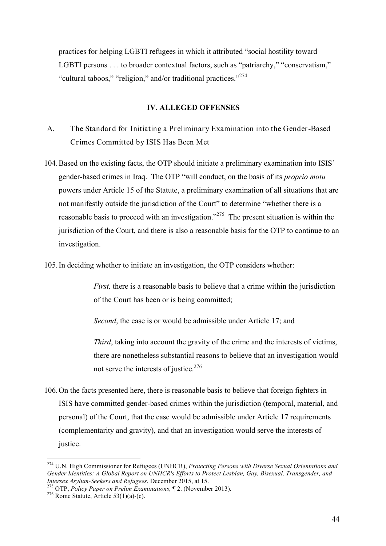practices for helping LGBTI refugees in which it attributed "social hostility toward LGBTI persons . . . to broader contextual factors, such as "patriarchy," "conservatism," "cultural taboos," "religion," and/or traditional practices."<sup>274</sup>

#### **IV. ALLEGED OFFENSES**

- A. The Standard for Initiating a Preliminary Examination into the Gender-Based Crimes Committed by ISIS Has Been Met
- 104.Based on the existing facts, the OTP should initiate a preliminary examination into ISIS' gender-based crimes in Iraq. The OTP "will conduct, on the basis of its *proprio motu* powers under Article 15 of the Statute, a preliminary examination of all situations that are not manifestly outside the jurisdiction of the Court" to determine "whether there is a reasonable basis to proceed with an investigation."275 The present situation is within the jurisdiction of the Court, and there is also a reasonable basis for the OTP to continue to an investigation.
- 105.In deciding whether to initiate an investigation, the OTP considers whether:

*First*, there is a reasonable basis to believe that a crime within the jurisdiction of the Court has been or is being committed;

*Second*, the case is or would be admissible under Article 17; and

*Third*, taking into account the gravity of the crime and the interests of victims, there are nonetheless substantial reasons to believe that an investigation would not serve the interests of justice.<sup>276</sup>

106.On the facts presented here, there is reasonable basis to believe that foreign fighters in ISIS have committed gender-based crimes within the jurisdiction (temporal, material, and personal) of the Court, that the case would be admissible under Article 17 requirements (complementarity and gravity), and that an investigation would serve the interests of iustice

 <sup>274</sup> U.N. High Commissioner for Refugees (UNHCR), *Protecting Persons with Diverse Sexual Orientations and Gender Identities: A Global Report on UNHCR's Efforts to Protect Lesbian, Gay, Bisexual, Transgender, and* 

<sup>&</sup>lt;sup>275</sup> OTP, *Policy Paper on Prelim Examinations*, ¶ 2. (November 2013). <sup>276</sup> Rome Statute, Article 53(1)(a)-(c).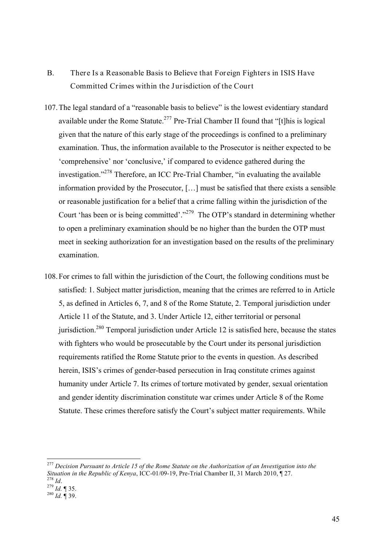- B. There Is a Reasonable Basis to Believe that Foreign Fighters in ISIS Have Committed Crimes within the Jurisdiction of the Court
- 107.The legal standard of a "reasonable basis to believe" is the lowest evidentiary standard available under the Rome Statute.<sup>277</sup> Pre-Trial Chamber II found that "[t]his is logical given that the nature of this early stage of the proceedings is confined to a preliminary examination. Thus, the information available to the Prosecutor is neither expected to be 'comprehensive' nor 'conclusive,' if compared to evidence gathered during the investigation."<sup>278</sup> Therefore, an ICC Pre-Trial Chamber, "in evaluating the available information provided by the Prosecutor, […] must be satisfied that there exists a sensible or reasonable justification for a belief that a crime falling within the jurisdiction of the Court 'has been or is being committed'."<sup>279</sup> The OTP's standard in determining whether to open a preliminary examination should be no higher than the burden the OTP must meet in seeking authorization for an investigation based on the results of the preliminary examination.
- 108.For crimes to fall within the jurisdiction of the Court, the following conditions must be satisfied: 1. Subject matter jurisdiction, meaning that the crimes are referred to in Article 5, as defined in Articles 6, 7, and 8 of the Rome Statute, 2. Temporal jurisdiction under Article 11 of the Statute, and 3. Under Article 12, either territorial or personal jurisdiction.<sup>280</sup> Temporal jurisdiction under Article 12 is satisfied here, because the states with fighters who would be prosecutable by the Court under its personal jurisdiction requirements ratified the Rome Statute prior to the events in question. As described herein, ISIS's crimes of gender-based persecution in Iraq constitute crimes against humanity under Article 7. Its crimes of torture motivated by gender, sexual orientation and gender identity discrimination constitute war crimes under Article 8 of the Rome Statute. These crimes therefore satisfy the Court's subject matter requirements. While

 <sup>277</sup> *Decision Pursuant to Article 15 of the Rome Statute on the Authorization of an Investigation into the Situation in the Republic of Kenya*, ICC-01/09-19, Pre-Trial Chamber II, 31 March 2010, ¶ 27.<br>
<sup>278</sup> *Id.* ¶ 35.<br>
<sup>279</sup> *Id.* ¶ 35.<br>
<sup>280</sup> *Id.* ¶ 39.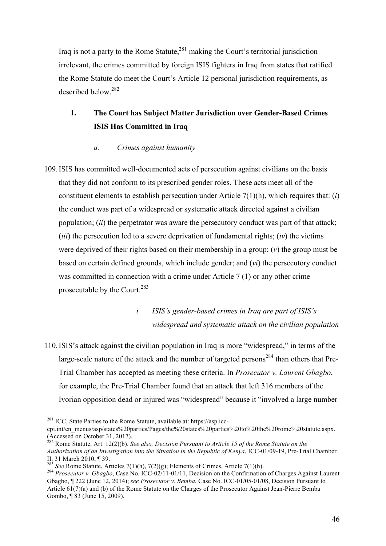Iraq is not a party to the Rome Statute, $^{281}$  making the Court's territorial jurisdiction irrelevant, the crimes committed by foreign ISIS fighters in Iraq from states that ratified the Rome Statute do meet the Court's Article 12 personal jurisdiction requirements, as described below. 282

# **1. The Court has Subject Matter Jurisdiction over Gender-Based Crimes ISIS Has Committed in Iraq**

### *a. Crimes against humanity*

109.ISIS has committed well-documented acts of persecution against civilians on the basis that they did not conform to its prescribed gender roles. These acts meet all of the constituent elements to establish persecution under Article 7(1)(h), which requires that: (*i*) the conduct was part of a widespread or systematic attack directed against a civilian population; (*ii*) the perpetrator was aware the persecutory conduct was part of that attack; (*iii*) the persecution led to a severe deprivation of fundamental rights; (*iv*) the victims were deprived of their rights based on their membership in a group; (*v*) the group must be based on certain defined grounds, which include gender; and (*vi*) the persecutory conduct was committed in connection with a crime under Article 7 (1) or any other crime prosecutable by the Court.<sup>283</sup>

> *i. ISIS's gender-based crimes in Iraq are part of ISIS's widespread and systematic attack on the civilian population*

110.ISIS's attack against the civilian population in Iraq is more "widespread," in terms of the large-scale nature of the attack and the number of targeted persons<sup>284</sup> than others that Pre-Trial Chamber has accepted as meeting these criteria. In *Prosecutor v. Laurent Gbagbo*, for example, the Pre-Trial Chamber found that an attack that left 316 members of the Ivorian opposition dead or injured was "widespread" because it "involved a large number

 <sup>281</sup> ICC, State Parties to the Rome Statute, available at: https://asp.icc-

cpi.int/en\_menus/asp/states%20parties/Pages/the%20states%20parties%20to%20the%20rome%20statute.aspx. (Accessed on October 31, 2017).

<sup>282</sup> Rome Statute, Art. 12(2)(b). *See also, Decision Pursuant to Article 15 of the Rome Statute on the Authorization of an Investigation into the Situation in the Republic of Kenya*, ICC-01/09-19, Pre-Trial Chamber II, 31 March 2010,  $\P$  39.<br><sup>283</sup> See Rome Statute. Articles 7(1)(h), 7(2)(g): Elements of Crimes. Article 7(1)(h).

<sup>&</sup>lt;sup>284</sup> Prosecutor v. Gbagbo, Case No. ICC-02/11-01/11, Decision on the Confirmation of Charges Against Laurent Gbagbo, ¶ 222 (June 12, 2014); *see Prosecutor v. Bemba*, Case No. ICC-01/05-01/08, Decision Pursuant to Article 61(7)(a) and (b) of the Rome Statute on the Charges of the Prosecutor Against Jean-Pierre Bemba Gombo, ¶ 83 (June 15, 2009).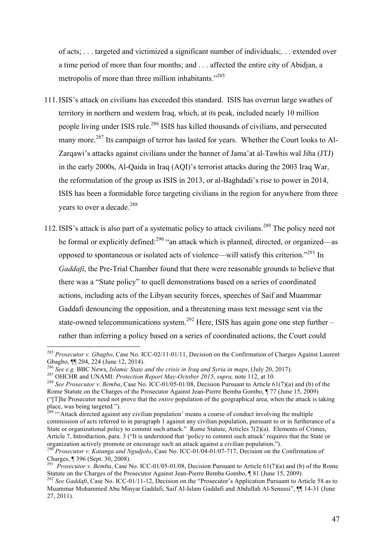of acts; . . . targeted and victimized a significant number of individuals;. . . extended over a time period of more than four months; and . . . affected the entire city of Abidjan, a metropolis of more than three million inhabitants."<sup>285</sup>

- 111.ISIS's attack on civilians has exceeded this standard. ISIS has overrun large swathes of territory in northern and western Iraq, which, at its peak, included nearly 10 million people living under ISIS rule.<sup>286</sup> ISIS has killed thousands of civilians, and persecuted many more.<sup>287</sup> Its campaign of terror has lasted for years. Whether the Court looks to Al-Zarqawi's attacks against civilians under the banner of Jama'at al-Tawhis wal Jiha (JTJ) in the early 2000s, Al-Qaida in Iraq (AQI)'s terrorist attacks during the 2003 Iraq War, the reformulation of the group as ISIS in 2013, or al-Baghdadi's rise to power in 2014, ISIS has been a formidable force targeting civilians in the region for anywhere from three years to over a decade.<sup>288</sup>
- 112.ISIS's attack is also part of a systematic policy to attack civilians.<sup>289</sup> The policy need not be formal or explicitly defined:<sup>290</sup> "an attack which is planned, directed, or organized—as opposed to spontaneous or isolated acts of violence—will satisfy this criterion."291 In *Gaddafi*, the Pre-Trial Chamber found that there were reasonable grounds to believe that there was a "State policy" to quell demonstrations based on a series of coordinated actions, including acts of the Libyan security forces, speeches of Saif and Muammar Gaddafi denouncing the opposition, and a threatening mass text message sent via the state-owned telecommunications system.<sup>292</sup> Here, ISIS has again gone one step further – rather than inferring a policy based on a series of coordinated actions, the Court could

 <sup>285</sup> *Prosecutor v. Gbagbo*, Case No. ICC-02/11-01/11, Decision on the Confirmation of Charges Against Laurent Gbagbo,  $\P$ [ 204, 224 (June 12, 2014).<br><sup>286</sup> See e.g. BBC News, *Islamic State and the crisis in Iraq and Syria in maps*, (July 20, 2017).

<sup>&</sup>lt;sup>287</sup> OHCHR and UNAMI: *Protection Report May-October 2015*, *supra*, note 112, at 10.<br><sup>288</sup> See Prosecutor v. Bemba, Case No. ICC-01/05-01/08, Decision Pursuant to Article 61(7)(a) and (b) of the Rome Statute on the Charges of the Prosecutor Against Jean-Pierre Bemba Gombo, ¶ 77 (June 15, 2009) ("[T]he Prosecutor need not prove that the *entire* population of the geographical area, when the attack is taking

 $289$  "'Attack directed against any civilian population' means a course of conduct involving the multiple commission of acts referred to in paragraph 1 against any civilian population, pursuant to or in furtherance of a State or organizational policy to commit such attack." Rome Statute, Articles 7(2)(a). Elements of Crimes, Article 7, Introduction, para. 3 ("It is understood that 'policy to commit such attack' requires that the State or organization actively promote or encourage such an attack against a civilian population.").

<sup>&</sup>lt;sup>290</sup> *Prosecutor v. Katanga and Ngudjolo*, Case No. ICC-01/04-01/07-717, Decision on the Confirmation of Charges. ¶ 396 (Sept. 30, 2008).

<sup>&</sup>lt;sup>291</sup> *Prosecutor v. Bemba*, Case No. ICC-01/05-01/08, Decision Pursuant to Article 61(7)(a) and (b) of the Rome<br>Statute on the Charges of the Prosecutor Against Jean-Pierre Bemba Gombo. 1 81 (June 15, 2009).

<sup>&</sup>lt;sup>292</sup> See Gaddafi, Case No. ICC-01/11-12, Decision on the "Prosecutor's Application Pursuant to Article 58 as to Muammar Mohammed Abu Minyar Gaddafi, Saif Al-Islam Gaddafi and Abdullah Al-Senussi", ¶¶ 14-31 (June 27, 2011).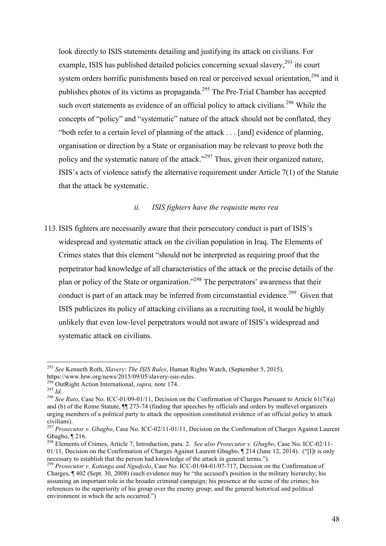look directly to ISIS statements detailing and justifying its attack on civilians. For example, ISIS has published detailed policies concerning sexual slavery,  $293$  its court system orders horrific punishments based on real or perceived sexual orientation,<sup>294</sup> and it publishes photos of its victims as propaganda.<sup>295</sup> The Pre-Trial Chamber has accepted such overt statements as evidence of an official policy to attack civilians.<sup>296</sup> While the concepts of "policy" and "systematic" nature of the attack should not be conflated, they "both refer to a certain level of planning of the attack . . . [and] evidence of planning, organisation or direction by a State or organisation may be relevant to prove both the policy and the systematic nature of the attack."<sup>297</sup> Thus, given their organized nature, ISIS's acts of violence satisfy the alternative requirement under Article 7(1) of the Statute that the attack be systematic.

### *ii. ISIS fighters have the requisite mens rea*

113.ISIS fighters are necessarily aware that their persecutory conduct is part of ISIS's widespread and systematic attack on the civilian population in Iraq. The Elements of Crimes states that this element "should not be interpreted as requiring proof that the perpetrator had knowledge of all characteristics of the attack or the precise details of the plan or policy of the State or organization."298 The perpetrators' awareness that their conduct is part of an attack may be inferred from circumstantial evidence.<sup>299</sup> Given that ISIS publicizes its policy of attacking civilians as a recruiting tool, it would be highly unlikely that even low-level perpetrators would not aware of ISIS's widespread and systematic attack on civilians.

 <sup>293</sup> *See* Kenneth Roth, *Slavery*: *The ISIS Rules*, Human Rights Watch, (September 5, 2015),

<sup>&</sup>lt;sup>294</sup> OutRight Action International, *supra*, note 174.<br><sup>295</sup> *Id.*<br><sup>296</sup> See Ruto. Case No. ICC-01/09-01/11, Decision on the Confirmation of Charges Pursuant to Article 61(7)(a) and (b) of the Rome Statute, ¶¶ 273-74 (finding that speeches by officials and orders by midlevel organizers urging members of a political party to attack the opposition constituted evidence of an official policy to attack civilians). 297 *Prosecutor v. Gbagbo*, Case No. ICC-02/11-01/11, Decision on the Confirmation of Charges Against Laurent

Gbagbo, ¶ 216.

<sup>298</sup> Elements of Crimes, Article 7, Introduction, para. 2. *See also Prosecutor v. Gbagbo*, Case No. ICC-02/11- 01/11, Decision on the Confirmation of Charges Against Laurent Gbagbo, ¶ 214 (June 12, 2014). ("[I]t is only necessary to establish that the person had knowledge of the attack in general terms.").

<sup>299</sup> *Prosecutor v. Katanga and Ngudjolo*, Case No. ICC-01/04-01/07-717, Decision on the Confirmation of Charges, ¶ 402 (Sept. 30, 2008) (such evidence may be "the accused's position in the military hierarchy; his assuming an important role in the broader criminal campaign; his presence at the scene of the crimes; his references to the superiority of his group over the enemy group; and the general historical and political environment in which the acts occurred.")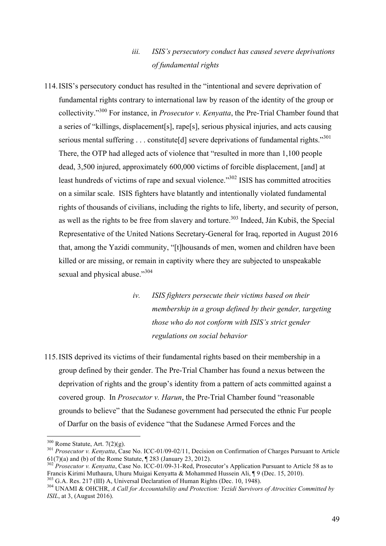## *iii. ISIS's persecutory conduct has caused severe deprivations of fundamental rights*

114.ISIS's persecutory conduct has resulted in the "intentional and severe deprivation of fundamental rights contrary to international law by reason of the identity of the group or collectivity."<sup>300</sup> For instance, in *Prosecutor v. Kenyatta*, the Pre-Trial Chamber found that a series of "killings, displacement[s], rape[s], serious physical injuries, and acts causing serious mental suffering  $\ldots$  constitute[d] severe deprivations of fundamental rights."<sup>301</sup> There, the OTP had alleged acts of violence that "resulted in more than 1,100 people dead, 3,500 injured, approximately 600,000 victims of forcible displacement, [and] at least hundreds of victims of rape and sexual violence."<sup>302</sup> ISIS has committed atrocities on a similar scale. ISIS fighters have blatantly and intentionally violated fundamental rights of thousands of civilians, including the rights to life, liberty, and security of person, as well as the rights to be free from slavery and torture.<sup>303</sup> Indeed, Ján Kubiš, the Special Representative of the United Nations Secretary-General for Iraq, reported in August 2016 that, among the Yazidi community, "[t]housands of men, women and children have been killed or are missing, or remain in captivity where they are subjected to unspeakable sexual and physical abuse."304

> *iv. ISIS fighters persecute their victims based on their membership in a group defined by their gender, targeting those who do not conform with ISIS's strict gender regulations on social behavior*

115.ISIS deprived its victims of their fundamental rights based on their membership in a group defined by their gender. The Pre-Trial Chamber has found a nexus between the deprivation of rights and the group's identity from a pattern of acts committed against a covered group. In *Prosecutor v. Harun*, the Pre-Trial Chamber found "reasonable grounds to believe" that the Sudanese government had persecuted the ethnic Fur people of Darfur on the basis of evidence "that the Sudanese Armed Forces and the

<sup>&</sup>lt;sup>300</sup> Rome Statute, Art. 7(2)(g).<br><sup>301</sup> *Prosecutor v. Kenyatta*, Case No. ICC-01/09-02/11, Decision on Confirmation of Charges Pursuant to Article 61(7)(a) and (b) of the Rome Statute, ¶ 283 (January 23, 2012). <sup>302</sup> *Prosecutor v. Kenyatta*, Case No. ICC-01/09-31-Red, Prosecutor's Application Pursuant to Article 58 as to

Francis Kirimi Muthaura, Uhuru Muigai Kenyatta & Mohammed Hussein Ali, ¶ 9 (Dec. 15, 2010).<br><sup>303</sup> G.A. Res. 217 (III) A, Universal Declaration of Human Rights (Dec. 10, 1948).

<sup>&</sup>lt;sup>304</sup> UNAMI & OHCHR, *A Call for Accountability and Protection: Yezidi Survivors of Atrocities Committed by ISIL*, at 3, (August 2016).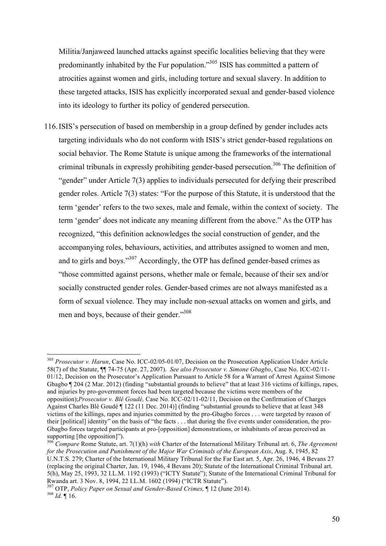Militia/Janjaweed launched attacks against specific localities believing that they were predominantly inhabited by the Fur population."305 ISIS has committed a pattern of atrocities against women and girls, including torture and sexual slavery. In addition to these targeted attacks, ISIS has explicitly incorporated sexual and gender-based violence into its ideology to further its policy of gendered persecution.

116.ISIS's persecution of based on membership in a group defined by gender includes acts targeting individuals who do not conform with ISIS's strict gender-based regulations on social behavior. The Rome Statute is unique among the frameworks of the international criminal tribunals in expressly prohibiting gender-based persecution.<sup>306</sup> The definition of "gender" under Article 7(3) applies to individuals persecuted for defying their prescribed gender roles. Article 7(3) states: "For the purpose of this Statute, it is understood that the term 'gender' refers to the two sexes, male and female, within the context of society. The term 'gender' does not indicate any meaning different from the above." As the OTP has recognized, "this definition acknowledges the social construction of gender, and the accompanying roles, behaviours, activities, and attributes assigned to women and men, and to girls and boys."307 Accordingly, the OTP has defined gender-based crimes as "those committed against persons, whether male or female, because of their sex and/or socially constructed gender roles. Gender-based crimes are not always manifested as a form of sexual violence. They may include non-sexual attacks on women and girls, and men and boys, because of their gender."<sup>308</sup>

 <sup>305</sup> *Prosecutor v. Harun*, Case No. ICC-02/05-01/07, Decision on the Prosecution Application Under Article 58(7) of the Statute, ¶¶ 74-75 (Apr. 27, 2007). *See also Prosecutor v. Simone Gbagbo*, Case No. ICC-02/11- 01/12, Decision on the Prosecutor's Application Pursuant to Article 58 for a Warrant of Arrest Against Simone Gbagbo ¶ 204 (2 Mar. 2012) (finding "substantial grounds to believe" that at least 316 victims of killings, rapes, and injuries by pro-government forces had been targeted because the victims were members of the opposition);*Prosecutor v. Blé Goudé,* Case No. ICC-02/11-02/11, Decision on the Confirmation of Charges Against Charles Blé Goudé ¶ 122 (11 Dec. 2014)] (finding "substantial grounds to believe that at least 348 victims of the killings, rapes and injuries committed by the pro-Gbagbo forces . . . were targeted by reason of their [political] identity" on the basis of "the facts . . . that during the five events under consideration, the pro-Gbagbo forces targeted participants at pro-[opposition] demonstrations, or inhabitants of areas perceived as supporting [the opposition]"). <sup>306</sup> *Compare* Rome Statute, art. 7(1)(h) *with* Charter of the International Military Tribunal art. 6, *The Agreement* 

*for the Prosecution and Punishment of the Major War Criminals of the European Axis*, Aug. 8, 1945, 82 U.N.T.S. 279; Charter of the International Military Tribunal for the Far East art. 5, Apr. 26, 1946, 4 Bevans 27 (replacing the original Charter, Jan. 19, 1946, 4 Bevans 20); Statute of the International Criminal Tribunal art. 5(h), May 25, 1993, 32 I.L.M. 1192 (1993) ("ICTY Statute"); Statute of the International Criminal Tribunal for Rwanda art. 3 Nov. 8, 1994, 22 I.L.M. 1602 (1994) ("ICTR Statute").

<sup>307</sup> OTP, *Policy Paper on Sexual and Gender-Based Crimes,* ¶ 12 (June 2014). <sup>308</sup> *Id.* ¶ 16.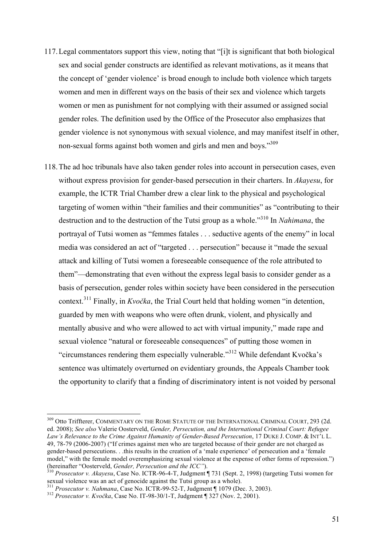- 117.Legal commentators support this view, noting that "[i]t is significant that both biological sex and social gender constructs are identified as relevant motivations, as it means that the concept of 'gender violence' is broad enough to include both violence which targets women and men in different ways on the basis of their sex and violence which targets women or men as punishment for not complying with their assumed or assigned social gender roles. The definition used by the Office of the Prosecutor also emphasizes that gender violence is not synonymous with sexual violence, and may manifest itself in other, non-sexual forms against both women and girls and men and boys."309
- 118.The ad hoc tribunals have also taken gender roles into account in persecution cases, even without express provision for gender-based persecution in their charters. In *Akayesu*, for example, the ICTR Trial Chamber drew a clear link to the physical and psychological targeting of women within "their families and their communities" as "contributing to their destruction and to the destruction of the Tutsi group as a whole."<sup>310</sup> In *Nahimana*, the portrayal of Tutsi women as "femmes fatales . . . seductive agents of the enemy" in local media was considered an act of "targeted . . . persecution" because it "made the sexual attack and killing of Tutsi women a foreseeable consequence of the role attributed to them"—demonstrating that even without the express legal basis to consider gender as a basis of persecution, gender roles within society have been considered in the persecution context.<sup>311</sup> Finally, in *Kvočka*, the Trial Court held that holding women "in detention, guarded by men with weapons who were often drunk, violent, and physically and mentally abusive and who were allowed to act with virtual impunity," made rape and sexual violence "natural or foreseeable consequences" of putting those women in "circumstances rendering them especially vulnerable."<sup>312</sup> While defendant Kvočka's sentence was ultimately overturned on evidentiary grounds, the Appeals Chamber took the opportunity to clarify that a finding of discriminatory intent is not voided by personal

<sup>&</sup>lt;sup>309</sup> Otto Triffterer, COMMENTARY ON THE ROME STATUTE OF THE INTERNATIONAL CRIMINAL COURT, 293 (2d. ed. 2008); *See also* Valerie Oosterveld, *Gender, Persecution, and the International Criminal Court: Refugee Law's Relevance to the Crime Against Humanity of Gender-Based Persecution*, 17 DUKE J. COMP. & INT'L L. 49, 78-79 (2006-2007) ("If crimes against men who are targeted because of their gender are not charged as gender-based persecutions. . .this results in the creation of a 'male experience' of persecution and a 'female model," with the female model overemphasizing sexual violence at the expense of other forms of repression.") (hereinafter "Oosterveld, *Gender, Persecution and the ICC"*). 310 *Prosecutor v. Akayesu*, Case No. ICTR-96-4-T, Judgment ¶ 731 (Sept. 2, 1998) (targeting Tutsi women for

sexual violence was an act of genocide against the Tutsi group as a whole).<br><sup>311</sup> Prosecutor v. Nahmana, Case No. ICTR-99-52-T, Judgment ¶ 1079 (Dec. 3, 2003).<br><sup>312</sup> Prosecutor v. Kvočka, Case No. IT-98-30/1-T, Judgment ¶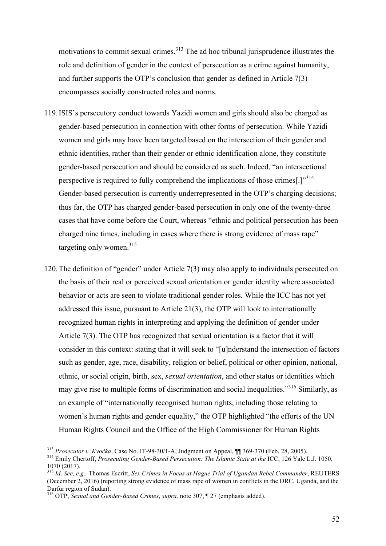motivations to commit sexual crimes.<sup>313</sup> The ad hoc tribunal jurisprudence illustrates the role and definition of gender in the context of persecution as a crime against humanity, and further supports the OTP's conclusion that gender as defined in Article 7(3) encompasses socially constructed roles and norms.

- 119.ISIS's persecutory conduct towards Yazidi women and girls should also be charged as gender-based persecution in connection with other forms of persecution. While Yazidi women and girls may have been targeted based on the intersection of their gender and ethnic identities, rather than their gender or ethnic identification alone, they constitute gender-based persecution and should be considered as such. Indeed, "an intersectional perspective is required to fully comprehend the implications of those crimes<sup>[1,314</sup>] Gender-based persecution is currently underrepresented in the OTP's charging decisions; thus far, the OTP has charged gender-based persecution in only one of the twenty-three cases that have come before the Court, whereas "ethnic and political persecution has been charged nine times, including in cases where there is strong evidence of mass rape" targeting only women.<sup>315</sup>
- 120.The definition of "gender" under Article 7(3) may also apply to individuals persecuted on the basis of their real or perceived sexual orientation or gender identity where associated behavior or acts are seen to violate traditional gender roles. While the ICC has not yet addressed this issue, pursuant to Article 21(3), the OTP will look to internationally recognized human rights in interpreting and applying the definition of gender under Article 7(3). The OTP has recognized that sexual orientation is a factor that it will consider in this context: stating that it will seek to "[u]nderstand the intersection of factors such as gender, age, race, disability, religion or belief, political or other opinion, national, ethnic, or social origin, birth, sex, *sexual orientation*, and other status or identities which may give rise to multiple forms of discrimination and social inequalities.<sup>3316</sup> Similarly, as an example of "internationally recognised human rights, including those relating to women's human rights and gender equality," the OTP highlighted "the efforts of the UN Human Rights Council and the Office of the High Commissioner for Human Rights

<sup>&</sup>lt;sup>313</sup> Prosecutor v. Kvočka, Case No. IT-98-30/1-A, Judgment on Appeal, ¶¶ 369-370 (Feb. 28, 2005).<br><sup>314</sup> Emily Chertoff, Prosecuting Gender-Based Persecution: The Islamic State at the ICC, 126 Yale L.J. 1050, 1070 (2017).

<sup>315</sup> *Id*. *See, e.g.,* Thomas Escritt, *Sex Crimes in Focus at Hague Trial of Ugandan Rebel Commander*, REUTERS (December 2, 2016) (reporting strong evidence of mass rape of women in conflicts in the DRC, Uganda, and the Darfur region of Sudan).

<sup>316</sup> OTP, *Sexual and Gender-Based Crimes*, *supra,* note 307, ¶ 27 (emphasis added).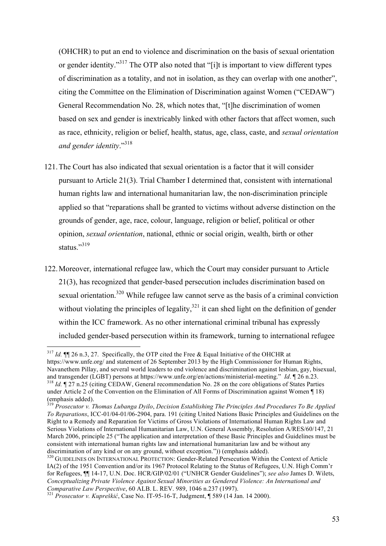(OHCHR) to put an end to violence and discrimination on the basis of sexual orientation or gender identity."<sup>317</sup> The OTP also noted that "[i]t is important to view different types of discrimination as a totality, and not in isolation, as they can overlap with one another", citing the Committee on the Elimination of Discrimination against Women ("CEDAW") General Recommendation No. 28, which notes that, "[t]he discrimination of women based on sex and gender is inextricably linked with other factors that affect women, such as race, ethnicity, religion or belief, health, status, age, class, caste, and *sexual orientation and gender identity*."318

- 121.The Court has also indicated that sexual orientation is a factor that it will consider pursuant to Article 21(3). Trial Chamber I determined that, consistent with international human rights law and international humanitarian law, the non-discrimination principle applied so that "reparations shall be granted to victims without adverse distinction on the grounds of gender, age, race, colour, language, religion or belief, political or other opinion, *sexual orientation*, national, ethnic or social origin, wealth, birth or other status $^{319}$
- 122.Moreover, international refugee law, which the Court may consider pursuant to Article 21(3), has recognized that gender-based persecution includes discrimination based on sexual orientation.<sup>320</sup> While refugee law cannot serve as the basis of a criminal conviction without violating the principles of legality,  $321$  it can shed light on the definition of gender within the ICC framework. As no other international criminal tribunal has expressly included gender-based persecution within its framework, turning to international refugee

 <sup>317</sup> *Id.* ¶¶ 26 n.3, 27. Specifically, the OTP cited the Free & Equal Initiative of the OHCHR at https://www.unfe.org/ and statement of 26 September 2013 by the High Commissioner for Human Rights, Navanethem Pillay, and several world leaders to end violence and discrimination against lesbian, gay, bisexual, and transgender (LGBT) persons at https://www.unfe.org/en/actions/ministerial-meeting." *Id*. ¶ 26 n.23. <sup>318</sup> *Id.* ¶ 27 n.25 (citing CEDAW, General recommendation No. 28 on the core obligations of States Parties under Article 2 of the Convention on the Elimination of All Forms of Discrimination against Women ¶ 18) (emphasis added).

<sup>319</sup> *Prosecutor v. Thomas Lubanga Dyilo*, *Decision Establishing The Principles And Procedures To Be Applied To Reparations*, ICC-01/04-01/06-2904, para. 191 (citing United Nations Basic Principles and Guidelines on the Right to a Remedy and Reparation for Victims of Gross Violations of International Human Rights Law and Serious Violations of International Humanitarian Law, U.N. General Assembly, Resolution A/RES/60/147, 21 March 2006, principle 25 ("The application and interpretation of these Basic Principles and Guidelines must be consistent with international human rights law and international humanitarian law and be without any discrimination of any kind or on any ground, without exception.")) (emphasis added).<br><sup>320</sup> GUIDELINES ON INTERNATIONAL PROTECTION: Gender-Related Persecution Within the Context of Article

IA(2) of the 1951 Convention and/or its 1967 Protocol Relating to the Status of Refugees, U.N. High Comm'r for Refugees, ¶¶ 14-17, U.N. Doc. HCR/GIP/02/01 ("UNHCR Gender Guidelines"); *see also* James D. Wilets, *Conceptualizing Private Violence Against Sexual Minorities as Gendered Violence: An International and Comparative Law Perspective*, 60 ALB. L. REV. 989, 1046 n.237 (1997). <sup>321</sup> *Prosecutor v. Kupreškić*, Case No. IT-95-16-T, Judgment, ¶ 589 (14 Jan. 14 2000).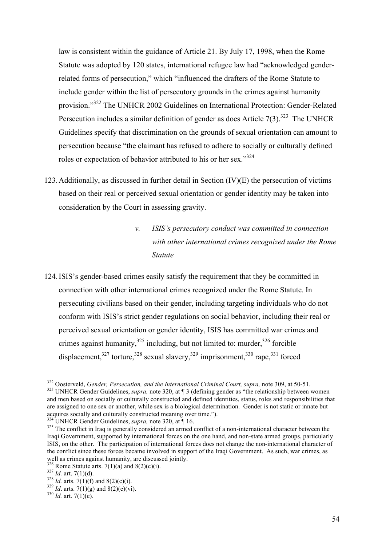law is consistent within the guidance of Article 21. By July 17, 1998, when the Rome Statute was adopted by 120 states, international refugee law had "acknowledged genderrelated forms of persecution," which "influenced the drafters of the Rome Statute to include gender within the list of persecutory grounds in the crimes against humanity provision."<sup>322</sup> The UNHCR 2002 Guidelines on International Protection: Gender-Related Persecution includes a similar definition of gender as does Article  $7(3)$ .<sup>323</sup> The UNHCR Guidelines specify that discrimination on the grounds of sexual orientation can amount to persecution because "the claimant has refused to adhere to socially or culturally defined roles or expectation of behavior attributed to his or her sex."<sup>324</sup>

- 123.Additionally, as discussed in further detail in Section (IV)(E) the persecution of victims based on their real or perceived sexual orientation or gender identity may be taken into consideration by the Court in assessing gravity.
	- *v. ISIS's persecutory conduct was committed in connection with other international crimes recognized under the Rome Statute*
- 124.ISIS's gender-based crimes easily satisfy the requirement that they be committed in connection with other international crimes recognized under the Rome Statute. In persecuting civilians based on their gender, including targeting individuals who do not conform with ISIS's strict gender regulations on social behavior, including their real or perceived sexual orientation or gender identity, ISIS has committed war crimes and crimes against humanity,  $325$  including, but not limited to: murder,  $326$  forcible displacement, $327$  torture, $328$  sexual slavery, $329$  imprisonment,  $330$  rape,  $331$  forced

<sup>&</sup>lt;sup>322</sup> Oosterveld, *Gender, Persecution, and the International Criminal Court, supra, note 309, at 50-51.* <sup>323</sup> UNHCR Gender Guidelines, *supra, note 320, at* ¶ 3 (defining gender as "the relationship between women and men based on socially or culturally constructed and defined identities, status, roles and responsibilities that are assigned to one sex or another, while sex is a biological determination. Gender is not static or innate but acquires socially and culturally constructed meaning over time.").

<sup>&</sup>lt;sup>324</sup> UNHCR Gender Guidelines, *supra*, note 320, at  $\parallel$  16.<br><sup>325</sup> The conflict in Iraq is generally considered an armed conflict of a non-international character between the Iraqi Government, supported by international forces on the one hand, and non-state armed groups, particularly ISIS, on the other. The participation of international forces does not change the non-international character of the conflict since these forces became involved in support of the Iraqi Government. As such, war crimes, as well as crimes against humanity, are discussed jointly.<br><sup>326</sup> Rome Statute arts.  $7(1)(a)$  and  $8(2)(c)(i)$ .

<sup>827</sup> *Id.* art. 7(1)(d).<br><sup>328</sup> *Id.* arts. 7(1)(f) and 8(2)(c)(i).<br><sup>329</sup> *Id.* arts. 7(1)(g) and 8(2)(e)(vi).<br><sup>330</sup> *Id.* art. 7(1)(e).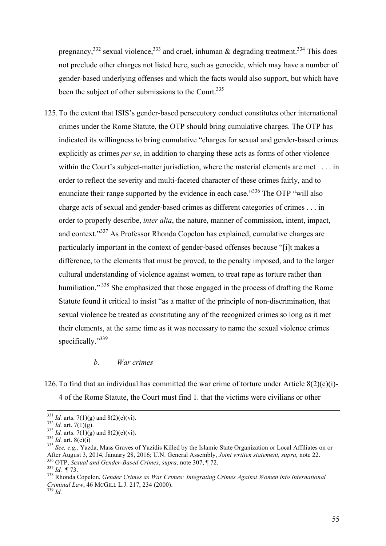pregnancy,<sup>332</sup> sexual violence,<sup>333</sup> and cruel, inhuman & degrading treatment.<sup>334</sup> This does not preclude other charges not listed here, such as genocide, which may have a number of gender-based underlying offenses and which the facts would also support, but which have been the subject of other submissions to the Court.<sup>335</sup>

125.To the extent that ISIS's gender-based persecutory conduct constitutes other international crimes under the Rome Statute, the OTP should bring cumulative charges. The OTP has indicated its willingness to bring cumulative "charges for sexual and gender-based crimes explicitly as crimes *per se*, in addition to charging these acts as forms of other violence within the Court's subject-matter jurisdiction, where the material elements are met . . . in order to reflect the severity and multi-faceted character of these crimes fairly, and to enunciate their range supported by the evidence in each case."<sup>336</sup> The OTP "will also charge acts of sexual and gender-based crimes as different categories of crimes . . . in order to properly describe, *inter alia*, the nature, manner of commission, intent, impact, and context."<sup>337</sup> As Professor Rhonda Copelon has explained, cumulative charges are particularly important in the context of gender-based offenses because "[i]t makes a difference, to the elements that must be proved, to the penalty imposed, and to the larger cultural understanding of violence against women, to treat rape as torture rather than humiliation."<sup>338</sup> She emphasized that those engaged in the process of drafting the Rome Statute found it critical to insist "as a matter of the principle of non-discrimination, that sexual violence be treated as constituting any of the recognized crimes so long as it met their elements, at the same time as it was necessary to name the sexual violence crimes specifically."<sup>339</sup>

#### *b. War crimes*

126. To find that an individual has committed the war crime of torture under Article  $8(2)(c)(i)$ -4 of the Rome Statute, the Court must find 1. that the victims were civilians or other

<sup>&</sup>lt;sup>331</sup> *Id.* arts. 7(1)(g) and 8(2)(e)(vi).<br><sup>332</sup> *Id.* art. 7(1)(g).<br><sup>333</sup> *Id.* arts. 7(1)(g) and 8(2)(e)(vi).<br><sup>333</sup> *Id.* art. 8(c)(i)<br><sup>335</sup> *See, e.g.,* Yazda, Mass Graves of Yazidis Killed by the Islamic State Organiz After August 3, 2014, January 28, 2016; U.N. General Assembly, Joint written statement, supra, note 22.<br>
<sup>336</sup> OTP, *Sexual and Gender-Based Crimes*, *supra*, note 307, ¶ 72.<br>
<sup>337</sup> Id. ¶ 73.<br>
<sup>338</sup> Rhonda Copelon. *Gender* 

*Criminal Law*, 46 MCGILL L.J. 217, 234 (2000). <sup>339</sup> *Id.*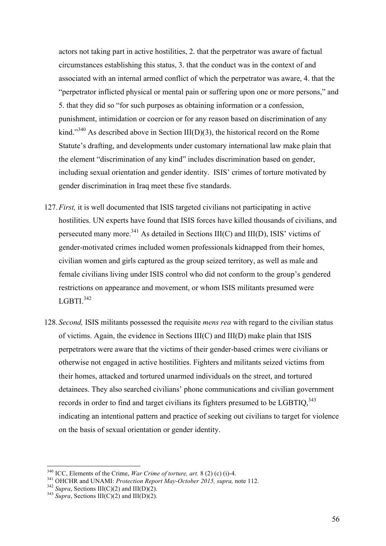actors not taking part in active hostilities, 2. that the perpetrator was aware of factual circumstances establishing this status, 3. that the conduct was in the context of and associated with an internal armed conflict of which the perpetrator was aware, 4. that the "perpetrator inflicted physical or mental pain or suffering upon one or more persons," and 5. that they did so "for such purposes as obtaining information or a confession, punishment, intimidation or coercion or for any reason based on discrimination of any kind."<sup>340</sup> As described above in Section III(D)(3), the historical record on the Rome Statute's drafting, and developments under customary international law make plain that the element "discrimination of any kind" includes discrimination based on gender, including sexual orientation and gender identity. ISIS' crimes of torture motivated by gender discrimination in Iraq meet these five standards.

- 127.*First,* it is well documented that ISIS targeted civilians not participating in active hostilities. UN experts have found that ISIS forces have killed thousands of civilians, and persecuted many more.<sup>341</sup> As detailed in Sections III(C) and III(D), ISIS' victims of gender-motivated crimes included women professionals kidnapped from their homes, civilian women and girls captured as the group seized territory, as well as male and female civilians living under ISIS control who did not conform to the group's gendered restrictions on appearance and movement, or whom ISIS militants presumed were LGBTI. 342
- 128.*Second,* ISIS militants possessed the requisite *mens rea* with regard to the civilian status of victims. Again, the evidence in Sections III(C) and III(D) make plain that ISIS perpetrators were aware that the victims of their gender-based crimes were civilians or otherwise not engaged in active hostilities. Fighters and militants seized victims from their homes, attacked and tortured unarmed individuals on the street, and tortured detainees. They also searched civilians' phone communications and civilian government records in order to find and target civilians its fighters presumed to be LGBTIQ.<sup>343</sup> indicating an intentional pattern and practice of seeking out civilians to target for violence on the basis of sexual orientation or gender identity.

<sup>&</sup>lt;sup>340</sup> ICC, Elements of the Crime, *War Crime of torture, art.* 8 (2) (c) (i)-4.<br><sup>341</sup> OHCHR and UNAMI: *Protection Report May-October 2015, supra,* note 112.<br><sup>342</sup> *Supra*, Sections III(C)(2) and III(D)(2).<br><sup>343</sup> *Supra*,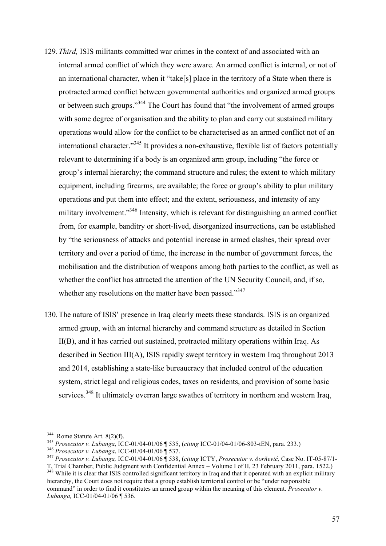- 129.*Third,* ISIS militants committed war crimes in the context of and associated with an internal armed conflict of which they were aware. An armed conflict is internal, or not of an international character, when it "take[s] place in the territory of a State when there is protracted armed conflict between governmental authorities and organized armed groups or between such groups."<sup>344</sup> The Court has found that "the involvement of armed groups" with some degree of organisation and the ability to plan and carry out sustained military operations would allow for the conflict to be characterised as an armed conflict not of an international character."<sup>345</sup> It provides a non-exhaustive, flexible list of factors potentially relevant to determining if a body is an organized arm group, including "the force or group's internal hierarchy; the command structure and rules; the extent to which military equipment, including firearms, are available; the force or group's ability to plan military operations and put them into effect; and the extent, seriousness, and intensity of any military involvement.<sup>3346</sup> Intensity, which is relevant for distinguishing an armed conflict from, for example, banditry or short-lived, disorganized insurrections, can be established by "the seriousness of attacks and potential increase in armed clashes, their spread over territory and over a period of time, the increase in the number of government forces, the mobilisation and the distribution of weapons among both parties to the conflict, as well as whether the conflict has attracted the attention of the UN Security Council, and, if so, whether any resolutions on the matter have been passed."<sup>347</sup>
- 130.The nature of ISIS' presence in Iraq clearly meets these standards. ISIS is an organized armed group, with an internal hierarchy and command structure as detailed in Section II(B), and it has carried out sustained, protracted military operations within Iraq. As described in Section III(A), ISIS rapidly swept territory in western Iraq throughout 2013 and 2014, establishing a state-like bureaucracy that included control of the education system, strict legal and religious codes, taxes on residents, and provision of some basic services.<sup>348</sup> It ultimately overran large swathes of territory in northern and western Iraq,

<sup>&</sup>lt;sup>344</sup> Rome Statute Art. 8(2)(f).<br><sup>345</sup> *Prosecutor v. Lubanga*, ICC-01/04-01/06 ¶ 535, (citing ICC-01/04-01/06-803-tEN, para. 233.)<br><sup>346</sup> *Prosecutor v. Lubanga*, ICC-01/04-01/06 ¶ 537.<br><sup>347</sup> *Prosecutor v. Lubanga*, ICC-0

<sup>&</sup>lt;sup>348</sup> While it is clear that ISIS controlled significant territory in Iraq and that it operated with an explicit military hierarchy, the Court does not require that a group establish territorial control or be "under responsible command" in order to find it constitutes an armed group within the meaning of this element. *Prosecutor v. Lubanga,* ICC-01/04-01/06 ¶ 536.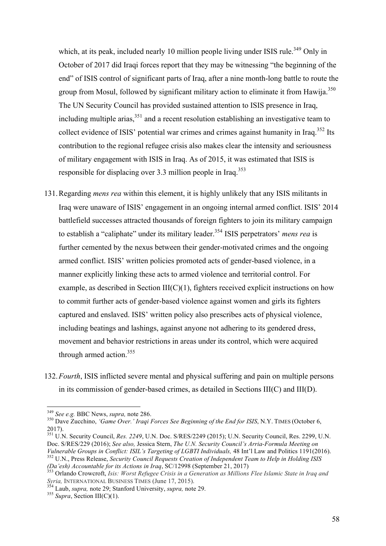which, at its peak, included nearly 10 million people living under ISIS rule.<sup>349</sup> Only in October of 2017 did Iraqi forces report that they may be witnessing "the beginning of the end" of ISIS control of significant parts of Iraq, after a nine month-long battle to route the group from Mosul, followed by significant military action to eliminate it from Hawija.<sup>350</sup> The UN Security Council has provided sustained attention to ISIS presence in Iraq, including multiple arias,  $351$  and a recent resolution establishing an investigative team to collect evidence of ISIS' potential war crimes and crimes against humanity in Iraq.<sup>352</sup> Its contribution to the regional refugee crisis also makes clear the intensity and seriousness of military engagement with ISIS in Iraq. As of 2015, it was estimated that ISIS is responsible for displacing over 3.3 million people in Iraq.<sup>353</sup>

- 131.Regarding *mens rea* within this element, it is highly unlikely that any ISIS militants in Iraq were unaware of ISIS' engagement in an ongoing internal armed conflict. ISIS' 2014 battlefield successes attracted thousands of foreign fighters to join its military campaign to establish a "caliphate" under its military leader.<sup>354</sup> ISIS perpetrators' *mens rea* is further cemented by the nexus between their gender-motivated crimes and the ongoing armed conflict. ISIS' written policies promoted acts of gender-based violence, in a manner explicitly linking these acts to armed violence and territorial control. For example, as described in Section III(C)(1), fighters received explicit instructions on how to commit further acts of gender-based violence against women and girls its fighters captured and enslaved. ISIS' written policy also prescribes acts of physical violence, including beatings and lashings, against anyone not adhering to its gendered dress, movement and behavior restrictions in areas under its control, which were acquired through armed action.<sup>355</sup>
- 132.*Fourth*, ISIS inflicted severe mental and physical suffering and pain on multiple persons in its commission of gender-based crimes, as detailed in Sections III(C) and III(D).

<sup>&</sup>lt;sup>349</sup> *See e.g. BBC News, supra, note 286.*<br><sup>350</sup> Dave Zucchino, *'Game Over.' Iraqi Forces See Beginning of the End for ISIS, N.Y. TIMES (October 6,* 2017).

<sup>351</sup> U.N. Security Council, *Res. 2249*, U.N. Doc. S/RES/2249 (2015); U.N. Security Council, Res. 2299, U.N. Doc. S/RES/229 (2016); See also, Jessica Stern, *The U.N. Security Council's Arria-Formula Meeting on Vulnerable Groups in Conflict: ISIL's Targeting of LGBTI Individuals.* 48 Int'l Law and Politics 1191(2016). <sup>352</sup> U.N., Press Release, Security Council Requests Creation of Independent Team to Help in Holding ISIS

*<sup>(</sup>Da'esh) Accountable for its Actions in Iraq, SC/12998 (September 21, 2017)* 353 Orlando Crowcroft, *Isis: Worst Refugee Crisis in a Generation as Millions Flee Islamic State in Iraq and Syria, INTERNATIONAL BUSINESS TIME* 

<sup>&</sup>lt;sup>354</sup> Laub, *supra*, note 29; Stanford University, *supra*, note 29. 355 *Supra*, Section III(C)(1).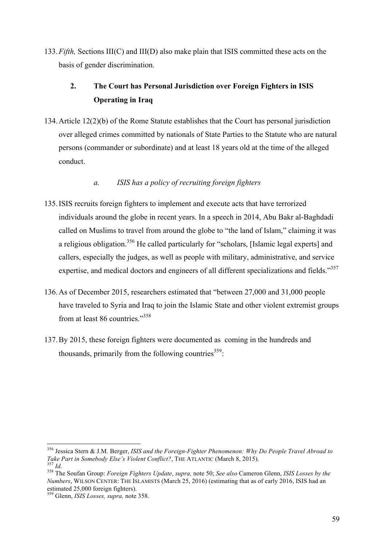133.*Fifth,* Sections III(C) and III(D) also make plain that ISIS committed these acts on the basis of gender discrimination.

# **2. The Court has Personal Jurisdiction over Foreign Fighters in ISIS Operating in Iraq**

134.Article 12(2)(b) of the Rome Statute establishes that the Court has personal jurisdiction over alleged crimes committed by nationals of State Parties to the Statute who are natural persons (commander or subordinate) and at least 18 years old at the time of the alleged conduct.

### *a. ISIS has a policy of recruiting foreign fighters*

- 135.ISIS recruits foreign fighters to implement and execute acts that have terrorized individuals around the globe in recent years. In a speech in 2014, Abu Bakr al-Baghdadi called on Muslims to travel from around the globe to "the land of Islam," claiming it was a religious obligation.<sup>356</sup> He called particularly for "scholars, [Islamic legal experts] and callers, especially the judges, as well as people with military, administrative, and service expertise, and medical doctors and engineers of all different specializations and fields."<sup>357</sup>
- 136.As of December 2015, researchers estimated that "between 27,000 and 31,000 people have traveled to Syria and Iraq to join the Islamic State and other violent extremist groups from at least 86 countries."<sup>358</sup>
- 137.By 2015, these foreign fighters were documented as coming in the hundreds and thousands, primarily from the following countries<sup>359</sup>:

<sup>&</sup>lt;sup>356</sup> Jessica Stern & J.M. Berger, *ISIS and the Foreign-Fighter Phenomenon: Why Do People Travel Abroad to* Take Part in Somebody Else's Violent Conflict?, THE ATLANTIC (March 8, 2015).

 $\frac{357}{164}$  Id.<br><sup>358</sup> The Soufan Group: *Foreign Fighters Update*, *supra*, note 50; *See also* Cameron Glenn, *ISIS Losses by the Numbers*, WILSON CENTER: THE ISLAMISTS (March 25, 2016) (estimating that as of early 2016, ISIS had an estimated 25,000 foreign fighters).

<sup>359</sup> Glenn, *ISIS Losses, supra,* note 358.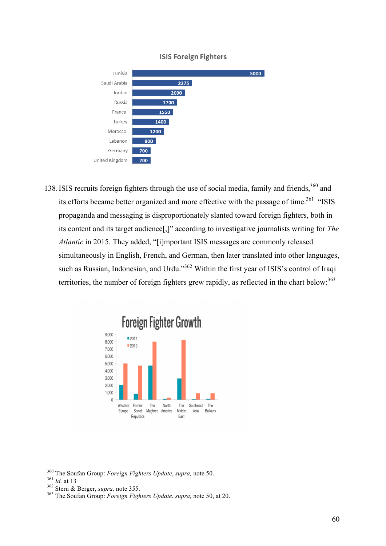

#### **ISIS Foreign Fighters**

138. ISIS recruits foreign fighters through the use of social media, family and friends,<sup>360</sup> and its efforts became better organized and more effective with the passage of time.<sup>361</sup> "ISIS propaganda and messaging is disproportionately slanted toward foreign fighters, both in its content and its target audience[,]" according to investigative journalists writing for *The Atlantic* in 2015. They added, "[i]mportant ISIS messages are commonly released simultaneously in English, French, and German, then later translated into other languages, such as Russian, Indonesian, and Urdu."<sup>362</sup> Within the first year of ISIS's control of Iraqi territories, the number of foreign fighters grew rapidly, as reflected in the chart below:<sup>363</sup>



<sup>&</sup>lt;sup>360</sup> The Soufan Group: *Foreign Fighters Update*, *supra*, note 50.<br><sup>361</sup> Id. at 13<br><sup>362</sup> Stern & Berger, *supra*, note 355.<br><sup>363</sup> The Soufan Group: *Foreign Fighters Update*, *supra*, note 50, at 20.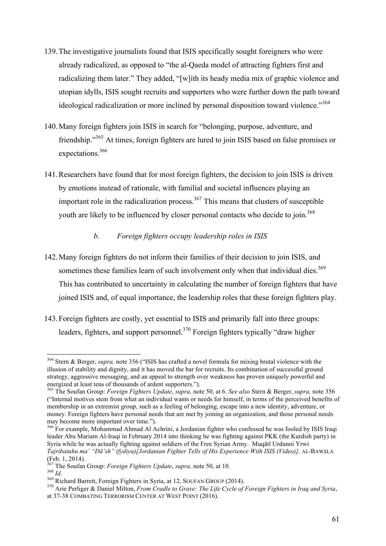- 139.The investigative journalists found that ISIS specifically sought foreigners who were already radicalized, as opposed to "the al-Qaeda model of attracting fighters first and radicalizing them later." They added, "[w]ith its heady media mix of graphic violence and utopian idylls, ISIS sought recruits and supporters who were further down the path toward ideological radicalization or more inclined by personal disposition toward violence."<sup>364</sup>
- 140.Many foreign fighters join ISIS in search for "belonging, purpose, adventure, and friendship."<sup>365</sup> At times, foreign fighters are lured to join ISIS based on false promises or expectations.366
- 141.Researchers have found that for most foreign fighters, the decision to join ISIS is driven by emotions instead of rationale, with familial and societal influences playing an important role in the radicalization process.<sup>367</sup> This means that clusters of susceptible youth are likely to be influenced by closer personal contacts who decide to join.<sup>368</sup>

### *b. Foreign fighters occupy leadership roles in ISIS*

- 142.Many foreign fighters do not inform their families of their decision to join ISIS, and sometimes these families learn of such involvement only when that individual dies. $369$ This has contributed to uncertainty in calculating the number of foreign fighters that have joined ISIS and, of equal importance, the leadership roles that these foreign fighters play.
- 143.Foreign fighters are costly, yet essential to ISIS and primarily fall into three groups: leaders, fighters, and support personnel.370 Foreign fighters typically "draw higher

 <sup>364</sup> Stern & Berger, *supra,* note 356 ("ISIS has crafted a novel formula for mixing brutal violence with the illusion of stability and dignity, and it has moved the bar for recruits. Its combination of successful ground strategy, aggressive messaging, and an appeal to strength over weakness has proven uniquely powerful and energized at least tens of thousands of ardent supporters.").

<sup>365</sup> The Soufan Group: *Foreign Fighters Update*, *supra,* note 50, at 6. *See also* Stern & Berger, *supra,* note 356 ("Internal motives stem from what an individual wants or needs for himself, in terms of the perceived benefits of membership in an extremist group, such as a feeling of belonging, escape into a new identity, adventure, or money. Foreign fighters have personal needs that are met by joining an organization, and those personal needs may become more important over time.").

<sup>&</sup>lt;sup>366</sup> For example, Mohammad Ahmad Al Achrini, a Jordanian fighter who confessed he was fooled by ISIS Iraqi leader Abu Mariam Al-Iraqi in February 2014 into thinking he was fighting against PKK (the Kurdish party) in Syria while he was actually fighting against soldiers of the Free Syrian Army. Muqātl Urdunni Yrwi *Tajribatuhu ma' "Dā'sh" (fydiyu)[Jordanian Fighter Tells of His Experience With ISIS (Video)], AL-BAWŞLA* (Feb. 1, 2014).<br>(Feb. 1, 2014).<br><sup>367</sup> The Soufan Group: *Foreign Fighters Update, supra, note* 50, at 10.

<sup>&</sup>lt;sup>168</sup> Id.<br><sup>368</sup> Richard Barrett, Foreign Fighters in Syria, at 12, SOUFAN GROUP (2014).<br><sup>370</sup> Arie Perliger & Daniel Milton, *From Cradle to Grave: The Life Cycle of Foreign Fighters in Iraq and Syria*, at 37-38 COMBATING TERRORISM CENTER AT WEST POINT (2016).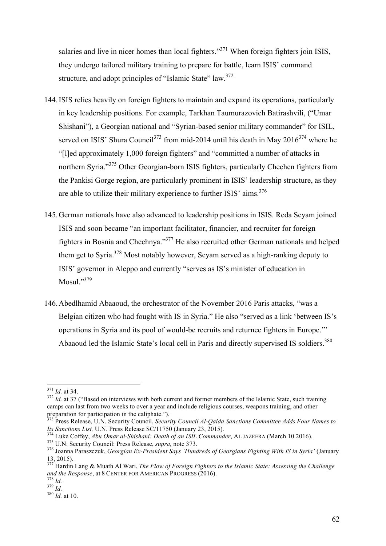salaries and live in nicer homes than local fighters."<sup>371</sup> When foreign fighters join ISIS, they undergo tailored military training to prepare for battle, learn ISIS' command structure, and adopt principles of "Islamic State" law.<sup>372</sup>

- 144.ISIS relies heavily on foreign fighters to maintain and expand its operations, particularly in key leadership positions. For example, Tarkhan Taumurazovich Batirashvili, ("Umar Shishani"), a Georgian national and "Syrian-based senior military commander" for ISIL, served on ISIS' Shura Council<sup>373</sup> from mid-2014 until his death in May  $2016^{374}$  where he "[l]ed approximately 1,000 foreign fighters" and "committed a number of attacks in northern Syria."<sup>375</sup> Other Georgian-born ISIS fighters, particularly Chechen fighters from the Pankisi Gorge region, are particularly prominent in ISIS' leadership structure, as they are able to utilize their military experience to further ISIS' aims.<sup>376</sup>
- 145.German nationals have also advanced to leadership positions in ISIS. Reda Seyam joined ISIS and soon became "an important facilitator, financier, and recruiter for foreign fighters in Bosnia and Chechnya."377 He also recruited other German nationals and helped them get to Syria.<sup>378</sup> Most notably however, Seyam served as a high-ranking deputy to ISIS' governor in Aleppo and currently "serves as IS's minister of education in Mosul." 379
- 146.Abedlhamid Abaaoud, the orchestrator of the November 2016 Paris attacks, "was a Belgian citizen who had fought with IS in Syria." He also "served as a link 'between IS's operations in Syria and its pool of would-be recruits and returnee fighters in Europe.'" Abaaoud led the Islamic State's local cell in Paris and directly supervised IS soldiers.<sup>380</sup>

<sup>&</sup>lt;sup>371</sup> *Id.* at 34. 372 *Id.* at 37 ("Based on interviews with both current and former members of the Islamic State, such training camps can last from two weeks to over a year and include religious courses, weapons training, and other preparation for participation in the caliphate.").

<sup>373</sup> Press Release, U.N. Security Council, *Security Council Al-Qaida Sanctions Committee Adds Four Names to* 

*Its Sanctions List, U.N. Press Release SC/11750 (January 23, 2015).*<br><sup>374</sup> Luke Coffey, *Abu Omar al-Shishani: Death of an ISIL Commander*, AL JAZEERA (March 10 2016).<br><sup>375</sup> U.N. Security Council: Press Release, *supra*,

<sup>13, 2015).</sup>

<sup>377</sup> Hardin Lang & Muath Al Wari, *The Flow of Foreign Fighters to the Islamic State: Assessing the Challenge and the Response*, at <sup>8</sup> CENTER FOR AMERICAN PROGRESS (2016). <sup>378</sup> *Id.* <sup>379</sup> *Id.* <sup>380</sup> *Id.* at 10.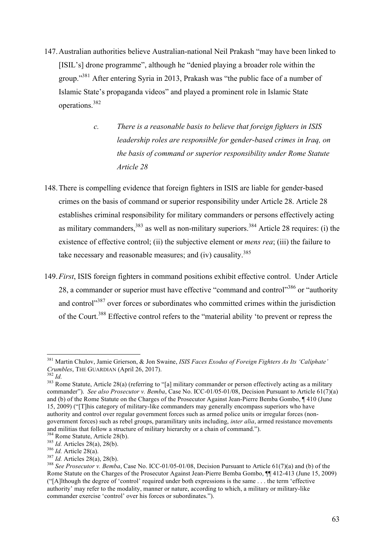- 147.Australian authorities believe Australian-national Neil Prakash "may have been linked to [ISIL's] drone programme", although he "denied playing a broader role within the group."381 After entering Syria in 2013, Prakash was "the public face of a number of Islamic State's propaganda videos" and played a prominent role in Islamic State operations.<sup>382</sup>
	- *c. There is a reasonable basis to believe that foreign fighters in ISIS leadership roles are responsible for gender-based crimes in Iraq, on the basis of command or superior responsibility under Rome Statute Article 28*
- 148.There is compelling evidence that foreign fighters in ISIS are liable for gender-based crimes on the basis of command or superior responsibility under Article 28. Article 28 establishes criminal responsibility for military commanders or persons effectively acting as military commanders,  $383$  as well as non-military superiors.  $384$  Article 28 requires: (i) the existence of effective control; (ii) the subjective element or *mens rea*; (iii) the failure to take necessary and reasonable measures; and (iv) causality. $385$
- 149.*First*, ISIS foreign fighters in command positions exhibit effective control. Under Article 28, a commander or superior must have effective "command and control"<sup>386</sup> or "authority" and control<sup>387</sup> over forces or subordinates who committed crimes within the jurisdiction of the Court.388 Effective control refers to the "material ability 'to prevent or repress the

 <sup>381</sup> Martin Chulov, Jamie Grierson, & Jon Swaine, *ISIS Faces Exodus of Foreign Fighters As Its 'Caliphate' Crumbles*, THE GUARDIAN (April 26, 2017).<br><sup>382</sup> *Id.* 383 Rome Statute, Article 28(a) (referring to "[a] military commander or person effectively acting as a military

commander"). *See also Prosecutor v. Bemba*, Case No. ICC-01/05-01/08, Decision Pursuant to Article 61(7)(a) and (b) of the Rome Statute on the Charges of the Prosecutor Against Jean-Pierre Bemba Gombo, ¶ 410 (June 15, 2009) ("[T]his category of military-like commanders may generally encompass superiors who have authority and control over regular government forces such as armed police units or irregular forces (nongovernment forces) such as rebel groups, paramilitary units including, *inter alia*, armed resistance movements and militias that follow a structure of military hierarchy or a chain of command.").<br><sup>384</sup> Rome Statute, Article 28(b).

<sup>&</sup>lt;sup>385</sup> *Id.* Articles 28(a), 28(b).<br><sup>386</sup> *Id.* Article 28(a), 28(b).<br><sup>387</sup> *Id.* Articles 28(a), 28(b).<br><sup>387</sup> *Id.* Articles 28(a), 28(b).<br><sup>388</sup> *See Prosecutor v. Bemba*, Case No. ICC-01/05-01/08, Decision Pursuant to Ar Rome Statute on the Charges of the Prosecutor Against Jean-Pierre Bemba Gombo, ¶¶ 412-413 (June 15, 2009) ("[A]lthough the degree of 'control' required under both expressions is the same . . . the term 'effective authority' may refer to the modality, manner or nature, according to which, a military or military-like commander exercise 'control' over his forces or subordinates.").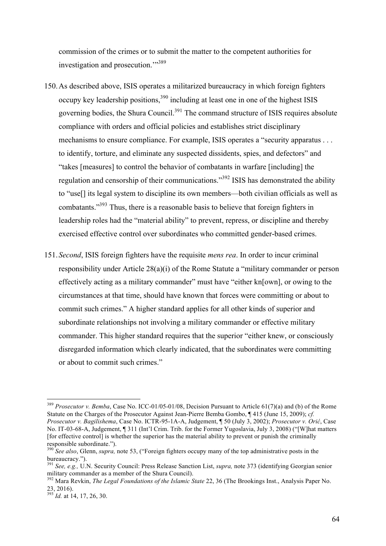commission of the crimes or to submit the matter to the competent authorities for investigation and prosecution."<sup>389</sup>

- 150.As described above, ISIS operates a militarized bureaucracy in which foreign fighters occupy key leadership positions.<sup>390</sup> including at least one in one of the highest ISIS governing bodies, the Shura Council.<sup>391</sup> The command structure of ISIS requires absolute compliance with orders and official policies and establishes strict disciplinary mechanisms to ensure compliance. For example, ISIS operates a "security apparatus . . . to identify, torture, and eliminate any suspected dissidents, spies, and defectors" and "takes [measures] to control the behavior of combatants in warfare [including] the regulation and censorship of their communications."<sup>392</sup> ISIS has demonstrated the ability to "use[] its legal system to discipline its own members—both civilian officials as well as combatants."393 Thus, there is a reasonable basis to believe that foreign fighters in leadership roles had the "material ability" to prevent, repress, or discipline and thereby exercised effective control over subordinates who committed gender-based crimes.
- 151.*Second*, ISIS foreign fighters have the requisite *mens rea*. In order to incur criminal responsibility under Article 28(a)(i) of the Rome Statute a "military commander or person effectively acting as a military commander" must have "either kn[own], or owing to the circumstances at that time, should have known that forces were committing or about to commit such crimes." A higher standard applies for all other kinds of superior and subordinate relationships not involving a military commander or effective military commander. This higher standard requires that the superior "either knew, or consciously disregarded information which clearly indicated, that the subordinates were committing or about to commit such crimes."

 <sup>389</sup> *Prosecutor v. Bemba*, Case No. ICC-01/05-01/08, Decision Pursuant to Article 61(7)(a) and (b) of the Rome Statute on the Charges of the Prosecutor Against Jean-Pierre Bemba Gombo, ¶ 415 (June 15, 2009); *cf. Prosecutor v. Bagilishema*, Case No. ICTR-95-1A-A, Judgement, ¶ 50 (July 3, 2002); *Prosecutor v. Orić*, Case No. IT-03-68-A, Judgement, ¶ 311 (Int'l Crim. Trib. for the Former Yugoslavia, July 3, 2008) ("[W]hat matters [for effective control] is whether the superior has the material ability to prevent or punish the criminally responsible subordinate."). 390 *See also*, Glenn, *supra,* note 53, ("Foreign fighters occupy many of the top administrative posts in the

bureaucracy.").

<sup>&</sup>lt;sup>391</sup> *See, e.g.,* U.N. Security Council: Press Release Sanction List, *supra*, note 373 (identifying Georgian senior military commander as a member of the Shura Council).

<sup>&</sup>lt;sup>392</sup> Mara Revkin, *The Legal Foundations of the Islamic State* 22, 36 (The Brookings Inst., Analysis Paper No. 23, 2016).

<sup>393</sup> *Id.* at 14, 17, 26, 30.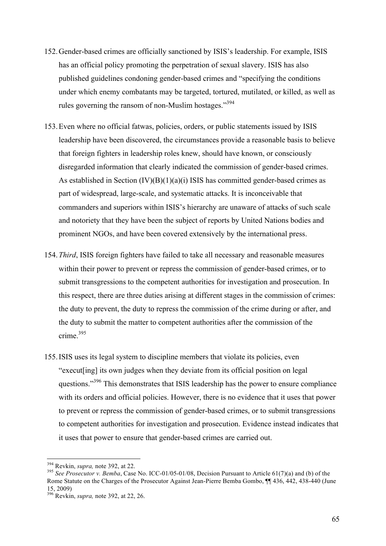- 152.Gender-based crimes are officially sanctioned by ISIS's leadership. For example, ISIS has an official policy promoting the perpetration of sexual slavery. ISIS has also published guidelines condoning gender-based crimes and "specifying the conditions under which enemy combatants may be targeted, tortured, mutilated, or killed, as well as rules governing the ransom of non-Muslim hostages."<sup>394</sup>
- 153.Even where no official fatwas, policies, orders, or public statements issued by ISIS leadership have been discovered, the circumstances provide a reasonable basis to believe that foreign fighters in leadership roles knew, should have known, or consciously disregarded information that clearly indicated the commission of gender-based crimes. As established in Section (IV)(B)(1)(a)(i) ISIS has committed gender-based crimes as part of widespread, large-scale, and systematic attacks. It is inconceivable that commanders and superiors within ISIS's hierarchy are unaware of attacks of such scale and notoriety that they have been the subject of reports by United Nations bodies and prominent NGOs, and have been covered extensively by the international press.
- 154.*Third*, ISIS foreign fighters have failed to take all necessary and reasonable measures within their power to prevent or repress the commission of gender-based crimes, or to submit transgressions to the competent authorities for investigation and prosecution. In this respect, there are three duties arising at different stages in the commission of crimes: the duty to prevent, the duty to repress the commission of the crime during or after, and the duty to submit the matter to competent authorities after the commission of the crime<sup>395</sup>
- 155.ISIS uses its legal system to discipline members that violate its policies, even "execut[ing] its own judges when they deviate from its official position on legal questions."<sup>396</sup> This demonstrates that ISIS leadership has the power to ensure compliance with its orders and official policies. However, there is no evidence that it uses that power to prevent or repress the commission of gender-based crimes, or to submit transgressions to competent authorities for investigation and prosecution. Evidence instead indicates that it uses that power to ensure that gender-based crimes are carried out.

<sup>&</sup>lt;sup>394</sup> Revkin, *supra*, note 392, at 22.<br><sup>395</sup> *See Prosecutor v. Bemba*, Case No. ICC-01/05-01/08, Decision Pursuant to Article 61(7)(a) and (b) of the Rome Statute on the Charges of the Prosecutor Against Jean-Pierre Bemba Gombo, ¶¶ 436, 442, 438-440 (June 15, 2009)

<sup>396</sup> Revkin, *supra,* note 392, at 22, 26.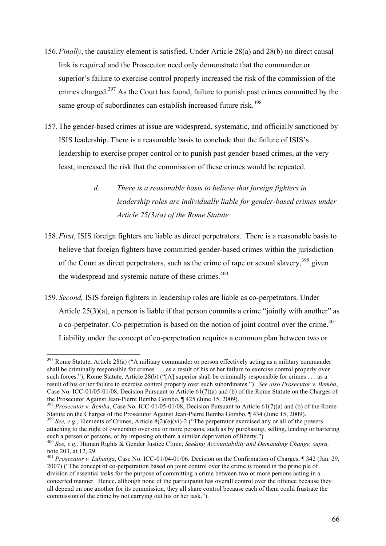- 156.*Finally*, the causality element is satisfied. Under Article 28(a) and 28(b) no direct causal link is required and the Prosecutor need only demonstrate that the commander or superior's failure to exercise control properly increased the risk of the commission of the crimes charged.<sup>397</sup> As the Court has found, failure to punish past crimes committed by the same group of subordinates can establish increased future risk.<sup>398</sup>
- 157.The gender-based crimes at issue are widespread, systematic, and officially sanctioned by ISIS leadership. There is a reasonable basis to conclude that the failure of ISIS's leadership to exercise proper control or to punish past gender-based crimes, at the very least, increased the risk that the commission of these crimes would be repeated.
	- *d. There is a reasonable basis to believe that foreign fighters in leadership roles are individually liable for gender-based crimes under Article 25(3)(a) of the Rome Statute*
- 158.*First*, ISIS foreign fighters are liable as direct perpetrators. There is a reasonable basis to believe that foreign fighters have committed gender-based crimes within the jurisdiction of the Court as direct perpetrators, such as the crime of rape or sexual slavery,  $399$  given the widespread and systemic nature of these crimes.<sup>400</sup>
- 159.*Second,* ISIS foreign fighters in leadership roles are liable as co-perpetrators. Under Article 25(3)(a), a person is liable if that person commits a crime "jointly with another" as a co-perpetrator. Co-perpetration is based on the notion of joint control over the crime.<sup> $401$ </sup> Liability under the concept of co-perpetration requires a common plan between two or

 $397$  Rome Statute, Article 28(a) ("A military commander or person effectively acting as a military commander shall be criminally responsible for crimes . . . as a result of his or her failure to exercise control properly over such forces."); Rome Statute, Article 28(b) ("[A] superior shall be criminally responsible for crimes . . . as a result of his or her failure to exercise control properly over such subordinates."). *See also Prosecutor v. Bemba*, Case No. ICC-01/05-01/08, Decision Pursuant to Article 61(7)(a) and (b) of the Rome Statute on the Charges of the Prosecutor Against Jean-Pierre Bemba Gombo, ¶ 425 (June 15, 2009). <sup>398</sup> *Prosecutor v. Bemba*, Case No. ICC-01/05-01/08, Decision Pursuant to Article 61(7)(a) and (b) of the Rome

Statute on the Charges of the Prosecutor Against Jean-Pierre Bemba Gombo, ¶ 434 (June 15, 2009).<br><sup>399</sup> *See, e.g.*, Elements of Crimes, Article 8(2)(e)(vi)-2 ("The perpetrator exercised any or all of the powers

attaching to the right of ownership over one or more persons, such as by purchasing, selling, lending or bartering such a person or persons, or by imposing on them a similar deprivation of liberty.").

<sup>&</sup>lt;sup>400</sup> See, e.g., Human Rights & Gender Justice Clinic, *Seeking Accountability and Demanding Change, supra,* note 203, at 12, 29.

<sup>401</sup> *Prosecutor v. Lubanga*, Case No. ICC-01/04-01/06, Decision on the Confirmation of Charges, ¶ 342 (Jan. 29, 2007) ("The concept of co-perpetration based on joint control over the crime is rooted in the principle of division of essential tasks for the purpose of committing a crime between two or more persons acting in a concerted manner. Hence, although none of the participants has overall control over the offence because they all depend on one another for its commission, they all share control because each of them could frustrate the commission of the crime by not carrying out his or her task.").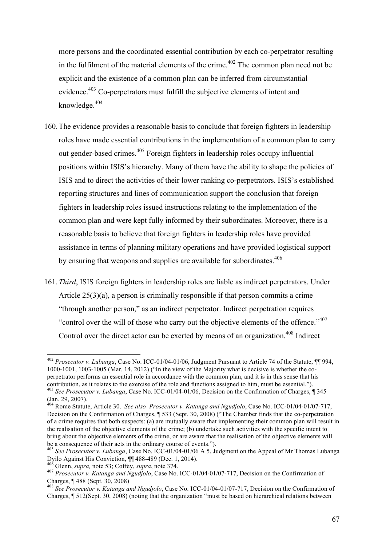more persons and the coordinated essential contribution by each co-perpetrator resulting in the fulfilment of the material elements of the crime.<sup> $402$ </sup> The common plan need not be explicit and the existence of a common plan can be inferred from circumstantial evidence.<sup>403</sup> Co-perpetrators must fulfill the subjective elements of intent and knowledge.<sup>404</sup>

- 160.The evidence provides a reasonable basis to conclude that foreign fighters in leadership roles have made essential contributions in the implementation of a common plan to carry out gender-based crimes.405 Foreign fighters in leadership roles occupy influential positions within ISIS's hierarchy. Many of them have the ability to shape the policies of ISIS and to direct the activities of their lower ranking co-perpetrators. ISIS's established reporting structures and lines of communication support the conclusion that foreign fighters in leadership roles issued instructions relating to the implementation of the common plan and were kept fully informed by their subordinates. Moreover, there is a reasonable basis to believe that foreign fighters in leadership roles have provided assistance in terms of planning military operations and have provided logistical support by ensuring that weapons and supplies are available for subordinates.<sup>406</sup>
- 161.*Third*, ISIS foreign fighters in leadership roles are liable as indirect perpetrators. Under Article 25(3)(a), a person is criminally responsible if that person commits a crime "through another person," as an indirect perpetrator. Indirect perpetration requires "control over the will of those who carry out the objective elements of the offence."<sup>407</sup> Control over the direct actor can be exerted by means of an organization.<sup>408</sup> Indirect

 <sup>402</sup> *Prosecutor v. Lubanga*, Case No. ICC-01/04-01/06, Judgment Pursuant to Article 74 of the Statute, ¶¶ 994, 1000-1001, 1003-1005 (Mar. 14, 2012) ("In the view of the Majority what is decisive is whether the coperpetrator performs an essential role in accordance with the common plan, and it is in this sense that his contribution, as it relates to the exercise of the role and functions assigned to him, must be essential."). <sup>403</sup> *See Prosecutor v. Lubanga*, Case No. ICC-01/04-01/06, Decision on the Confirmation of Charges, ¶ 345 (Jan. 29, 2007).

<sup>404</sup> Rome Statute, Article 30. *See also Prosecutor v. Katanga and Ngudjolo*, Case No. ICC-01/04-01/07-717, Decision on the Confirmation of Charges, ¶ 533 (Sept. 30, 2008) ("The Chamber finds that the co-perpetration of a crime requires that both suspects: (a) are mutually aware that implementing their common plan will result in the realisation of the objective elements of the crime; (b) undertake such activities with the specific intent to bring about the objective elements of the crime, or are aware that the realisation of the objective elements will be a consequence of their acts in the ordinary course of events.").

<sup>405</sup> *See Prosecutor v. Lubanga*, Case No. ICC-01/04-01/06 A 5, Judgment on the Appeal of Mr Thomas Lubanga

<sup>&</sup>lt;sup>406</sup> Glenn, *supra*, note 53; Coffey, *supra*, note 374.<br><sup>407</sup> Prosecutor v. Katanga and Ngudjolo, Case No. ICC-01/04-01/07-717, Decision on the Confirmation of Charges.  $\P$  488 (Sept. 30, 2008)

<sup>&</sup>lt;sup>408</sup> See Prosecutor v. Katanga and Ngudjolo, Case No. ICC-01/04-01/07-717, Decision on the Confirmation of Charges, ¶ 512(Sept. 30, 2008) (noting that the organization "must be based on hierarchical relations between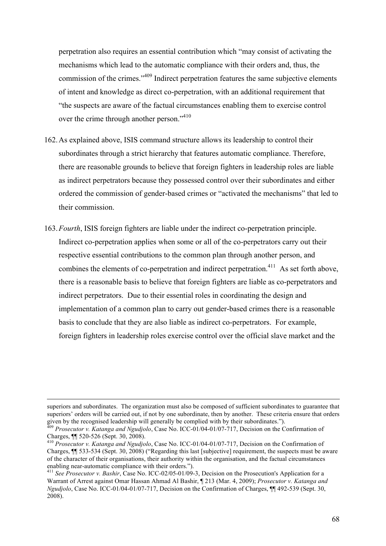perpetration also requires an essential contribution which "may consist of activating the mechanisms which lead to the automatic compliance with their orders and, thus, the commission of the crimes."<sup>409</sup> Indirect perpetration features the same subjective elements of intent and knowledge as direct co-perpetration, with an additional requirement that "the suspects are aware of the factual circumstances enabling them to exercise control over the crime through another person."<sup>410</sup>

- 162.As explained above, ISIS command structure allows its leadership to control their subordinates through a strict hierarchy that features automatic compliance. Therefore, there are reasonable grounds to believe that foreign fighters in leadership roles are liable as indirect perpetrators because they possessed control over their subordinates and either ordered the commission of gender-based crimes or "activated the mechanisms" that led to their commission.
- 163.*Fourth*, ISIS foreign fighters are liable under the indirect co-perpetration principle. Indirect co-perpetration applies when some or all of the co-perpetrators carry out their respective essential contributions to the common plan through another person, and combines the elements of co-perpetration and indirect perpetration.<sup>411</sup> As set forth above, there is a reasonable basis to believe that foreign fighters are liable as co-perpetrators and indirect perpetrators. Due to their essential roles in coordinating the design and implementation of a common plan to carry out gender-based crimes there is a reasonable basis to conclude that they are also liable as indirect co-perpetrators. For example, foreign fighters in leadership roles exercise control over the official slave market and the

superiors and subordinates. The organization must also be composed of sufficient subordinates to guarantee that superiors' orders will be carried out, if not by one subordinate, then by another. These criteria ensure that orders

given by the recognised leadership will generally be complied with by their subordinates.").<br><sup>409</sup> *Prosecutor v. Katanga and Ngudjolo*, Case No. ICC-01/04-01/07-717, Decision on the Confirmation of Charges,  $\P$  520-526 (S

Charges, ¶¶ 520-526 (Sept. 30, 2008). <sup>410</sup> *Prosecutor v. Katanga and Ngudjolo*, Case No. ICC-01/04-01/07-717, Decision on the Confirmation of Charges, ¶¶ 533-534 (Sept. 30, 2008) ("Regarding this last [subjective] requirement, the suspects must be aware of the character of their organisations, their authority within the organisation, and the factual circumstances enabling near-automatic compliance with their orders."). <sup>411</sup> *See Prosecutor v. Bashir*, Case No. ICC-02/05-01/09-3, Decision on the Prosecution's Application for a

Warrant of Arrest against Omar Hassan Ahmad Al Bashir, ¶ 213 (Mar. 4, 2009); *Prosecutor v. Katanga and Ngudjolo*, Case No. ICC-01/04-01/07-717, Decision on the Confirmation of Charges, ¶¶ 492-539 (Sept. 30, 2008).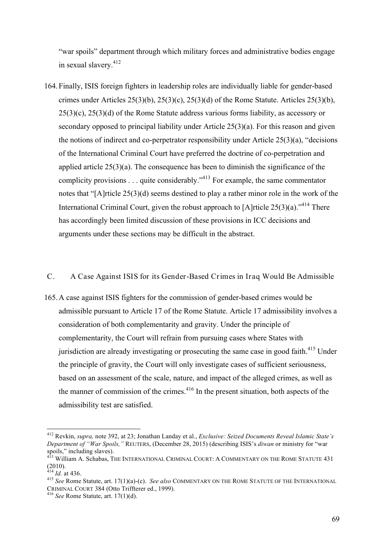"war spoils" department through which military forces and administrative bodies engage in sexual slavery.412

164.Finally, ISIS foreign fighters in leadership roles are individually liable for gender-based crimes under Articles  $25(3)(b)$ ,  $25(3)(c)$ ,  $25(3)(d)$  of the Rome Statute. Articles  $25(3)(b)$ ,  $25(3)(c)$ ,  $25(3)(d)$  of the Rome Statute address various forms liability, as accessory or secondary opposed to principal liability under Article 25(3)(a). For this reason and given the notions of indirect and co-perpetrator responsibility under Article 25(3)(a), "decisions of the International Criminal Court have preferred the doctrine of co-perpetration and applied article 25(3)(a). The consequence has been to diminish the significance of the complicity provisions . . . quite considerably."<sup>413</sup> For example, the same commentator notes that "[A]rticle 25(3)(d) seems destined to play a rather minor role in the work of the International Criminal Court, given the robust approach to [A]rticle  $25(3)(a)$ .<sup>"414</sup> There has accordingly been limited discussion of these provisions in ICC decisions and arguments under these sections may be difficult in the abstract.

# C. A Case Against ISIS for its Gender-Based Crimes in Iraq Would Be Admissible

165.A case against ISIS fighters for the commission of gender-based crimes would be admissible pursuant to Article 17 of the Rome Statute. Article 17 admissibility involves a consideration of both complementarity and gravity. Under the principle of complementarity, the Court will refrain from pursuing cases where States with jurisdiction are already investigating or prosecuting the same case in good faith.<sup>415</sup> Under the principle of gravity, the Court will only investigate cases of sufficient seriousness, based on an assessment of the scale, nature, and impact of the alleged crimes, as well as the manner of commission of the crimes. $416$  In the present situation, both aspects of the admissibility test are satisfied.

 <sup>412</sup> Revkin, *supra,* note 392, at 23; Jonathan Landay et al., *Exclusive: Seized Documents Reveal Islamic State's Department of "War Spoils,"* REUTERS, (December 28, 2015) (describing ISIS's *diwan* or ministry for "war spoils," including slaves).

<sup>&</sup>lt;sup>413</sup> William A. Schabas, The International Criminal Court: A Commentary on the Rome Statute 431  $(2010).$ <br><sup>414</sup> *Id.* at 436.

<sup>&</sup>lt;sup>415</sup> *See* Rome Statute, art. 17(1)(a)-(c). *See also* COMMENTARY ON THE ROME STATUTE OF THE INTERNATIONAL CRIMINAL COURT 384 (Otto Triffterer ed., 1999). <sup>416</sup> *See* Rome Statute, art. 17(1)(d).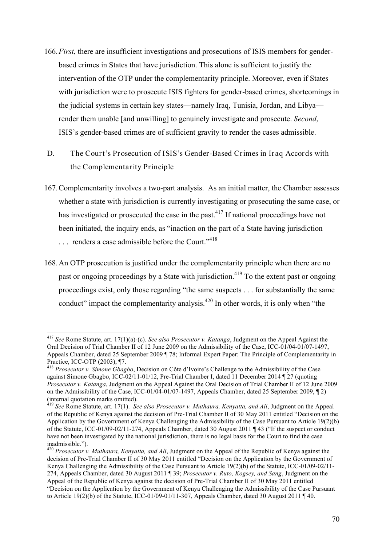- 166.*First*, there are insufficient investigations and prosecutions of ISIS members for genderbased crimes in States that have jurisdiction. This alone is sufficient to justify the intervention of the OTP under the complementarity principle. Moreover, even if States with jurisdiction were to prosecute ISIS fighters for gender-based crimes, shortcomings in the judicial systems in certain key states—namely Iraq, Tunisia, Jordan, and Libya render them unable [and unwilling] to genuinely investigate and prosecute. *Second*, ISIS's gender-based crimes are of sufficient gravity to render the cases admissible.
- D. The Court's Prosecution of ISIS's Gender-Based Crimes in Iraq Accords with the Complementarity Principle
- 167.Complementarity involves a two-part analysis. As an initial matter, the Chamber assesses whether a state with jurisdiction is currently investigating or prosecuting the same case, or has investigated or prosecuted the case in the past.<sup>417</sup> If national proceedings have not been initiated, the inquiry ends, as "inaction on the part of a State having jurisdiction ... renders a case admissible before the Court."<sup>418</sup>
- 168.An OTP prosecution is justified under the complementarity principle when there are no past or ongoing proceedings by a State with jurisdiction.<sup>419</sup> To the extent past or ongoing proceedings exist, only those regarding "the same suspects . . . for substantially the same conduct" impact the complementarity analysis.<sup>420</sup> In other words, it is only when "the

 <sup>417</sup> *See* Rome Statute, art. 17(1)(a)-(c). *See also Prosecutor v. Katanga*, Judgment on the Appeal Against the Oral Decision of Trial Chamber II of 12 June 2009 on the Admissibility of the Case, ICC-01/04-01/07-1497, Appeals Chamber, dated 25 September 2009 ¶ 78; Informal Expert Paper: The Principle of Complementarity in Practice, ICC-OTP (2003), ¶7.<br><sup>418</sup> *Prosecutor v. Simone Gbagbo*, Decision on Côte d'Ivoire's Challenge to the Admissibility of the Case

against Simone Gbagbo, ICC-02/11-01/12, Pre-Trial Chamber I, dated 11 December 2014 ¶ 27 (quoting *Prosecutor v. Katanga*, Judgment on the Appeal Against the Oral Decision of Trial Chamber II of 12 June 2009 on the Admissibility of the Case, ICC-01/04-01/07-1497, Appeals Chamber, dated 25 September 2009, ¶ 2) (internal quotation marks omitted).

<sup>419</sup> *See* Rome Statute, art. 17(1). *See also Prosecutor v. Muthaura, Kenyatta, and Ali*, Judgment on the Appeal of the Republic of Kenya against the decision of Pre-Trial Chamber II of 30 May 2011 entitled "Decision on the Application by the Government of Kenya Challenging the Admissibility of the Case Pursuant to Article 19(2)(b) of the Statute, ICC-01/09-02/11-274, Appeals Chamber, dated 30 August 2011 ¶ 43 ("If the suspect or conduct have not been investigated by the national jurisdiction, there is no legal basis for the Court to find the case inadmissible.").

<sup>420</sup> *Prosecutor v. Muthaura, Kenyatta, and Ali*, Judgment on the Appeal of the Republic of Kenya against the decision of Pre-Trial Chamber II of 30 May 2011 entitled "Decision on the Application by the Government of Kenya Challenging the Admissibility of the Case Pursuant to Article 19(2)(b) of the Statute, ICC-01/09-02/11- 274, Appeals Chamber, dated 30 August 2011 ¶ 39; *Prosecutor v. Ruto, Kogsey, and Sang*, Judgment on the Appeal of the Republic of Kenya against the decision of Pre-Trial Chamber II of 30 May 2011 entitled "Decision on the Application by the Government of Kenya Challenging the Admissibility of the Case Pursuant to Article 19(2)(b) of the Statute, ICC-01/09-01/11-307, Appeals Chamber, dated 30 August 2011 ¶ 40.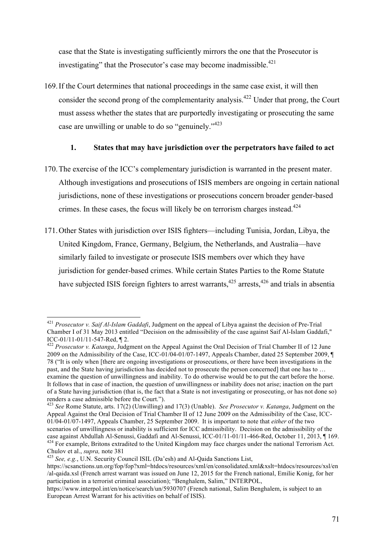case that the State is investigating sufficiently mirrors the one that the Prosecutor is investigating" that the Prosecutor's case may become inadmissible.<sup>421</sup>

169.If the Court determines that national proceedings in the same case exist, it will then consider the second prong of the complementarity analysis.<sup>422</sup> Under that prong, the Court must assess whether the states that are purportedly investigating or prosecuting the same case are unwilling or unable to do so "genuinely."423

# **1. States that may have jurisdiction over the perpetrators have failed to act**

- 170.The exercise of the ICC's complementary jurisdiction is warranted in the present mater. Although investigations and prosecutions of ISIS members are ongoing in certain national jurisdictions, none of these investigations or prosecutions concern broader gender-based crimes. In these cases, the focus will likely be on terrorism charges instead.<sup>424</sup>
- 171.Other States with jurisdiction over ISIS fighters—including Tunisia, Jordan, Libya, the United Kingdom, France, Germany, Belgium, the Netherlands, and Australia—have similarly failed to investigate or prosecute ISIS members over which they have jurisdiction for gender-based crimes. While certain States Parties to the Rome Statute have subjected ISIS foreign fighters to arrest warrants,<sup>425</sup> arrests,<sup>426</sup> and trials in absentia

 <sup>421</sup> *Prosecutor v. Saif Al-Islam Gaddafi*, Judgment on the appeal of Libya against the decision of Pre-Trial Chamber I of 31 May 2013 entitled "Decision on the admissibility of the case against Saif Al-Islam Gaddafi," ICC-01/11-01/11-547-Red, ¶ 2. 422 *Prosecutor v. Katanga*, Judgment on the Appeal Against the Oral Decision of Trial Chamber II of 12 June

<sup>2009</sup> on the Admissibility of the Case, ICC-01/04-01/07-1497, Appeals Chamber, dated 25 September 2009, ¶ 78 ("It is only when [there are ongoing investigations or prosecutions, or there have been investigations in the past, and the State having jurisdiction has decided not to prosecute the person concerned] that one has to … examine the question of unwillingness and inability. To do otherwise would be to put the cart before the horse. It follows that in case of inaction, the question of unwillingness or inability does not arise; inaction on the part of a State having jurisdiction (that is, the fact that a State is not investigating or prosecuting, or has not done so) renders a case admissible before the Court.").

<sup>423</sup> *See* Rome Statute, arts. 17(2) (Unwilling) and 17(3) (Unable). *See Prosecutor v. Katanga*, Judgment on the Appeal Against the Oral Decision of Trial Chamber II of 12 June 2009 on the Admissibility of the Case, ICC-01/04-01/07-1497, Appeals Chamber, 25 September 2009. It is important to note that *either* of the two scenarios of unwillingness or inability is sufficient for ICC admissibility. Decision on the admissibility of the case against Abdullah Al-Senussi, Gaddafi and Al-Senussi, ICC-01/11-01/11-466-Red, October 11, 2013, 1169.

 $\frac{424}{424}$  For example, Britons extradited to the United Kingdom may face charges under the national Terrorism Act. Chulov et al., *supra*, note 381<br><sup>425</sup> *See, e.g.*, U.N. Security Council ISIL (Da'esh) and Al-Qaida Sanctions List,

https://scsanctions.un.org/fop/fop?xml=htdocs/resources/xml/en/consolidated.xml&xslt=htdocs/resources/xsl/en /al-qaida.xsl (French arrest warrant was issued on June 12, 2015 for the French national, Emilie Konig, for her participation in a terrorist criminal association); "Benghalem, Salim," INTERPOL,

https://www.interpol.int/en/notice/search/un/5930707 (French national, Salim Benghalem, is subject to an European Arrest Warrant for his activities on behalf of ISIS).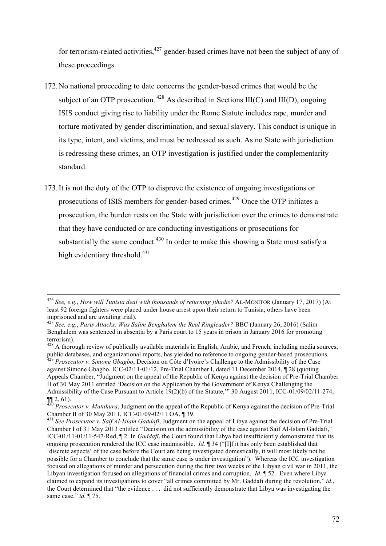for terrorism-related activities, $427$  gender-based crimes have not been the subject of any of these proceedings.

- 172.No national proceeding to date concerns the gender-based crimes that would be the subject of an OTP prosecution.  $428$  As described in Sections III(C) and III(D), ongoing ISIS conduct giving rise to liability under the Rome Statute includes rape, murder and torture motivated by gender discrimination, and sexual slavery. This conduct is unique in its type, intent, and victims, and must be redressed as such. As no State with jurisdiction is redressing these crimes, an OTP investigation is justified under the complementarity standard.
- 173.It is not the duty of the OTP to disprove the existence of ongoing investigations or prosecutions of ISIS members for gender-based crimes.<sup>429</sup> Once the OTP initiates a prosecution, the burden rests on the State with jurisdiction over the crimes to demonstrate that they have conducted or are conducting investigations or prosecutions for substantially the same conduct.<sup>430</sup> In order to make this showing a State must satisfy a high evidentiary threshold. $431$

 <sup>426</sup> *See, e.g.*, *How will Tunisia deal with thousands of returning jihadis?* AL-MONITOR (January 17, 2017) (At least 92 foreign fighters were placed under house arrest upon their return to Tunisia; others have been imprisoned and are awaiting trial).

<sup>427</sup> *See, e.g.*, *Paris Attacks: Was Salim Benghalem the Real Ringleader?* BBC (January 26, 2016) (Salim Benghalem was sentenced in absentia by a Paris court to 15 years in prison in January 2016 for promoting terrorism).

 $428$  A thorough review of publically available materials in English, Arabic, and French, including media sources, public databases, and organizational reports, has yielded no reference to ongoing gender-based prosecutions. 429 *Prosecutor v. Simone Gbagbo*, Decision on Côte d'Ivoire's Challenge to the Admissibility of the Case against Simone Gbagbo, ICC-02/11-01/12, Pre-Trial Chamber I, dated 11 December 2014, ¶ 28 (quoting

Appeals Chamber, "Judgment on the appeal of the Republic of Kenya against the decision of Pre-Trial Chamber II of 30 May 2011 entitled 'Decision on the Application by the Government of Kenya Challenging the Admissibility of the Case Pursuant to Article 19(2)(b) of the Statute,'" 30 August 2011, ICC-01/09/02/11-274,

<sup>¶¶</sup> 2, 61). 430 *Prosecutor v. Mutahura*, Judgment on the appeal of the Republic of Kenya against the decision of Pre-Trial

<sup>&</sup>lt;sup>431</sup> See Prosecutor v. Saif Al-Islam Gaddafi, Judgment on the appeal of Libya against the decision of Pre-Trial Chamber I of 31 May 2013 entitled "Decision on the admissibility of the case against Saif Al-Islam Gaddafi," ICC-01/11-01/11-547-Red, ¶ 2. In *Gaddafi*, the Court found that Libya had insufficiently demonstrated that its ongoing prosecution rendered the ICC case inadmissible. *Id.* ¶ 34 ("[I]f it has only been established that 'discrete aspects' of the case before the Court are being investigated domestically, it will most likely not be possible for a Chamber to conclude that the same case is under investigation"). Whereas the ICC investigation focused on allegations of murder and persecution during the first two weeks of the Libyan civil war in 2011, the Libyan investigation focused on allegations of financial crimes and corruption. *Id.* ¶ 52. Even where Libya claimed to expand its investigations to cover "all crimes committed by Mr. Gaddafi during the revolution," *id.*, the Court determined that "the evidence . . . did not sufficiently demonstrate that Libya was investigating the same case," *id.* ¶ 75.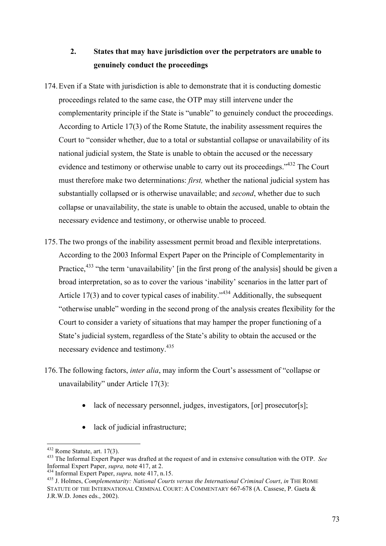# **2. States that may have jurisdiction over the perpetrators are unable to genuinely conduct the proceedings**

- 174.Even if a State with jurisdiction is able to demonstrate that it is conducting domestic proceedings related to the same case, the OTP may still intervene under the complementarity principle if the State is "unable" to genuinely conduct the proceedings. According to Article 17(3) of the Rome Statute, the inability assessment requires the Court to "consider whether, due to a total or substantial collapse or unavailability of its national judicial system, the State is unable to obtain the accused or the necessary evidence and testimony or otherwise unable to carry out its proceedings."<sup>432</sup> The Court must therefore make two determinations: *first,* whether the national judicial system has substantially collapsed or is otherwise unavailable; and *second*, whether due to such collapse or unavailability, the state is unable to obtain the accused, unable to obtain the necessary evidence and testimony, or otherwise unable to proceed.
- 175.The two prongs of the inability assessment permit broad and flexible interpretations. According to the 2003 Informal Expert Paper on the Principle of Complementarity in Practice,<sup>433</sup> "the term 'unavailability' [in the first prong of the analysis] should be given a broad interpretation, so as to cover the various 'inability' scenarios in the latter part of Article 17(3) and to cover typical cases of inability.<sup> $34$ </sup> Additionally, the subsequent "otherwise unable" wording in the second prong of the analysis creates flexibility for the Court to consider a variety of situations that may hamper the proper functioning of a State's judicial system, regardless of the State's ability to obtain the accused or the necessary evidence and testimony.<sup>435</sup>
- 176.The following factors, *inter alia*, may inform the Court's assessment of "collapse or unavailability" under Article 17(3):
	- lack of necessary personnel, judges, investigators, [or] prosecutor[s];
	- lack of judicial infrastructure;

<sup>432</sup> Rome Statute, art. 17(3).<br><sup>433</sup> The Informal Expert Paper was drafted at the request of and in extensive consultation with the OTP. *See* Informal Expert Paper. *supra*. note 417. at 2.

<sup>&</sup>lt;sup>434</sup> Informal Expert Paper, *supra*, note 417, n.15.<br><sup>435</sup> J. Holmes, *Complementarity: National Courts versus the International Criminal Court*, *in* THE ROME STATUTE OF THE INTERNATIONAL CRIMINAL COURT: A COMMENTARY 667-678 (A. Cassese, P. Gaeta & J.R.W.D. Jones eds., 2002).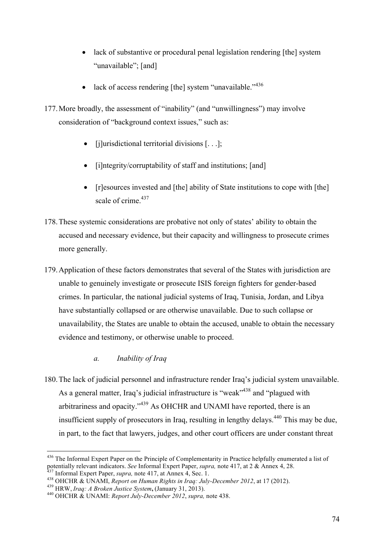- lack of substantive or procedural penal legislation rendering [the] system "unavailable"; [and]
- lack of access rendering [the] system "unavailable." $436$
- 177.More broadly, the assessment of "inability" (and "unwillingness") may involve consideration of "background context issues," such as:
	- [j]urisdictional territorial divisions [...];
	- [i]ntegrity/corruptability of staff and institutions; [and]
	- [r]esources invested and [the] ability of State institutions to cope with [the] scale of crime.<sup>437</sup>
- 178.These systemic considerations are probative not only of states' ability to obtain the accused and necessary evidence, but their capacity and willingness to prosecute crimes more generally.
- 179.Application of these factors demonstrates that several of the States with jurisdiction are unable to genuinely investigate or prosecute ISIS foreign fighters for gender-based crimes. In particular, the national judicial systems of Iraq, Tunisia, Jordan, and Libya have substantially collapsed or are otherwise unavailable. Due to such collapse or unavailability, the States are unable to obtain the accused, unable to obtain the necessary evidence and testimony, or otherwise unable to proceed.

# *a. Inability of Iraq*

180.The lack of judicial personnel and infrastructure render Iraq's judicial system unavailable. As a general matter, Iraq's judicial infrastructure is "weak"<sup>438</sup> and "plagued with arbitrariness and opacity."439 As OHCHR and UNAMI have reported, there is an insufficient supply of prosecutors in Iraq, resulting in lengthy delays.<sup>440</sup> This may be due, in part, to the fact that lawyers, judges, and other court officers are under constant threat

<sup>&</sup>lt;sup>436</sup> The Informal Expert Paper on the Principle of Complementarity in Practice helpfully enumerated a list of potentially relevant indicators. *See* Informal Expert Paper, *supra*, note 417, at 2 & Annex 4, 28.

<sup>&</sup>lt;sup>437</sup> Informal Expert Paper, *supra*, note 417, at Annex 4, Sec. 1.<br><sup>438</sup> OHCHR & UNAMI, *Report on Human Rights in Iraq: July-December 2012*, at 17 (2012).<br><sup>439</sup> HRW, *Iraq: A Broken Justice System*, (January 31, 2013).<br>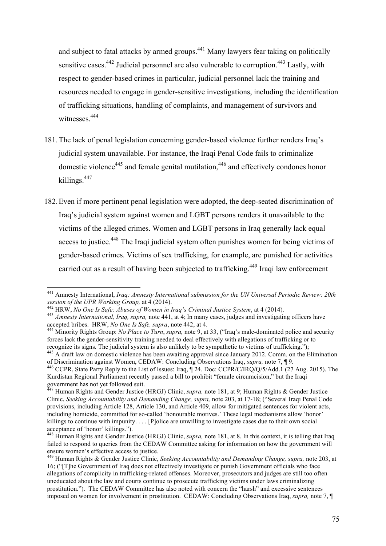and subject to fatal attacks by armed groups.<sup>441</sup> Many lawyers fear taking on politically sensitive cases.<sup>442</sup> Judicial personnel are also vulnerable to corruption.<sup>443</sup> Lastly, with respect to gender-based crimes in particular, judicial personnel lack the training and resources needed to engage in gender-sensitive investigations, including the identification of trafficking situations, handling of complaints, and management of survivors and witnesses<sup>444</sup>

- 181.The lack of penal legislation concerning gender-based violence further renders Iraq's judicial system unavailable. For instance, the Iraqi Penal Code fails to criminalize domestic violence<sup>445</sup> and female genital mutilation,<sup>446</sup> and effectively condones honor killings. 447
- 182.Even if more pertinent penal legislation were adopted, the deep-seated discrimination of Iraq's judicial system against women and LGBT persons renders it unavailable to the victims of the alleged crimes. Women and LGBT persons in Iraq generally lack equal access to justice.<sup>448</sup> The Iraqi judicial system often punishes women for being victims of gender-based crimes. Victims of sex trafficking, for example, are punished for activities carried out as a result of having been subjected to trafficking.<sup>449</sup> Iraqi law enforcement

 <sup>441</sup> Amnesty International, *Iraq: Amnesty International submission for the UN Universal Periodic Review: 20th*  session of the UPR Working Group, at 4 (2014).<br><sup>442</sup> HRW, No One Is Safe: Abuses of Women in Iraq's Criminal Justice System, at 4 (2014).<br><sup>443</sup> Amnesty International, Iraq, supra, note 441, at 4; In many cases, judges and

accepted bribes. HRW, *No One Is Safe, supra*, note 442, at 4.<br><sup>444</sup> Minority Rights Group: *No Place to Turn*, *supra*, note 9, at 33, ("Iraq's male-dominated police and security

forces lack the gender-sensitivity training needed to deal effectively with allegations of trafficking or to recognize its signs. The judicial system is also unlikely to be sympathetic to victims of trafficking.");

<sup>&</sup>lt;sup>445</sup> A draft law on domestic violence has been awaiting approval since January 2012. Comm. on the Elimination of Discrimination against Women, CEDAW: Concluding Observations Iraq, *supra,* note 7, ¶ 9. <sup>446</sup> CCPR, State Party Reply to the List of Issues: Iraq, ¶ 24. Doc: CCPR/C/IRQ/Q/5/Add.1 (27 Aug. 2015). The

Kurdistan Regional Parliament recently passed a bill to prohibit "female circumcision," but the Iraqi government has not yet followed suit.

<sup>447</sup> Human Rights and Gender Justice (HRGJ) Clinic, *supra,* note 181, at 9; Human Rights & Gender Justice Clinic, *Seeking Accountability and Demanding Change, supra,* note 203, at 17-18; ("Several Iraqi Penal Code provisions, including Article 128, Article 130, and Article 409, allow for mitigated sentences for violent acts, including homicide, committed for so-called 'honourable motives.' These legal mechanisms allow 'honor' killings to continue with impunity. . . . [P]olice are unwilling to investigate cases due to their own social acceptance of 'honor' killings.").

<sup>448</sup> Human Rights and Gender Justice (HRGJ) Clinic, *supra,* note 181, at 8. In this context, it is telling that Iraq failed to respond to queries from the CEDAW Committee asking for information on how the government will ensure women's effective access to justice.

<sup>449</sup> Human Rights & Gender Justice Clinic, *Seeking Accountability and Demanding Change, supra,* note 203, at 16; ("[T]he Government of Iraq does not effectively investigate or punish Government officials who face allegations of complicity in trafficking-related offenses. Moreover, prosecutors and judges are still too often uneducated about the law and courts continue to prosecute trafficking victims under laws criminalizing prostitution."). The CEDAW Committee has also noted with concern the "harsh" and excessive sentences imposed on women for involvement in prostitution. CEDAW: Concluding Observations Iraq, *supra,* note 7, ¶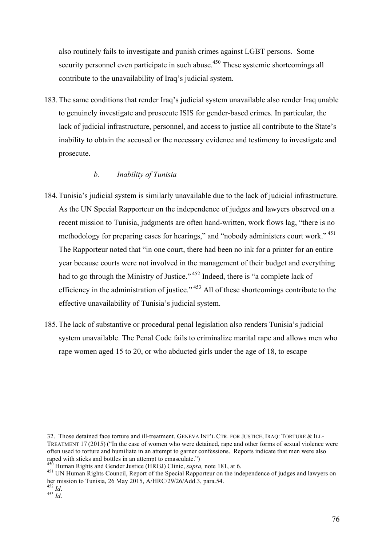also routinely fails to investigate and punish crimes against LGBT persons. Some security personnel even participate in such abuse.<sup>450</sup> These systemic shortcomings all contribute to the unavailability of Iraq's judicial system.

183.The same conditions that render Iraq's judicial system unavailable also render Iraq unable to genuinely investigate and prosecute ISIS for gender-based crimes. In particular, the lack of judicial infrastructure, personnel, and access to justice all contribute to the State's inability to obtain the accused or the necessary evidence and testimony to investigate and prosecute.

# *b. Inability of Tunisia*

- 184.Tunisia's judicial system is similarly unavailable due to the lack of judicial infrastructure. As the UN Special Rapporteur on the independence of judges and lawyers observed on a recent mission to Tunisia, judgments are often hand-written, work flows lag, "there is no methodology for preparing cases for hearings," and "nobody administers court work."<sup>451</sup> The Rapporteur noted that "in one court, there had been no ink for a printer for an entire year because courts were not involved in the management of their budget and everything had to go through the Ministry of Justice." <sup>452</sup> Indeed, there is "a complete lack of efficiency in the administration of justice." <sup>453</sup> All of these shortcomings contribute to the effective unavailability of Tunisia's judicial system.
- 185.The lack of substantive or procedural penal legislation also renders Tunisia's judicial system unavailable. The Penal Code fails to criminalize marital rape and allows men who rape women aged 15 to 20, or who abducted girls under the age of 18, to escape

 <sup>32.</sup> Those detained face torture and ill-treatment. GENEVA INT'L CTR. FOR JUSTICE, IRAQ: TORTURE & ILL-TREATMENT 17 (2015) ("In the case of women who were detained, rape and other forms of sexual violence were often used to torture and humiliate in an attempt to garner confessions. Reports indicate that men were also

<sup>&</sup>lt;sup>450</sup> Human Rights and Gender Justice (HRGJ) Clinic, *supra*, note 181, at 6.<br><sup>451</sup> UN Human Rights Council, Report of the Special Rapporteur on the independence of judges and lawyers on her mission to Tunisia, 26 May 2015, A/HRC/29/26/Add.3, para.54. <sup>452</sup> *Id*. <sup>453</sup> *Id*.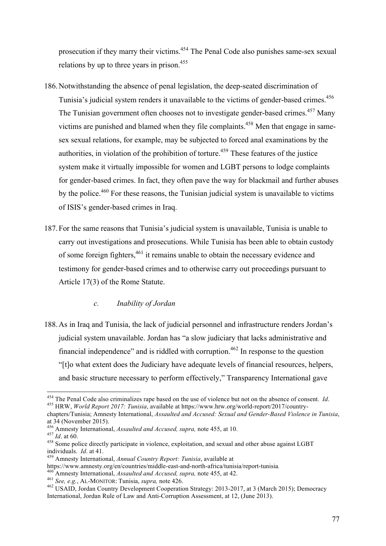prosecution if they marry their victims.<sup>454</sup> The Penal Code also punishes same-sex sexual relations by up to three years in prison.<sup>455</sup>

- 186.Notwithstanding the absence of penal legislation, the deep-seated discrimination of Tunisia's judicial system renders it unavailable to the victims of gender-based crimes.<sup>456</sup> The Tunisian government often chooses not to investigate gender-based crimes.<sup>457</sup> Many victims are punished and blamed when they file complaints.<sup>458</sup> Men that engage in samesex sexual relations, for example, may be subjected to forced anal examinations by the authorities, in violation of the prohibition of torture.<sup> $459$ </sup> These features of the justice system make it virtually impossible for women and LGBT persons to lodge complaints for gender-based crimes. In fact, they often pave the way for blackmail and further abuses by the police.<sup>460</sup> For these reasons, the Tunisian judicial system is unavailable to victims of ISIS's gender-based crimes in Iraq.
- 187.For the same reasons that Tunisia's judicial system is unavailable, Tunisia is unable to carry out investigations and prosecutions. While Tunisia has been able to obtain custody of some foreign fighters,<sup>461</sup> it remains unable to obtain the necessary evidence and testimony for gender-based crimes and to otherwise carry out proceedings pursuant to Article 17(3) of the Rome Statute.

# *c. Inability of Jordan*

188.As in Iraq and Tunisia, the lack of judicial personnel and infrastructure renders Jordan's judicial system unavailable. Jordan has "a slow judiciary that lacks administrative and financial independence" and is riddled with corruption.<sup> $462$ </sup> In response to the question "[t]o what extent does the Judiciary have adequate levels of financial resources, helpers, and basic structure necessary to perform effectively," Transparency International gave

<sup>454</sup> The Penal Code also criminalizes rape based on the use of violence but not on the absence of consent. *Id*. <sup>455</sup> HRW, *World Report 2017: Tunisia*, available at https://www.hrw.org/world-report/2017/country-

chapters/Tunisia; Amnesty International, *Assaulted and Accused: Sexual and Gender-Based Violence in Tunisia*, at 34 (November 2015).<br><sup>456</sup> Amnesty International, *Assaulted and Accused, supra,* note 455, at 10.

<sup>457</sup> *Id.* at 60.<br><sup>457</sup> *Id.* at 60. 60. <sup>458</sup> Some police directly participate in violence, exploitation, and sexual and other abuse against LGBT individuals. *Id.* at 41.<br><sup>459</sup> Amnesty International, *Annual Country Report: Tunisia*, available at<br>https://www.amnesty.org/en/countries/middle-east-and-north-africa/tunisia/report-tunisia

<sup>&</sup>lt;sup>460</sup> Amnesty International, *Assaulted and Accused, supra, note 455, at 42*.<br><sup>461</sup> *See, e.g., AL-MONITOR: Tunisia, supra, note 426.*<br><sup>462</sup> USAID, Jordan Country Development Cooperation Strategy: 2013-2017, at 3 (March 2 International, Jordan Rule of Law and Anti-Corruption Assessment, at 12, (June 2013).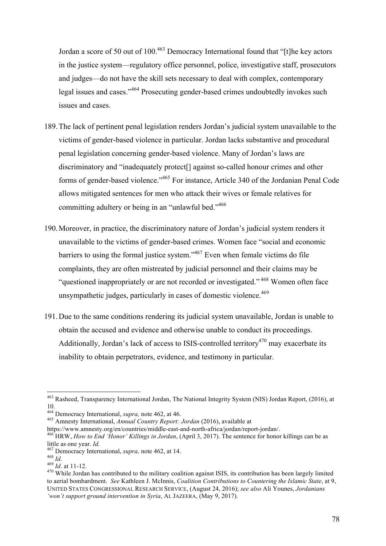Jordan a score of 50 out of 100.<sup>463</sup> Democracy International found that "[t]he key actors in the justice system—regulatory office personnel, police, investigative staff, prosecutors and judges—do not have the skill sets necessary to deal with complex, contemporary legal issues and cases."<sup>464</sup> Prosecuting gender-based crimes undoubtedly invokes such issues and cases.

- 189.The lack of pertinent penal legislation renders Jordan's judicial system unavailable to the victims of gender-based violence in particular. Jordan lacks substantive and procedural penal legislation concerning gender-based violence. Many of Jordan's laws are discriminatory and "inadequately protect[] against so-called honour crimes and other forms of gender-based violence."465 For instance, Article 340 of the Jordanian Penal Code allows mitigated sentences for men who attack their wives or female relatives for committing adultery or being in an "unlawful bed."466
- 190.Moreover, in practice, the discriminatory nature of Jordan's judicial system renders it unavailable to the victims of gender-based crimes. Women face "social and economic barriers to using the formal justice system."467 Even when female victims do file complaints, they are often mistreated by judicial personnel and their claims may be "questioned inappropriately or are not recorded or investigated." <sup>468</sup> Women often face unsympathetic judges, particularly in cases of domestic violence.<sup>469</sup>
- 191.Due to the same conditions rendering its judicial system unavailable, Jordan is unable to obtain the accused and evidence and otherwise unable to conduct its proceedings. Additionally, Jordan's lack of access to ISIS-controlled territory<sup>470</sup> may exacerbate its inability to obtain perpetrators, evidence, and testimony in particular.

 <sup>463</sup> Rasheed, Transparency International Jordan, The National Integrity System (NIS) Jordan Report, (2016), at 10.<br><sup>464</sup> Democracy International, *supra*, note 462, at 46.

<sup>&</sup>lt;sup>465</sup> Amnesty International, *Annual Country Report: Jordan* (2016), available at

https://www.amnesty.org/en/countries/middle-east-and-north-africa/jordan/report-jordan/. <sup>466</sup> HRW, *How to End 'Honor' Killings in Jordan*, (April 3, 2017). The sentence for honor killings can be as little as one year. *Id.*<br><sup>467</sup> Democracy International, *supra*, note 462, at 14.<br><sup>468</sup> *Id.* at 11-12.<br><sup>470</sup> While Jordan has contributed to the military coalition against ISIS, its contribution has been largely limited

to aerial bombardment. *See* Kathleen J. McInnis, *Coalition Contributions to Countering the Islamic State*, at 9, UNITED STATES CONGRESSIONAL RESEARCH SERVICE, (August 24, 2016); *see also* Ali Younes, *Jordanians 'won't support ground intervention in Syria*, AL JAZEERA, (May 9, 2017).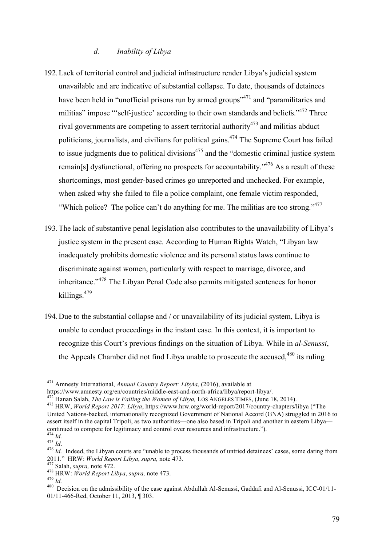#### *d. Inability of Libya*

- 192.Lack of territorial control and judicial infrastructure render Libya's judicial system unavailable and are indicative of substantial collapse. To date, thousands of detainees have been held in "unofficial prisons run by armed groups"<sup>471</sup> and "paramilitaries and militias" impose "'self-justice' according to their own standards and beliefs."<sup>472</sup> Three rival governments are competing to assert territorial authority<sup>473</sup> and militias abduct politicians, journalists, and civilians for political gains.<sup> $474$ </sup> The Supreme Court has failed to issue judgments due to political divisions<sup> $475$ </sup> and the "domestic criminal justice system remain[s] dysfunctional, offering no prospects for accountability."476 As a result of these shortcomings, most gender-based crimes go unreported and unchecked. For example, when asked why she failed to file a police complaint, one female victim responded, "Which police? The police can't do anything for me. The militias are too strong."<sup>477</sup>
- 193.The lack of substantive penal legislation also contributes to the unavailability of Libya's justice system in the present case. According to Human Rights Watch, "Libyan law inadequately prohibits domestic violence and its personal status laws continue to discriminate against women, particularly with respect to marriage, divorce, and inheritance."<sup>478</sup> The Libyan Penal Code also permits mitigated sentences for honor killings.479
- 194.Due to the substantial collapse and / or unavailability of its judicial system, Libya is unable to conduct proceedings in the instant case. In this context, it is important to recognize this Court's previous findings on the situation of Libya. While in *al-Senussi*, the Appeals Chamber did not find Libya unable to prosecute the accused.<sup>480</sup> its ruling

 <sup>471</sup> Amnesty International, *Annual Country Report: Liby*i*a,* (2016), available at

https://www.amnesty.org/en/countries/middle-east-and-north-africa/libya/report-libya/.<br><sup>472</sup> Hanan Salah, *The Law is Failing the Women of Libya*, LOS ANGELES TIMES, (June 18, 2014).<br><sup>473</sup> HRW. *World Report 2017: Libya*, United Nations-backed, internationally recognized Government of National Accord (GNA) struggled in 2016 to assert itself in the capital Tripoli, as two authorities—one also based in Tripoli and another in eastern Libya continued to compete for legitimacy and control over resources and infrastructure.").<br>
<sup>474</sup> *Id.*<br>
<sup>475</sup> *Id.*<br>
<sup>476</sup> *Id.* Indeed, the Libyan courts are "unable to process thousands of untried detainees' cases, some dat

<sup>2011.&</sup>quot; HRW: *World Report Libya, supra,* note 473.<br>
<sup>477</sup> Salah, *supra,* note 472.<br>
<sup>478</sup> HRW: *World Report Libya, supra,* note 473.<br>
<sup>479</sup> Id.<br>
<sup>480</sup> Decision on the admissibility of the case against Abdullah Al-Senuss

<sup>01/11-466-</sup>Red, October 11, 2013, ¶ 303.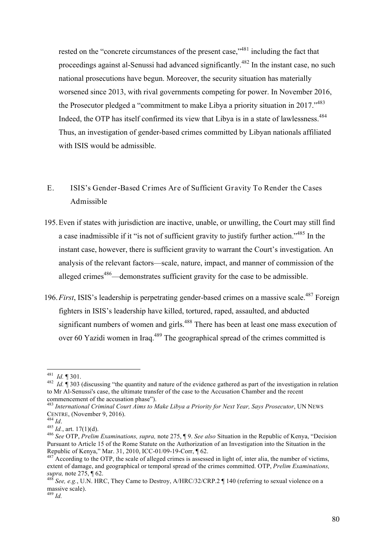rested on the "concrete circumstances of the present case,"<sup>481</sup> including the fact that proceedings against al-Senussi had advanced significantly.<sup>482</sup> In the instant case, no such national prosecutions have begun. Moreover, the security situation has materially worsened since 2013, with rival governments competing for power. In November 2016, the Prosecutor pledged a "commitment to make Libya a priority situation in 2017."483 Indeed, the OTP has itself confirmed its view that Libya is in a state of lawlessness.<sup>484</sup> Thus, an investigation of gender-based crimes committed by Libyan nationals affiliated with ISIS would be admissible.

- E. ISIS's Gender-Based Crimes Are of Sufficient Gravity To Render the Cases Admissible
- 195.Even if states with jurisdiction are inactive, unable, or unwilling, the Court may still find a case inadmissible if it "is not of sufficient gravity to justify further action."<sup>485</sup> In the instant case, however, there is sufficient gravity to warrant the Court's investigation. An analysis of the relevant factors—scale, nature, impact, and manner of commission of the alleged crimes<sup>486</sup>—demonstrates sufficient gravity for the case to be admissible.
- 196. First, ISIS's leadership is perpetrating gender-based crimes on a massive scale.<sup>487</sup> Foreign fighters in ISIS's leadership have killed, tortured, raped, assaulted, and abducted significant numbers of women and girls.<sup>488</sup> There has been at least one mass execution of over 60 Yazidi women in Iraq.<sup>489</sup> The geographical spread of the crimes committed is

<sup>&</sup>lt;sup>481</sup> *Id.* ¶ 301.<br><sup>482</sup> *Id.* ¶ 303 (discussing "the quantity and nature of the evidence gathered as part of the investigation in relation to Mr Al-Senussi's case, the ultimate transfer of the case to the Accusation Chamber and the recent commencement of the accusation phase").

<sup>&</sup>lt;sup>483</sup> *International Criminal Court Aims to Make Libya a Priority for Next Year, Says Prosecutor*, UN NEWS CENTRE, (November 9, 2016).<br><sup>484</sup> *Id.* 

CENTRE, (November 9, 2016). <sup>484</sup> *Id*. <sup>485</sup> *Id.*, art. 17(1)(d). 486 *See* OTP, *Prelim Examinations, supra,* note 275, ¶ 9. *See also* Situation in the Republic of Kenya, "Decision Pursuant to Article 15 of the Rome Statute on the Authorization of an Investigation into the Situation in the Republic of Kenya," Mar. 31, 2010, ICC-01/09-19-Corr,  $\sqrt{62}$ .

 $R^{487}$  According to the OTP, the scale of alleged crimes is assessed in light of, inter alia, the number of victims, extent of damage, and geographical or temporal spread of the crimes committed. OTP, *Prelim Examinations,* 

<sup>&</sup>lt;sup>488</sup> *See, e.g., U.N. HRC, They Came to Destroy, A/HRC/32/CRP.2* ¶ 140 (referring to sexual violence on a massive scale).

<sup>489</sup> *Id.*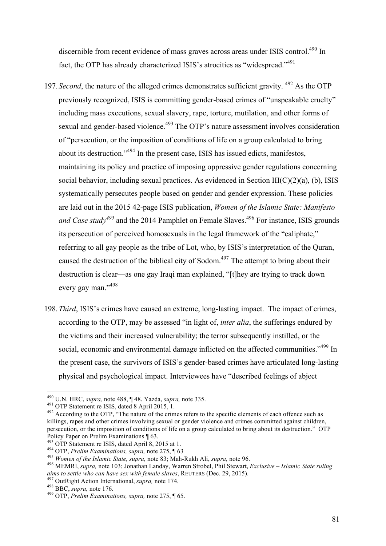discernible from recent evidence of mass graves across areas under ISIS control.<sup>490</sup> In fact, the OTP has already characterized ISIS's atrocities as "widespread."<sup>491</sup>

- 197. Second, the nature of the alleged crimes demonstrates sufficient gravity. <sup>492</sup> As the OTP previously recognized, ISIS is committing gender-based crimes of "unspeakable cruelty" including mass executions, sexual slavery, rape, torture, mutilation, and other forms of sexual and gender-based violence.<sup>493</sup> The OTP's nature assessment involves consideration of "persecution, or the imposition of conditions of life on a group calculated to bring about its destruction."494 In the present case, ISIS has issued edicts, manifestos, maintaining its policy and practice of imposing oppressive gender regulations concerning social behavior, including sexual practices. As evidenced in Section  $III(C)(2)(a)$ , (b), ISIS systematically persecutes people based on gender and gender expression. These policies are laid out in the 2015 42-page ISIS publication, *Women of the Islamic State: Manifesto and Case study<sup>495</sup>* and the 2014 Pamphlet on Female Slaves. <sup>496</sup> For instance, ISIS grounds its persecution of perceived homosexuals in the legal framework of the "caliphate," referring to all gay people as the tribe of Lot, who, by ISIS's interpretation of the Quran, caused the destruction of the biblical city of Sodom.<sup>497</sup> The attempt to bring about their destruction is clear—as one gay Iraqi man explained, "[t]hey are trying to track down every gay man."<sup>498</sup>
- 198.*Third*, ISIS's crimes have caused an extreme, long-lasting impact. The impact of crimes, according to the OTP, may be assessed "in light of, *inter alia*, the sufferings endured by the victims and their increased vulnerability; the terror subsequently instilled, or the social, economic and environmental damage inflicted on the affected communities."<sup>499</sup> In the present case, the survivors of ISIS's gender-based crimes have articulated long-lasting physical and psychological impact. Interviewees have "described feelings of abject

<sup>&</sup>lt;sup>490</sup> U.N. HRC, *supra*, note 488,  $\P$  48. Yazda, *supra*, note 335.<br><sup>491</sup> OTP Statement re ISIS, dated 8 April 2015, 1.<br><sup>492</sup> According to the OTP, "The nature of the crimes refers to the specific elements of each offenc killings, rapes and other crimes involving sexual or gender violence and crimes committed against children, persecution, or the imposition of conditions of life on a group calculated to bring about its destruction." OTP Policy Paper on Prelim Examinations ¶ 63.<br><sup>493</sup> OTP Statement re ISIS, dated April 8, 2015 at 1.

<sup>&</sup>lt;sup>494</sup> OTP, *Prelim Examinations, supra, note 275*,  $\P$  63<br><sup>495</sup> Women of the Islamic State, supra, note 83; Mah-Rukh Ali, *supra*, note 96.<br><sup>496</sup> MEMRI, *supra*, note 103; Jonathan Landay, Warren Strobel, Phil Stewart, *E* 

<sup>&</sup>lt;sup>497</sup> OutRight Action International, *supra*, note 174.<br><sup>498</sup> BBC, *supra*, note 176.<br><sup>499</sup> OTP, *Prelim Examinations*, *supra*, note 275,  $\P$  65.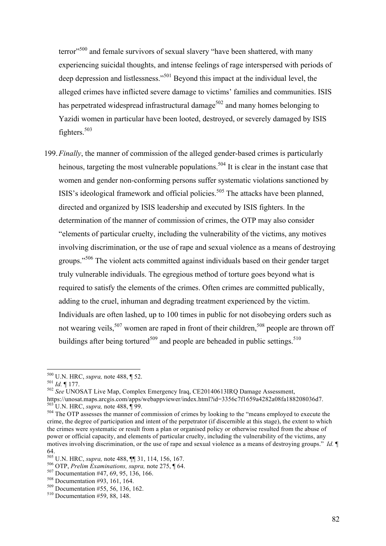terror<sup>,500</sup> and female survivors of sexual slavery "have been shattered, with many experiencing suicidal thoughts, and intense feelings of rage interspersed with periods of deep depression and listlessness."<sup>501</sup> Beyond this impact at the individual level, the alleged crimes have inflicted severe damage to victims' families and communities. ISIS has perpetrated widespread infrastructural damage<sup>502</sup> and many homes belonging to Yazidi women in particular have been looted, destroyed, or severely damaged by ISIS fighters.<sup>503</sup>

199.*Finally*, the manner of commission of the alleged gender-based crimes is particularly heinous, targeting the most vulnerable populations.<sup>504</sup> It is clear in the instant case that women and gender non-conforming persons suffer systematic violations sanctioned by ISIS's ideological framework and official policies.<sup>505</sup> The attacks have been planned, directed and organized by ISIS leadership and executed by ISIS fighters. In the determination of the manner of commission of crimes, the OTP may also consider "elements of particular cruelty, including the vulnerability of the victims, any motives involving discrimination, or the use of rape and sexual violence as a means of destroying groups."<sup>506</sup> The violent acts committed against individuals based on their gender target truly vulnerable individuals. The egregious method of torture goes beyond what is required to satisfy the elements of the crimes. Often crimes are committed publically, adding to the cruel, inhuman and degrading treatment experienced by the victim. Individuals are often lashed, up to 100 times in public for not disobeying orders such as not wearing veils,<sup>507</sup> women are raped in front of their children,<sup>508</sup> people are thrown off buildings after being tortured<sup>509</sup> and people are beheaded in public settings.<sup>510</sup>

<sup>500</sup> U.N. HRC, *supra,* note 488, ¶ 52. <sup>501</sup> *Id.* ¶ 177. 502 *See* UNOSAT Live Map, Complex Emergency Iraq, CE20140613IRQ Damage Assessment, https://unosat.maps.arcgis.com/apps/webappviewer/index.html?id=3356c7f1659a4282a08fa188208036d7. <sup>503</sup> U.N. HRC, *supra*, note 488, ¶ 99.<br><sup>504</sup> The OTP assesses the manner of commission of crimes by looking to the "means employed to execute the

crime, the degree of participation and intent of the perpetrator (if discernible at this stage), the extent to which the crimes were systematic or result from a plan or organised policy or otherwise resulted from the abuse of power or official capacity, and elements of particular cruelty, including the vulnerability of the victims, any motives involving discrimination, or the use of rape and sexual violence as a means of destroying groups." *Id.* ¶

<sup>64.&</sup>lt;br><sup>505</sup> U.N. HRC, *supra*, note 488, **[1]** 31, 114, 156, 167.

<sup>&</sup>lt;sup>506</sup> OTP, *Prelim Examinations, supra,* note 275,  $\P$  64.<br><sup>507</sup> Documentation #47, 69, 95, 136, 166.<br><sup>508</sup> Documentation #93, 161, 164.<br><sup>509</sup> Documentation #55, 56, 136, 162.<br><sup>510</sup> Documentation #59, 88, 148.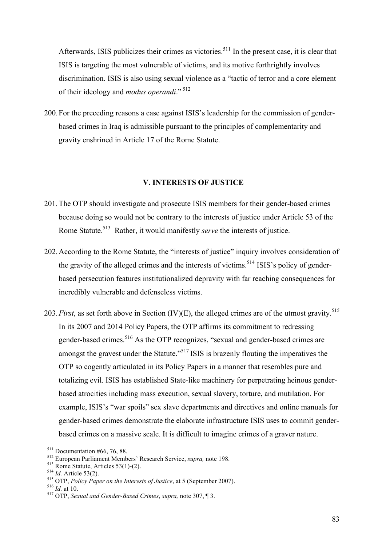Afterwards, ISIS publicizes their crimes as victories.<sup>511</sup> In the present case, it is clear that ISIS is targeting the most vulnerable of victims, and its motive forthrightly involves discrimination. ISIS is also using sexual violence as a "tactic of terror and a core element of their ideology and *modus operandi*." <sup>512</sup>

200.For the preceding reasons a case against ISIS's leadership for the commission of genderbased crimes in Iraq is admissible pursuant to the principles of complementarity and gravity enshrined in Article 17 of the Rome Statute.

#### **V. INTERESTS OF JUSTICE**

- 201.The OTP should investigate and prosecute ISIS members for their gender-based crimes because doing so would not be contrary to the interests of justice under Article 53 of the Rome Statute.<sup>513</sup> Rather, it would manifestly *serve* the interests of justice.
- 202.According to the Rome Statute, the "interests of justice" inquiry involves consideration of the gravity of the alleged crimes and the interests of victims.<sup>514</sup> ISIS's policy of genderbased persecution features institutionalized depravity with far reaching consequences for incredibly vulnerable and defenseless victims.
- 203.*First*, as set forth above in Section (IV)(E), the alleged crimes are of the utmost gravity. 515 In its 2007 and 2014 Policy Papers, the OTP affirms its commitment to redressing gender-based crimes.<sup>516</sup> As the OTP recognizes, "sexual and gender-based crimes are amongst the gravest under the Statute."<sup>517</sup> ISIS is brazenly flouting the imperatives the OTP so cogently articulated in its Policy Papers in a manner that resembles pure and totalizing evil. ISIS has established State-like machinery for perpetrating heinous genderbased atrocities including mass execution, sexual slavery, torture, and mutilation. For example, ISIS's "war spoils" sex slave departments and directives and online manuals for gender-based crimes demonstrate the elaborate infrastructure ISIS uses to commit genderbased crimes on a massive scale. It is difficult to imagine crimes of a graver nature.

<sup>&</sup>lt;sup>511</sup> Documentation #66, 76, 88.<br>
<sup>512</sup> European Parliament Members' Research Service, *supra*, note 198.<br>
<sup>513</sup> Rome Statute, Articles 53(1)-(2).<br>
<sup>515</sup> OTP, *Policy Paper on the Interests of Justice*, at 5 (September 20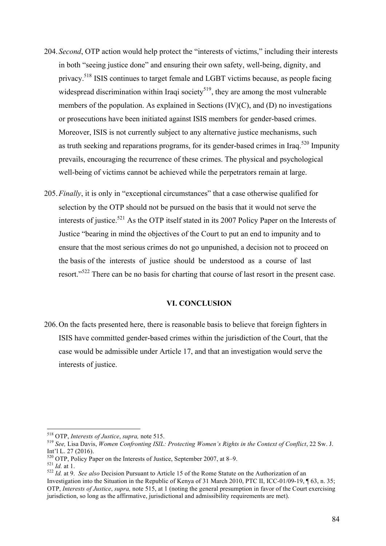- 204.*Second*, OTP action would help protect the "interests of victims," including their interests in both "seeing justice done" and ensuring their own safety, well-being, dignity, and privacy.<sup>518</sup> ISIS continues to target female and LGBT victims because, as people facing widespread discrimination within Iraqi society $519$ , they are among the most vulnerable members of the population. As explained in Sections (IV)(C), and (D) no investigations or prosecutions have been initiated against ISIS members for gender-based crimes. Moreover, ISIS is not currently subject to any alternative justice mechanisms, such as truth seeking and reparations programs, for its gender-based crimes in Iraq.<sup>520</sup> Impunity prevails, encouraging the recurrence of these crimes. The physical and psychological well-being of victims cannot be achieved while the perpetrators remain at large.
- 205.*Finally*, it is only in "exceptional circumstances" that a case otherwise qualified for selection by the OTP should not be pursued on the basis that it would not serve the interests of justice.<sup>521</sup> As the OTP itself stated in its 2007 Policy Paper on the Interests of Justice "bearing in mind the objectives of the Court to put an end to impunity and to ensure that the most serious crimes do not go unpunished, a decision not to proceed on the basis of the interests of justice should be understood as a course of last resort."<sup>522</sup> There can be no basis for charting that course of last resort in the present case.

#### **VI. CONCLUSION**

206.On the facts presented here, there is reasonable basis to believe that foreign fighters in ISIS have committed gender-based crimes within the jurisdiction of the Court, that the case would be admissible under Article 17, and that an investigation would serve the interests of justice.

<sup>518</sup> OTP, *Interests of Justice*, *supra,* note 515. <sup>519</sup> *See,* Lisa Davis, *Women Confronting ISIL: Protecting Women's Rights in the Context of Conflict*, 22 Sw. J. Int'l L. 27 (2016).<br><sup>520</sup> OTP, Policy Paper on the Interests of Justice, September 2007, at 8–9.

<sup>521</sup> *Id.* at 1.<br><sup>521</sup> *Id.* at 9. *See also* Decision Pursuant to Article 15 of the Rome Statute on the Authorization of an

Investigation into the Situation in the Republic of Kenya of 31 March 2010, PTC II, ICC-01/09-19, ¶ 63, n. 35; OTP, *Interests of Justice*, *supra,* note 515, at 1 (noting the general presumption in favor of the Court exercising jurisdiction, so long as the affirmative, jurisdictional and admissibility requirements are met).